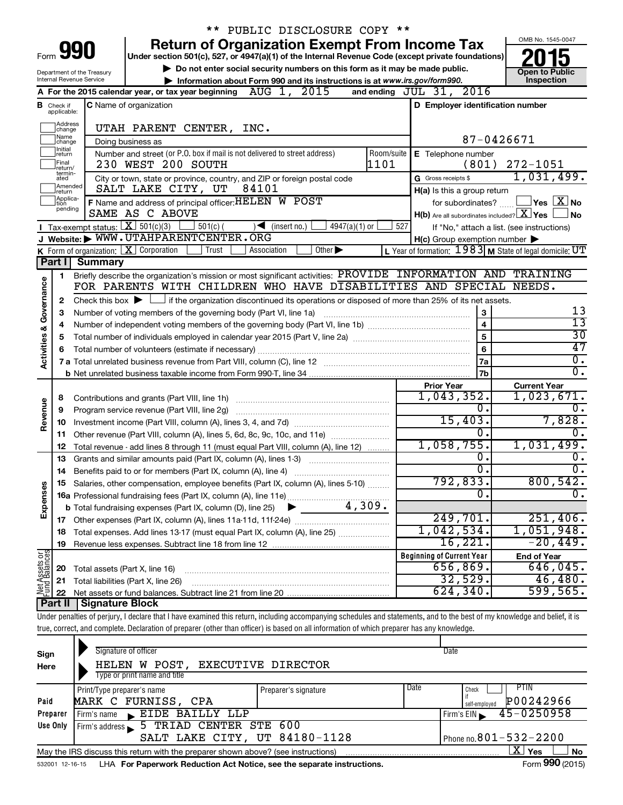|                                                                                                                   |                             |                                                                                                                                                    |                                                                                                                                                                                                                                 |                                                                            |            | PUBLIC DISCLOSURE COPY ** |                                   |                 |                                                                                                                      |      |     |                                  |                                                     |                |                                                                                                                                                                            |
|-------------------------------------------------------------------------------------------------------------------|-----------------------------|----------------------------------------------------------------------------------------------------------------------------------------------------|---------------------------------------------------------------------------------------------------------------------------------------------------------------------------------------------------------------------------------|----------------------------------------------------------------------------|------------|---------------------------|-----------------------------------|-----------------|----------------------------------------------------------------------------------------------------------------------|------|-----|----------------------------------|-----------------------------------------------------|----------------|----------------------------------------------------------------------------------------------------------------------------------------------------------------------------|
|                                                                                                                   |                             |                                                                                                                                                    |                                                                                                                                                                                                                                 | <b>Return of Organization Exempt From Income Tax</b>                       |            |                           |                                   |                 |                                                                                                                      |      |     |                                  |                                                     |                | OMB No. 1545-0047                                                                                                                                                          |
| 990<br>Form<br>Under section 501(c), 527, or 4947(a)(1) of the Internal Revenue Code (except private foundations) |                             |                                                                                                                                                    |                                                                                                                                                                                                                                 |                                                                            |            |                           |                                   |                 |                                                                                                                      |      |     |                                  |                                                     |                |                                                                                                                                                                            |
| Do not enter social security numbers on this form as it may be made public.<br>Department of the Treasury         |                             |                                                                                                                                                    |                                                                                                                                                                                                                                 |                                                                            |            |                           |                                   | Open to Public  |                                                                                                                      |      |     |                                  |                                                     |                |                                                                                                                                                                            |
|                                                                                                                   |                             | Internal Revenue Service                                                                                                                           |                                                                                                                                                                                                                                 | Information about Form 990 and its instructions is at www.irs.gov/form990. |            |                           |                                   |                 |                                                                                                                      |      |     |                                  |                                                     |                | Inspection                                                                                                                                                                 |
|                                                                                                                   |                             | A For the 2015 calendar year, or tax year beginning $\Delta U G$ 1, $2015$                                                                         |                                                                                                                                                                                                                                 |                                                                            |            |                           |                                   |                 |                                                                                                                      |      |     | and ending JUL 31, 2016          |                                                     |                |                                                                                                                                                                            |
| В                                                                                                                 | Check if<br>applicable:     | <b>C</b> Name of organization                                                                                                                      |                                                                                                                                                                                                                                 |                                                                            |            |                           |                                   |                 |                                                                                                                      |      |     |                                  |                                                     |                | D Employer identification number                                                                                                                                           |
|                                                                                                                   | Address<br>change           |                                                                                                                                                    |                                                                                                                                                                                                                                 | UTAH PARENT CENTER, INC.                                                   |            |                           |                                   |                 |                                                                                                                      |      |     |                                  |                                                     |                |                                                                                                                                                                            |
|                                                                                                                   | Name<br>change              |                                                                                                                                                    | Doing business as                                                                                                                                                                                                               |                                                                            |            |                           |                                   |                 |                                                                                                                      |      |     |                                  |                                                     |                | 87-0426671                                                                                                                                                                 |
|                                                                                                                   | Initial<br>return           |                                                                                                                                                    |                                                                                                                                                                                                                                 | Number and street (or P.O. box if mail is not delivered to street address) |            |                           |                                   |                 |                                                                                                                      |      |     | Room/suite   E Telephone number  |                                                     |                |                                                                                                                                                                            |
|                                                                                                                   | Final<br>return/            |                                                                                                                                                    |                                                                                                                                                                                                                                 | 230 WEST 200 SOUTH                                                         |            |                           |                                   |                 |                                                                                                                      | 1101 |     |                                  |                                                     | (801)          | $272 - 1051$                                                                                                                                                               |
|                                                                                                                   | termin-<br>ated             |                                                                                                                                                    |                                                                                                                                                                                                                                 | City or town, state or province, country, and ZIP or foreign postal code   |            |                           |                                   |                 |                                                                                                                      |      |     | G Gross receipts \$              |                                                     |                | 1,031,499.                                                                                                                                                                 |
|                                                                                                                   | Amended<br>return           |                                                                                                                                                    |                                                                                                                                                                                                                                 | SALT LAKE CITY, UT                                                         |            | 84101                     |                                   |                 |                                                                                                                      |      |     |                                  | H(a) Is this a group return                         |                |                                                                                                                                                                            |
|                                                                                                                   | Applica-<br>tion<br>pending |                                                                                                                                                    |                                                                                                                                                                                                                                 | F Name and address of principal officer: HELEN W POST                      |            |                           |                                   |                 |                                                                                                                      |      |     |                                  |                                                     |                | for subordinates? $\begin{array}{c} \boxed{\textbf{X}} \textbf{No} \end{array}$                                                                                            |
|                                                                                                                   |                             |                                                                                                                                                    |                                                                                                                                                                                                                                 | SAME AS C ABOVE                                                            |            |                           |                                   |                 |                                                                                                                      |      |     |                                  |                                                     |                | $H(b)$ Are all subordinates included? $X$ Yes<br><b>No</b>                                                                                                                 |
|                                                                                                                   |                             | Tax-exempt status: $X \over 301(c)(3)$                                                                                                             |                                                                                                                                                                                                                                 |                                                                            | $501(c)$ ( |                           | $\sqrt{\frac{1}{1}}$ (insert no.) |                 | $4947(a)(1)$ or                                                                                                      |      | 527 |                                  |                                                     |                | If "No," attach a list. (see instructions)                                                                                                                                 |
|                                                                                                                   |                             | J Website: WWW.UTAHPARENTCENTER.ORG                                                                                                                |                                                                                                                                                                                                                                 |                                                                            |            |                           |                                   |                 |                                                                                                                      |      |     |                                  | $H(c)$ Group exemption number $\blacktriangleright$ |                |                                                                                                                                                                            |
|                                                                                                                   | Part I                      | K Form of organization: X Corporation                                                                                                              |                                                                                                                                                                                                                                 |                                                                            | Trust      | Association               |                                   |                 | Other $\blacktriangleright$                                                                                          |      |     |                                  |                                                     |                | L Year of formation: $1983$ M State of legal domicile: UT                                                                                                                  |
|                                                                                                                   |                             | <b>Summary</b>                                                                                                                                     |                                                                                                                                                                                                                                 |                                                                            |            |                           |                                   |                 |                                                                                                                      |      |     |                                  |                                                     |                | Briefly describe the organization's mission or most significant activities: PROVIDE INFORMATION AND TRAINING                                                               |
|                                                                                                                   | 1                           | FOR PARENTS WITH CHILDREN WHO HAVE DISABILITIES AND SPECIAL NEEDS.                                                                                 |                                                                                                                                                                                                                                 |                                                                            |            |                           |                                   |                 |                                                                                                                      |      |     |                                  |                                                     |                |                                                                                                                                                                            |
| Governance                                                                                                        | 2                           |                                                                                                                                                    |                                                                                                                                                                                                                                 |                                                                            |            |                           |                                   |                 |                                                                                                                      |      |     |                                  |                                                     |                |                                                                                                                                                                            |
|                                                                                                                   | З                           |                                                                                                                                                    | Check this box $\blacktriangleright$ $\Box$ if the organization discontinued its operations or disposed of more than 25% of its net assets.<br>$\mathbf 3$<br>Number of voting members of the governing body (Part VI, line 1a) |                                                                            |            |                           |                                   |                 |                                                                                                                      | 13   |     |                                  |                                                     |                |                                                                                                                                                                            |
|                                                                                                                   | 4                           | $\overline{\mathbf{4}}$<br>5                                                                                                                       |                                                                                                                                                                                                                                 |                                                                            |            |                           |                                   |                 | $\overline{13}$                                                                                                      |      |     |                                  |                                                     |                |                                                                                                                                                                            |
|                                                                                                                   | 5                           |                                                                                                                                                    |                                                                                                                                                                                                                                 |                                                                            |            |                           |                                   | $\overline{30}$ |                                                                                                                      |      |     |                                  |                                                     |                |                                                                                                                                                                            |
| <b>Activities &amp;</b>                                                                                           | 6                           |                                                                                                                                                    |                                                                                                                                                                                                                                 |                                                                            |            |                           |                                   |                 |                                                                                                                      |      |     |                                  |                                                     | 6              | 47                                                                                                                                                                         |
|                                                                                                                   |                             |                                                                                                                                                    |                                                                                                                                                                                                                                 |                                                                            |            |                           |                                   |                 |                                                                                                                      |      |     |                                  |                                                     | <b>7a</b>      | $\overline{0}$ .                                                                                                                                                           |
|                                                                                                                   |                             |                                                                                                                                                    |                                                                                                                                                                                                                                 |                                                                            |            |                           |                                   |                 |                                                                                                                      |      |     |                                  |                                                     | 7b             | σ.                                                                                                                                                                         |
|                                                                                                                   |                             |                                                                                                                                                    |                                                                                                                                                                                                                                 |                                                                            |            |                           |                                   |                 |                                                                                                                      |      |     |                                  | <b>Prior Year</b>                                   |                | <b>Current Year</b>                                                                                                                                                        |
|                                                                                                                   | 8                           |                                                                                                                                                    |                                                                                                                                                                                                                                 |                                                                            |            |                           |                                   |                 |                                                                                                                      |      |     |                                  | 1,043,352.                                          |                | 1,023,671.                                                                                                                                                                 |
|                                                                                                                   | 9                           | Program service revenue (Part VIII, line 2g)                                                                                                       |                                                                                                                                                                                                                                 |                                                                            |            |                           |                                   |                 |                                                                                                                      |      |     |                                  |                                                     | 0.             | 0.                                                                                                                                                                         |
| Revenue                                                                                                           | 10                          |                                                                                                                                                    |                                                                                                                                                                                                                                 |                                                                            |            |                           |                                   |                 |                                                                                                                      |      |     |                                  | 15,403.                                             |                | 7,828.                                                                                                                                                                     |
|                                                                                                                   | 11                          | Other revenue (Part VIII, column (A), lines 5, 6d, 8c, 9c, 10c, and 11e)                                                                           |                                                                                                                                                                                                                                 |                                                                            |            |                           |                                   |                 |                                                                                                                      |      |     |                                  |                                                     | 0.             |                                                                                                                                                                            |
|                                                                                                                   | 12                          | Total revenue - add lines 8 through 11 (must equal Part VIII, column (A), line 12)                                                                 |                                                                                                                                                                                                                                 |                                                                            |            |                           |                                   |                 |                                                                                                                      |      |     |                                  | 1,058,755.                                          | 0.             | 1,031,499.<br>0.                                                                                                                                                           |
|                                                                                                                   | 13                          | Grants and similar amounts paid (Part IX, column (A), lines 1-3)                                                                                   |                                                                                                                                                                                                                                 |                                                                            |            |                           |                                   |                 | <u> 1986 - Johann Stoff, deutscher Stoff, deutscher Stoff, deutscher Stoff, deutscher Stoff, deutscher Stoff, de</u> |      |     |                                  |                                                     | σ.             | σ.                                                                                                                                                                         |
|                                                                                                                   | 14                          | Benefits paid to or for members (Part IX, column (A), line 4)<br>Salaries, other compensation, employee benefits (Part IX, column (A), lines 5-10) |                                                                                                                                                                                                                                 |                                                                            |            |                           |                                   |                 |                                                                                                                      |      |     |                                  | 792,833.                                            |                | 800,542.                                                                                                                                                                   |
| Expenses                                                                                                          | 15                          |                                                                                                                                                    |                                                                                                                                                                                                                                 |                                                                            |            |                           |                                   |                 |                                                                                                                      |      |     |                                  |                                                     | $\mathbf{0}$ . | 0.                                                                                                                                                                         |
|                                                                                                                   |                             |                                                                                                                                                    |                                                                                                                                                                                                                                 |                                                                            |            |                           |                                   |                 |                                                                                                                      |      |     |                                  |                                                     |                |                                                                                                                                                                            |
|                                                                                                                   |                             |                                                                                                                                                    |                                                                                                                                                                                                                                 |                                                                            |            |                           |                                   |                 |                                                                                                                      |      |     |                                  | 249,701.                                            |                | 251,406.                                                                                                                                                                   |
|                                                                                                                   | 18                          | Total expenses. Add lines 13-17 (must equal Part IX, column (A), line 25)                                                                          |                                                                                                                                                                                                                                 |                                                                            |            |                           |                                   |                 |                                                                                                                      |      |     |                                  | 1,042,534.                                          |                | 1,051,948.                                                                                                                                                                 |
|                                                                                                                   | 19                          |                                                                                                                                                    |                                                                                                                                                                                                                                 |                                                                            |            |                           |                                   |                 |                                                                                                                      |      |     |                                  | 16,221.                                             |                | $-20,449$ .                                                                                                                                                                |
| Net Assets or                                                                                                     |                             |                                                                                                                                                    |                                                                                                                                                                                                                                 |                                                                            |            |                           |                                   |                 |                                                                                                                      |      |     | <b>Beginning of Current Year</b> |                                                     |                | <b>End of Year</b>                                                                                                                                                         |
|                                                                                                                   | 20                          | Total assets (Part X, line 16)                                                                                                                     |                                                                                                                                                                                                                                 |                                                                            |            |                           |                                   |                 |                                                                                                                      |      |     |                                  | 656,869.                                            |                | 646,045.                                                                                                                                                                   |
|                                                                                                                   | 21                          | Total liabilities (Part X, line 26)                                                                                                                |                                                                                                                                                                                                                                 |                                                                            |            |                           |                                   |                 |                                                                                                                      |      |     |                                  | 32,529.                                             |                | 46,480.                                                                                                                                                                    |
|                                                                                                                   | 22                          |                                                                                                                                                    |                                                                                                                                                                                                                                 |                                                                            |            |                           |                                   |                 |                                                                                                                      |      |     |                                  | 624, 340.                                           |                | 599,565.                                                                                                                                                                   |
|                                                                                                                   | Part II                     | Signature Block                                                                                                                                    |                                                                                                                                                                                                                                 |                                                                            |            |                           |                                   |                 |                                                                                                                      |      |     |                                  |                                                     |                |                                                                                                                                                                            |
|                                                                                                                   |                             |                                                                                                                                                    |                                                                                                                                                                                                                                 |                                                                            |            |                           |                                   |                 |                                                                                                                      |      |     |                                  |                                                     |                | Under penalties of perjury, I declare that I have examined this return, including accompanying schedules and statements, and to the best of my knowledge and belief, it is |
|                                                                                                                   |                             | true, correct, and complete. Declaration of preparer (other than officer) is based on all information of which preparer has any knowledge.         |                                                                                                                                                                                                                                 |                                                                            |            |                           |                                   |                 |                                                                                                                      |      |     |                                  |                                                     |                |                                                                                                                                                                            |
|                                                                                                                   |                             |                                                                                                                                                    | Signature of officer                                                                                                                                                                                                            |                                                                            |            |                           |                                   |                 |                                                                                                                      |      |     |                                  | Date                                                |                |                                                                                                                                                                            |
| Sign                                                                                                              |                             |                                                                                                                                                    | הממח זה זהה בידו                                                                                                                                                                                                                |                                                                            |            | DVDOUUTUR DIDDOMOD        |                                   |                 |                                                                                                                      |      |     |                                  |                                                     |                |                                                                                                                                                                            |

| Here     | HELEN W POST,                                                                                                           | <b>EXECUTIVE DIRECTOR</b>      |                              |  |  |  |  |  |  |
|----------|-------------------------------------------------------------------------------------------------------------------------|--------------------------------|------------------------------|--|--|--|--|--|--|
|          | Type or print name and title                                                                                            |                                |                              |  |  |  |  |  |  |
|          | Print/Type preparer's name                                                                                              | Date<br>Preparer's signature   | PTIN<br>Check                |  |  |  |  |  |  |
| Paid     | MARK C FURNISS, CPA                                                                                                     |                                | P00242966<br>self-emploved   |  |  |  |  |  |  |
| Preparer | EIDE BAILLY LLP<br>Firm's name<br>$\mathbf{K}$                                                                          | $45 - 0250958$<br>Firm's $EIN$ |                              |  |  |  |  |  |  |
| Use Only | Firm's address 5 TRIAD CENTER STE 600                                                                                   |                                |                              |  |  |  |  |  |  |
|          | SALT LAKE CITY, UT 84180-1128                                                                                           |                                | Phone no. $801 - 532 - 2200$ |  |  |  |  |  |  |
|          | $\mathbf{X}$ Yes<br>No<br>May the IRS discuss this return with the preparer shown above? (see instructions)             |                                |                              |  |  |  |  |  |  |
|          | $F_{\alpha r}$ 990 (2015)<br>E20001 10.16.15 U. L. L. Lar Danorwork Poduction Act Notice, see the separate instructions |                                |                              |  |  |  |  |  |  |

532001 12-16-15 **For Paperwork Reduction Act Notice, see the separate instructions.** LHA Form (2015)

Form **990** (2015)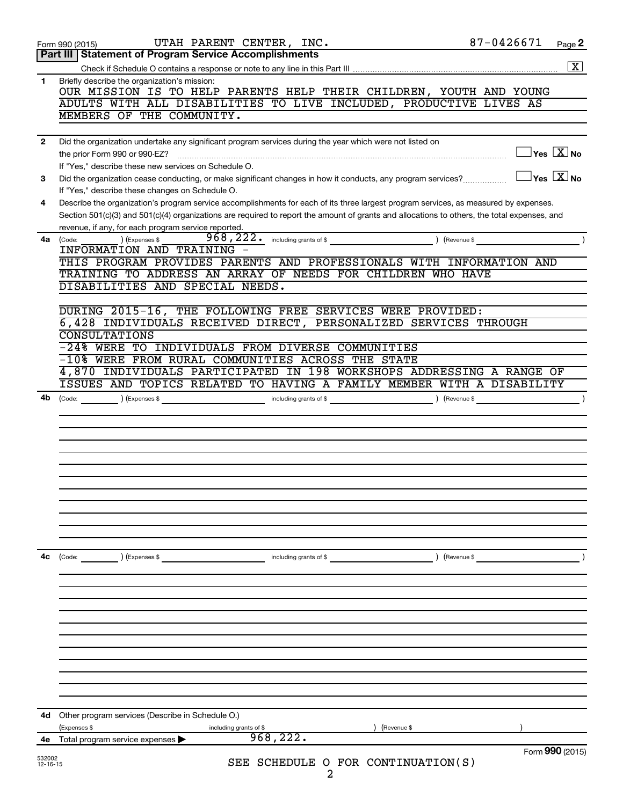|                | UTAH PARENT CENTER, INC.<br>Form 990 (2015)                                                                                                                                                                                                                                          | 87-0426671             | Page 2                                  |
|----------------|--------------------------------------------------------------------------------------------------------------------------------------------------------------------------------------------------------------------------------------------------------------------------------------|------------------------|-----------------------------------------|
|                | <b>Part III   Statement of Program Service Accomplishments</b>                                                                                                                                                                                                                       |                        |                                         |
|                |                                                                                                                                                                                                                                                                                      |                        | $\boxed{\textbf{X}}$                    |
| $\mathbf{1}$   | Briefly describe the organization's mission:                                                                                                                                                                                                                                         |                        |                                         |
|                | OUR MISSION IS TO HELP PARENTS HELP THEIR CHILDREN, YOUTH AND YOUNG                                                                                                                                                                                                                  |                        |                                         |
|                | ADULTS WITH ALL DISABILITIES TO LIVE INCLUDED, PRODUCTIVE LIVES AS                                                                                                                                                                                                                   |                        |                                         |
|                | MEMBERS OF THE COMMUNITY.                                                                                                                                                                                                                                                            |                        |                                         |
|                |                                                                                                                                                                                                                                                                                      |                        |                                         |
| $\mathbf{2}$   | Did the organization undertake any significant program services during the year which were not listed on                                                                                                                                                                             |                        |                                         |
|                | the prior Form 990 or 990-EZ?                                                                                                                                                                                                                                                        |                        | $\Box$ Yes $[\overline{\mathrm{X}}]$ No |
|                | If "Yes," describe these new services on Schedule O.                                                                                                                                                                                                                                 |                        |                                         |
| 3              | Did the organization cease conducting, or make significant changes in how it conducts, any program services?                                                                                                                                                                         |                        | $\Box$ Yes $[\overline{X}]$ No          |
|                | If "Yes," describe these changes on Schedule O.                                                                                                                                                                                                                                      |                        |                                         |
| 4              | Describe the organization's program service accomplishments for each of its three largest program services, as measured by expenses.<br>Section 501(c)(3) and 501(c)(4) organizations are required to report the amount of grants and allocations to others, the total expenses, and |                        |                                         |
|                | revenue, if any, for each program service reported.                                                                                                                                                                                                                                  |                        |                                         |
| 4a             | (Expenses \$<br>(Code)                                                                                                                                                                                                                                                               |                        |                                         |
|                | INFORMATION AND TRAINING -                                                                                                                                                                                                                                                           |                        |                                         |
|                | THIS PROGRAM PROVIDES PARENTS AND PROFESSIONALS WITH INFORMATION AND                                                                                                                                                                                                                 |                        |                                         |
|                | TRAINING TO ADDRESS AN ARRAY OF NEEDS FOR CHILDREN WHO HAVE                                                                                                                                                                                                                          |                        |                                         |
|                | DISABILITIES AND SPECIAL NEEDS.                                                                                                                                                                                                                                                      |                        |                                         |
|                |                                                                                                                                                                                                                                                                                      |                        |                                         |
|                | DURING 2015-16, THE FOLLOWING FREE SERVICES WERE PROVIDED:                                                                                                                                                                                                                           |                        |                                         |
|                | 6,428 INDIVIDUALS RECEIVED DIRECT, PERSONALIZED SERVICES THROUGH                                                                                                                                                                                                                     |                        |                                         |
|                | <b>CONSULTATIONS</b>                                                                                                                                                                                                                                                                 |                        |                                         |
|                | -24% WERE TO INDIVIDUALS FROM DIVERSE COMMUNITIES                                                                                                                                                                                                                                    |                        |                                         |
|                | -10% WERE FROM RURAL COMMUNITIES ACROSS THE STATE                                                                                                                                                                                                                                    |                        |                                         |
|                | 4,870 INDIVIDUALS PARTICIPATED IN 198 WORKSHOPS ADDRESSING A RANGE OF                                                                                                                                                                                                                |                        |                                         |
|                | ISSUES AND TOPICS RELATED TO HAVING A FAMILY MEMBER WITH A DISABILITY                                                                                                                                                                                                                |                        |                                         |
| 4b             | $\left(\text{Code:} \right)$ $\left(\text{Expenses $}\right)$<br>including grants of \$                                                                                                                                                                                              | $\sqrt{3}$ (Revenue \$ |                                         |
|                |                                                                                                                                                                                                                                                                                      |                        |                                         |
|                |                                                                                                                                                                                                                                                                                      |                        |                                         |
|                |                                                                                                                                                                                                                                                                                      |                        |                                         |
|                |                                                                                                                                                                                                                                                                                      |                        |                                         |
|                |                                                                                                                                                                                                                                                                                      |                        |                                         |
|                |                                                                                                                                                                                                                                                                                      |                        |                                         |
|                |                                                                                                                                                                                                                                                                                      |                        |                                         |
|                |                                                                                                                                                                                                                                                                                      |                        |                                         |
|                |                                                                                                                                                                                                                                                                                      |                        |                                         |
|                |                                                                                                                                                                                                                                                                                      |                        |                                         |
|                |                                                                                                                                                                                                                                                                                      |                        |                                         |
| 4с             | $\int$ including grants of \$ $\int$ (Revenue \$ $\int$ ) (Revenue \$ $\int$ )<br>(Code: ) (Expenses \$                                                                                                                                                                              |                        |                                         |
|                |                                                                                                                                                                                                                                                                                      |                        |                                         |
|                |                                                                                                                                                                                                                                                                                      |                        |                                         |
|                |                                                                                                                                                                                                                                                                                      |                        |                                         |
|                |                                                                                                                                                                                                                                                                                      |                        |                                         |
|                |                                                                                                                                                                                                                                                                                      |                        |                                         |
|                |                                                                                                                                                                                                                                                                                      |                        |                                         |
|                |                                                                                                                                                                                                                                                                                      |                        |                                         |
|                |                                                                                                                                                                                                                                                                                      |                        |                                         |
|                |                                                                                                                                                                                                                                                                                      |                        |                                         |
|                |                                                                                                                                                                                                                                                                                      |                        |                                         |
|                |                                                                                                                                                                                                                                                                                      |                        |                                         |
| 4d             | Other program services (Describe in Schedule O.)                                                                                                                                                                                                                                     |                        |                                         |
|                | (Expenses \$<br>including grants of \$<br>(Revenue \$                                                                                                                                                                                                                                |                        |                                         |
| 4e             | 968, 222.<br>Total program service expenses                                                                                                                                                                                                                                          |                        |                                         |
| 532002         |                                                                                                                                                                                                                                                                                      |                        | Form 990 (2015)                         |
| $12 - 16 - 15$ | SEE SCHEDULE O FOR CONTINUATION(S)<br>2                                                                                                                                                                                                                                              |                        |                                         |
|                |                                                                                                                                                                                                                                                                                      |                        |                                         |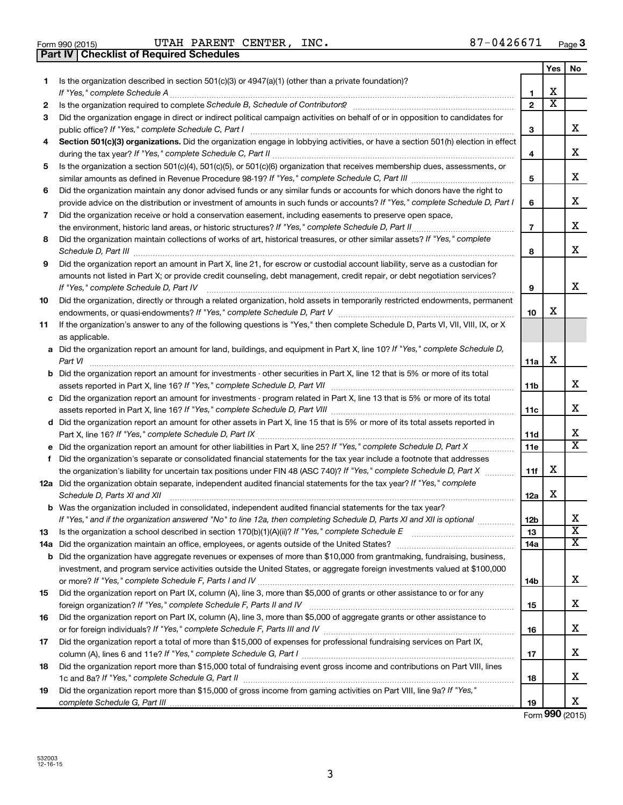**Part IV Checklist of Required Schedules**

Form 990 (2015) U'I'AH P'AREN'I' C'EN'I'ER, INC 。 8 7 - 04 Z b b 7 L Page UTAH PARENT CENTER, INC. 87-0426671

|    |                                                                                                                                                                                                                                                                |                | Yes                     | No      |
|----|----------------------------------------------------------------------------------------------------------------------------------------------------------------------------------------------------------------------------------------------------------------|----------------|-------------------------|---------|
| 1  | Is the organization described in section $501(c)(3)$ or $4947(a)(1)$ (other than a private foundation)?                                                                                                                                                        | 1              | X                       |         |
| 2  | Is the organization required to complete Schedule B, Schedule of Contributors? [11] The organization required to complete Schedule B, Schedule of Contributors?                                                                                                | $\overline{2}$ | $\overline{\textbf{x}}$ |         |
| 3  | Did the organization engage in direct or indirect political campaign activities on behalf of or in opposition to candidates for                                                                                                                                |                |                         |         |
|    |                                                                                                                                                                                                                                                                | з              |                         | х       |
| 4  | Section 501(c)(3) organizations. Did the organization engage in lobbying activities, or have a section 501(h) election in effect                                                                                                                               |                |                         |         |
|    |                                                                                                                                                                                                                                                                | 4              |                         | x       |
| 5  | Is the organization a section 501(c)(4), 501(c)(5), or 501(c)(6) organization that receives membership dues, assessments, or                                                                                                                                   |                |                         |         |
|    |                                                                                                                                                                                                                                                                | 5              |                         | x       |
| 6  | Did the organization maintain any donor advised funds or any similar funds or accounts for which donors have the right to                                                                                                                                      |                |                         |         |
|    | provide advice on the distribution or investment of amounts in such funds or accounts? If "Yes," complete Schedule D, Part I                                                                                                                                   | 6              |                         | х       |
| 7  | Did the organization receive or hold a conservation easement, including easements to preserve open space,                                                                                                                                                      |                |                         |         |
|    |                                                                                                                                                                                                                                                                | $\overline{7}$ |                         | x       |
| 8  | Did the organization maintain collections of works of art, historical treasures, or other similar assets? If "Yes," complete                                                                                                                                   |                |                         |         |
|    | Schedule D, Part III <b>Marting Communities</b> and the contract of the contract of the contract of the contract of the contract of the contract of the contract of the contract of the contract of the contract of the contract of                            | 8              |                         | x       |
| 9  | Did the organization report an amount in Part X, line 21, for escrow or custodial account liability, serve as a custodian for                                                                                                                                  |                |                         |         |
|    | amounts not listed in Part X; or provide credit counseling, debt management, credit repair, or debt negotiation services?                                                                                                                                      |                |                         |         |
|    | If "Yes," complete Schedule D, Part IV                                                                                                                                                                                                                         | 9              |                         | х       |
| 10 | Did the organization, directly or through a related organization, hold assets in temporarily restricted endowments, permanent                                                                                                                                  |                |                         |         |
|    |                                                                                                                                                                                                                                                                | 10             | х                       |         |
| 11 | If the organization's answer to any of the following questions is "Yes," then complete Schedule D, Parts VI, VII, VIII, IX, or X                                                                                                                               |                |                         |         |
|    | as applicable.                                                                                                                                                                                                                                                 |                |                         |         |
|    | a Did the organization report an amount for land, buildings, and equipment in Part X, line 10? If "Yes," complete Schedule D,                                                                                                                                  |                |                         |         |
|    | Part VI                                                                                                                                                                                                                                                        | 11a            | х                       |         |
|    | <b>b</b> Did the organization report an amount for investments - other securities in Part X, line 12 that is 5% or more of its total                                                                                                                           |                |                         |         |
|    |                                                                                                                                                                                                                                                                | <b>11b</b>     |                         | x       |
|    | c Did the organization report an amount for investments - program related in Part X, line 13 that is 5% or more of its total                                                                                                                                   |                |                         |         |
|    |                                                                                                                                                                                                                                                                | 11c            |                         | х       |
|    | d Did the organization report an amount for other assets in Part X, line 15 that is 5% or more of its total assets reported in                                                                                                                                 |                |                         |         |
|    |                                                                                                                                                                                                                                                                | <b>11d</b>     |                         | х       |
|    |                                                                                                                                                                                                                                                                | 11e            |                         | x       |
| f  | Did the organization's separate or consolidated financial statements for the tax year include a footnote that addresses                                                                                                                                        |                |                         |         |
|    | the organization's liability for uncertain tax positions under FIN 48 (ASC 740)? If "Yes," complete Schedule D, Part X                                                                                                                                         | 11f            | х                       |         |
|    | 12a Did the organization obtain separate, independent audited financial statements for the tax year? If "Yes," complete                                                                                                                                        |                |                         |         |
|    | Schedule D, Parts XI and XII                                                                                                                                                                                                                                   | 12a            | х                       |         |
|    | <b>b</b> Was the organization included in consolidated, independent audited financial statements for the tax year?                                                                                                                                             |                |                         |         |
|    | If "Yes," and if the organization answered "No" to line 12a, then completing Schedule D, Parts XI and XII is optional                                                                                                                                          | 12b            |                         | Δ.<br>х |
| 13 |                                                                                                                                                                                                                                                                | 13<br>14a      |                         | x       |
|    |                                                                                                                                                                                                                                                                |                |                         |         |
|    | <b>b</b> Did the organization have aggregate revenues or expenses of more than \$10,000 from grantmaking, fundraising, business,<br>investment, and program service activities outside the United States, or aggregate foreign investments valued at \$100,000 |                |                         |         |
|    |                                                                                                                                                                                                                                                                | 14b            |                         | x       |
| 15 | Did the organization report on Part IX, column (A), line 3, more than \$5,000 of grants or other assistance to or for any                                                                                                                                      |                |                         |         |
|    |                                                                                                                                                                                                                                                                | 15             |                         | х       |
| 16 | Did the organization report on Part IX, column (A), line 3, more than \$5,000 of aggregate grants or other assistance to                                                                                                                                       |                |                         |         |
|    |                                                                                                                                                                                                                                                                | 16             |                         | х       |
| 17 | Did the organization report a total of more than \$15,000 of expenses for professional fundraising services on Part IX,                                                                                                                                        |                |                         |         |
|    |                                                                                                                                                                                                                                                                | 17             |                         | х       |
| 18 | Did the organization report more than \$15,000 total of fundraising event gross income and contributions on Part VIII, lines                                                                                                                                   |                |                         |         |
|    |                                                                                                                                                                                                                                                                | 18             |                         | х       |
| 19 | Did the organization report more than \$15,000 of gross income from gaming activities on Part VIII, line 9a? If "Yes,"                                                                                                                                         |                |                         |         |
|    |                                                                                                                                                                                                                                                                | 19             |                         | x       |

Form **990** (2015)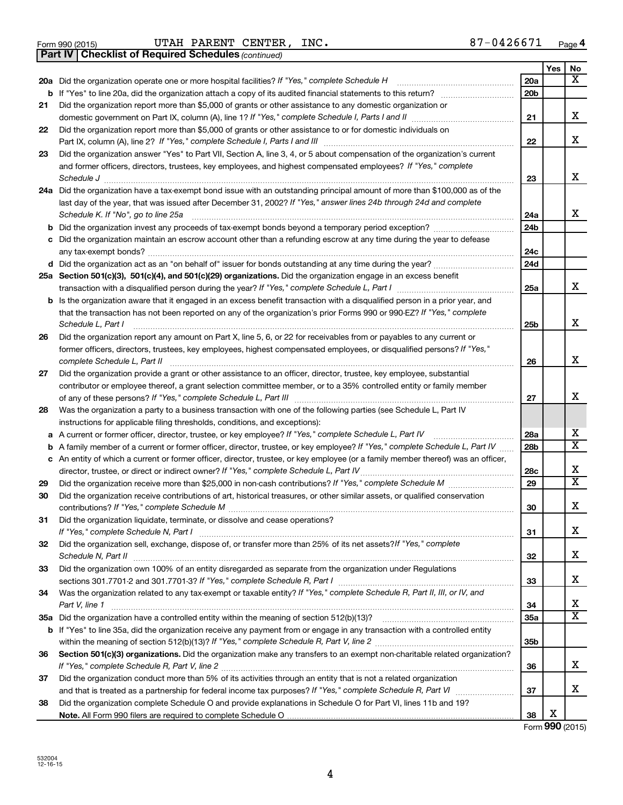Form 990 (2015) Page UTAH PARENT CENTER, INC. 87-0426671

*(continued)* **Part IV Checklist of Required Schedules**

|     |                                                                                                                                                                                                |                 | Yes | No                      |
|-----|------------------------------------------------------------------------------------------------------------------------------------------------------------------------------------------------|-----------------|-----|-------------------------|
|     | 20a Did the organization operate one or more hospital facilities? If "Yes," complete Schedule H                                                                                                | 20a             |     | $\overline{\mathbf{X}}$ |
| b   | If "Yes" to line 20a, did the organization attach a copy of its audited financial statements to this return?                                                                                   | 20 <sub>b</sub> |     |                         |
| 21  | Did the organization report more than \$5,000 of grants or other assistance to any domestic organization or                                                                                    |                 |     |                         |
|     |                                                                                                                                                                                                | 21              |     | X                       |
| 22  | Did the organization report more than \$5,000 of grants or other assistance to or for domestic individuals on                                                                                  |                 |     |                         |
|     | Part IX, column (A), line 2? If "Yes," complete Schedule I, Parts I and III                                                                                                                    | 22              |     | X                       |
| 23  | Did the organization answer "Yes" to Part VII, Section A, line 3, 4, or 5 about compensation of the organization's current                                                                     |                 |     |                         |
|     | and former officers, directors, trustees, key employees, and highest compensated employees? If "Yes," complete                                                                                 |                 |     |                         |
|     | Schedule J                                                                                                                                                                                     | 23              |     | x                       |
| 24a | Did the organization have a tax-exempt bond issue with an outstanding principal amount of more than \$100,000 as of the                                                                        |                 |     |                         |
|     | last day of the year, that was issued after December 31, 2002? If "Yes," answer lines 24b through 24d and complete                                                                             |                 |     |                         |
|     | Schedule K. If "No", go to line 25a                                                                                                                                                            | 24a             |     | x                       |
| b   |                                                                                                                                                                                                | 24b             |     |                         |
| с   | Did the organization maintain an escrow account other than a refunding escrow at any time during the year to defease                                                                           |                 |     |                         |
|     | any tax-exempt bonds?                                                                                                                                                                          | 24c             |     |                         |
|     |                                                                                                                                                                                                | 24d             |     |                         |
|     | 25a Section 501(c)(3), 501(c)(4), and 501(c)(29) organizations. Did the organization engage in an excess benefit                                                                               |                 |     |                         |
|     | transaction with a disqualified person during the year? If "Yes," complete Schedule L, Part I manual content of the disqualified person during the year? If "Yes," complete Schedule L, Part I | 25a             |     | X                       |
| b   | Is the organization aware that it engaged in an excess benefit transaction with a disqualified person in a prior year, and                                                                     |                 |     |                         |
|     | that the transaction has not been reported on any of the organization's prior Forms 990 or 990-EZ? If "Yes," complete                                                                          |                 |     | X                       |
|     | Schedule L, Part I                                                                                                                                                                             | 25b             |     |                         |
| 26  | Did the organization report any amount on Part X, line 5, 6, or 22 for receivables from or payables to any current or                                                                          |                 |     |                         |
|     | former officers, directors, trustees, key employees, highest compensated employees, or disqualified persons? If "Yes,"<br>complete Schedule L, Part II                                         | 26              |     | X                       |
| 27  | Did the organization provide a grant or other assistance to an officer, director, trustee, key employee, substantial                                                                           |                 |     |                         |
|     | contributor or employee thereof, a grant selection committee member, or to a 35% controlled entity or family member                                                                            |                 |     |                         |
|     |                                                                                                                                                                                                | 27              |     | X                       |
| 28  | Was the organization a party to a business transaction with one of the following parties (see Schedule L, Part IV                                                                              |                 |     |                         |
|     | instructions for applicable filing thresholds, conditions, and exceptions):                                                                                                                    |                 |     |                         |
| а   | A current or former officer, director, trustee, or key employee? If "Yes," complete Schedule L, Part IV                                                                                        | 28a             |     | х                       |
| b   | A family member of a current or former officer, director, trustee, or key employee? If "Yes," complete Schedule L, Part IV                                                                     | 28b             |     | $\overline{\text{X}}$   |
| с   | An entity of which a current or former officer, director, trustee, or key employee (or a family member thereof) was an officer,                                                                |                 |     |                         |
|     | director, trustee, or direct or indirect owner? If "Yes," complete Schedule L, Part IV                                                                                                         | 28c             |     | х                       |
| 29  |                                                                                                                                                                                                | 29              |     | $\overline{\textbf{x}}$ |
| 30  | Did the organization receive contributions of art, historical treasures, or other similar assets, or qualified conservation                                                                    |                 |     |                         |
|     |                                                                                                                                                                                                | 30              |     | X                       |
| 31  | Did the organization liquidate, terminate, or dissolve and cease operations?                                                                                                                   |                 |     |                         |
|     |                                                                                                                                                                                                | 31              |     | X                       |
| 32  | Did the organization sell, exchange, dispose of, or transfer more than 25% of its net assets? If "Yes," complete                                                                               |                 |     |                         |
|     | Schedule N, Part II                                                                                                                                                                            | 32              |     | х                       |
| 33  | Did the organization own 100% of an entity disregarded as separate from the organization under Regulations                                                                                     |                 |     |                         |
|     |                                                                                                                                                                                                | 33              |     | x                       |
| 34  | Was the organization related to any tax-exempt or taxable entity? If "Yes," complete Schedule R, Part II, III, or IV, and                                                                      |                 |     |                         |
|     | Part V, line 1                                                                                                                                                                                 | 34              |     | х                       |
| 35a |                                                                                                                                                                                                | <b>35a</b>      |     | X                       |
| b   | If "Yes" to line 35a, did the organization receive any payment from or engage in any transaction with a controlled entity                                                                      |                 |     |                         |
|     |                                                                                                                                                                                                | 35b             |     |                         |
| 36  | Section 501(c)(3) organizations. Did the organization make any transfers to an exempt non-charitable related organization?                                                                     |                 |     |                         |
|     |                                                                                                                                                                                                | 36              |     | x                       |
| 37  | Did the organization conduct more than 5% of its activities through an entity that is not a related organization                                                                               |                 |     |                         |
|     |                                                                                                                                                                                                | 37              |     | х                       |
| 38  | Did the organization complete Schedule O and provide explanations in Schedule O for Part VI, lines 11b and 19?                                                                                 |                 | х   |                         |
|     |                                                                                                                                                                                                | 38              |     |                         |

Form **990** (2015)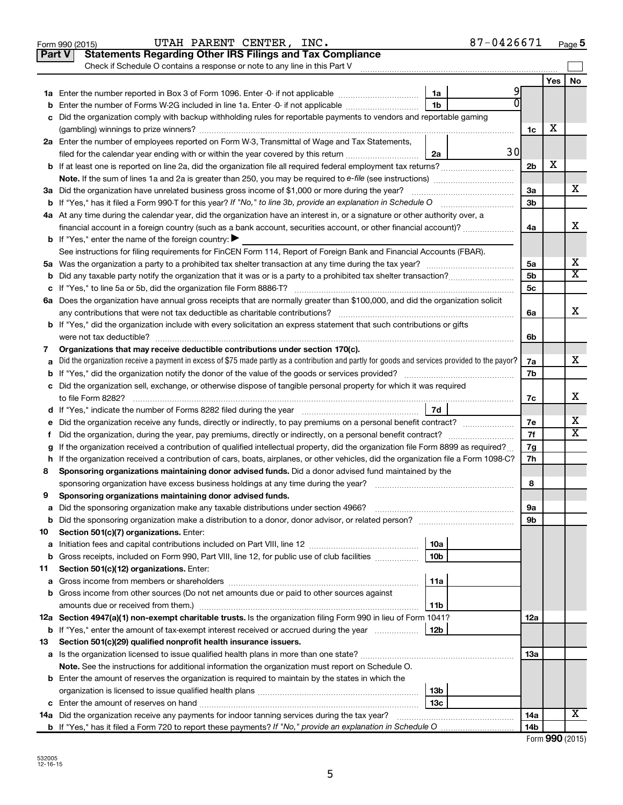|               | UTAH PARENT CENTER, INC.<br>Form 990 (2015)                                                                                                          | 87-0426671      |                |     | Page 5                  |  |
|---------------|------------------------------------------------------------------------------------------------------------------------------------------------------|-----------------|----------------|-----|-------------------------|--|
| <b>Part V</b> | <b>Statements Regarding Other IRS Filings and Tax Compliance</b>                                                                                     |                 |                |     |                         |  |
|               | Check if Schedule O contains a response or note to any line in this Part V                                                                           |                 |                |     |                         |  |
|               |                                                                                                                                                      |                 |                | Yes | No                      |  |
|               |                                                                                                                                                      | 1a              |                |     |                         |  |
| b             | Enter the number of Forms W-2G included in line 1a. Enter -0- if not applicable                                                                      | 1b              |                |     |                         |  |
|               | c Did the organization comply with backup withholding rules for reportable payments to vendors and reportable gaming                                 |                 |                |     |                         |  |
|               |                                                                                                                                                      |                 | 1c             | х   |                         |  |
|               | 2a Enter the number of employees reported on Form W-3, Transmittal of Wage and Tax Statements,                                                       |                 |                |     |                         |  |
|               | filed for the calendar year ending with or within the year covered by this return                                                                    | 30<br>2a        |                |     |                         |  |
|               |                                                                                                                                                      |                 | 2 <sub>b</sub> | х   |                         |  |
|               |                                                                                                                                                      |                 |                |     |                         |  |
|               | 3a Did the organization have unrelated business gross income of \$1,000 or more during the year?                                                     |                 | За             |     | x                       |  |
|               |                                                                                                                                                      |                 | 3 <sub>b</sub> |     |                         |  |
|               | 4a At any time during the calendar year, did the organization have an interest in, or a signature or other authority over, a                         |                 |                |     |                         |  |
|               | financial account in a foreign country (such as a bank account, securities account, or other financial account)?                                     |                 | 4a             |     | X                       |  |
|               | <b>b</b> If "Yes," enter the name of the foreign country: $\blacktriangleright$                                                                      |                 |                |     |                         |  |
|               | See instructions for filing requirements for FinCEN Form 114, Report of Foreign Bank and Financial Accounts (FBAR).                                  |                 |                |     |                         |  |
|               |                                                                                                                                                      |                 | 5a             |     | х                       |  |
|               | <b>b</b> Did any taxable party notify the organization that it was or is a party to a prohibited tax shelter transaction?                            |                 | 5b             |     | $\overline{\texttt{x}}$ |  |
|               |                                                                                                                                                      |                 | 5c             |     |                         |  |
|               | 6a Does the organization have annual gross receipts that are normally greater than \$100,000, and did the organization solicit                       |                 |                |     |                         |  |
|               | any contributions that were not tax deductible as charitable contributions?                                                                          |                 | 6a             |     | х                       |  |
|               | b If "Yes," did the organization include with every solicitation an express statement that such contributions or gifts                               |                 |                |     |                         |  |
|               | were not tax deductible?                                                                                                                             |                 | 6b             |     |                         |  |
| 7             | Organizations that may receive deductible contributions under section 170(c).                                                                        |                 |                |     |                         |  |
|               | Did the organization receive a payment in excess of \$75 made partly as a contribution and partly for goods and services provided to the payor?<br>a |                 |                |     |                         |  |
|               |                                                                                                                                                      |                 | 7b             |     |                         |  |
|               | c Did the organization sell, exchange, or otherwise dispose of tangible personal property for which it was required                                  |                 |                |     |                         |  |
|               | to file Form 8282?                                                                                                                                   |                 | 7c             |     | X                       |  |
|               | d If "Yes," indicate the number of Forms 8282 filed during the year manufactured intervent in the set of the N                                       | 7d              |                |     |                         |  |
| е             | Did the organization receive any funds, directly or indirectly, to pay premiums on a personal benefit contract?                                      |                 | 7e             |     | х                       |  |
| f.            | Did the organization, during the year, pay premiums, directly or indirectly, on a personal benefit contract?                                         |                 | 7f             |     | $\overline{\text{x}}$   |  |
| g             | If the organization received a contribution of qualified intellectual property, did the organization file Form 8899 as required?                     |                 | 7g             |     |                         |  |
|               | h If the organization received a contribution of cars, boats, airplanes, or other vehicles, did the organization file a Form 1098-C?                 |                 | 7h             |     |                         |  |
| 8             | Sponsoring organizations maintaining donor advised funds. Did a donor advised fund maintained by the                                                 |                 |                |     |                         |  |
|               | sponsoring organization have excess business holdings at any time during the year?                                                                   |                 | 8              |     |                         |  |
| 9             | Sponsoring organizations maintaining donor advised funds.                                                                                            |                 |                |     |                         |  |
| а             | Did the sponsoring organization make any taxable distributions under section 4966?                                                                   |                 | 9а             |     |                         |  |
| b             |                                                                                                                                                      |                 | 9b             |     |                         |  |
| 10            | Section 501(c)(7) organizations. Enter:                                                                                                              |                 |                |     |                         |  |
| а             |                                                                                                                                                      | 10a             |                |     |                         |  |
| b             | Gross receipts, included on Form 990, Part VIII, line 12, for public use of club facilities                                                          | 10b             |                |     |                         |  |
| 11            | Section 501(c)(12) organizations. Enter:                                                                                                             |                 |                |     |                         |  |
| а             |                                                                                                                                                      | 11a             |                |     |                         |  |
| b             | Gross income from other sources (Do not net amounts due or paid to other sources against                                                             |                 |                |     |                         |  |
|               |                                                                                                                                                      | 11b             |                |     |                         |  |
|               | 12a Section 4947(a)(1) non-exempt charitable trusts. Is the organization filing Form 990 in lieu of Form 1041?                                       |                 | 12a            |     |                         |  |
| b             | If "Yes," enter the amount of tax-exempt interest received or accrued during the year                                                                | 12b             |                |     |                         |  |
| 13            | Section 501(c)(29) qualified nonprofit health insurance issuers.                                                                                     |                 |                |     |                         |  |
|               |                                                                                                                                                      |                 | 13a            |     |                         |  |
|               | Note. See the instructions for additional information the organization must report on Schedule O.                                                    |                 |                |     |                         |  |
|               | <b>b</b> Enter the amount of reserves the organization is required to maintain by the states in which the                                            |                 |                |     |                         |  |
|               |                                                                                                                                                      | 13 <sub>b</sub> |                |     |                         |  |
|               |                                                                                                                                                      | 13с             |                |     |                         |  |
|               | <b>14a</b> Did the organization receive any payments for indoor tanning services during the tax year?                                                |                 | 14a            |     | X                       |  |
|               |                                                                                                                                                      |                 | 14b            |     |                         |  |

| Form 990 (2015) |  |
|-----------------|--|
|-----------------|--|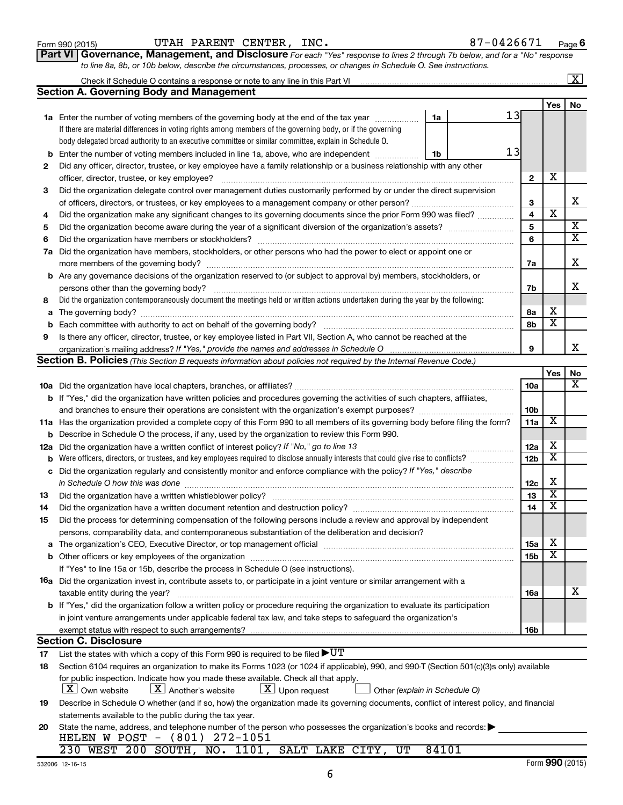|  |  | -- |  |
|--|--|----|--|
|  |  |    |  |
|  |  |    |  |
|  |  |    |  |
|  |  |    |  |

|    | persons, comparability data, and contemporaneous substantiation of the deliberation and decision?                                                                                                                              |     |   |
|----|--------------------------------------------------------------------------------------------------------------------------------------------------------------------------------------------------------------------------------|-----|---|
| a  | The organization's CEO, Executive Director, or top management official manufactured content of the organization's CEO, Executive Director, or top management official manufactured content of the state of the state of the st | 15a | х |
| b  |                                                                                                                                                                                                                                | 15b | x |
|    | If "Yes" to line 15a or 15b, describe the process in Schedule O (see instructions).                                                                                                                                            |     |   |
|    | <b>16a</b> Did the organization invest in, contribute assets to, or participate in a joint venture or similar arrangement with a                                                                                               |     |   |
|    | taxable entity during the year?                                                                                                                                                                                                | 16a |   |
|    | <b>b</b> If "Yes," did the organization follow a written policy or procedure requiring the organization to evaluate its participation                                                                                          |     |   |
|    | in joint venture arrangements under applicable federal tax law, and take steps to safeguard the organization's                                                                                                                 |     |   |
|    |                                                                                                                                                                                                                                | 16b |   |
|    | <b>Section C. Disclosure</b>                                                                                                                                                                                                   |     |   |
| 17 | List the states with which a copy of this Form 990 is required to be filed $\blacktriangleright \text{UT}$                                                                                                                     |     |   |
| 18 | Section 6104 requires an organization to make its Forms 1023 (or 1024 if applicable), 990, and 990-T (Section 501(c)(3)s only) available                                                                                       |     |   |
|    | for public inspection. Indicate how you made these available. Check all that apply.                                                                                                                                            |     |   |
|    | $\boxed{\textbf{X}}$ Own website $\boxed{\textbf{X}}$ Another's website $\boxed{\textbf{X}}$ Upon request $\boxed{\phantom{\textbf{X}}}$ Other (explain in Schedule O)                                                         |     |   |
| 19 | Describe in Schedule O whether (and if so, how) the organization made its governing documents, conflict of interest policy, and financial                                                                                      |     |   |
|    | statements available to the public during the tax year.                                                                                                                                                                        |     |   |
| 20 | State the name, address, and telephone number of the person who possesses the organization's books and records:                                                                                                                |     |   |
|    | HELEN W POST - (801) 272-1051                                                                                                                                                                                                  |     |   |
|    | 230 WEST 200 SOUTH, NO. 1101, SALT LAKE CITY,<br>UT<br>84101                                                                                                                                                                   |     |   |

6

#### Form 990 (2015) Page UTAH PARENT CENTER, INC. 87-0426671

Check if Schedule O contains a response or note to any line in this Part VI

**6**

 $\boxed{\text{X}}$ 

Form (2015) **990**

| Part VI   Governance, Management, and Disclosure For each "Yes" response to lines 2 through 7b below, and for a "No" response |  |
|-------------------------------------------------------------------------------------------------------------------------------|--|
| to line 8a, 8b, or 10b below, describe the circumstances, processes, or changes in Schedule O. See instructions.              |  |

|     | <b>Section A. Governing Body and Management</b>                                                                                                                                                                               |    |  |    |                         |                              |                         |
|-----|-------------------------------------------------------------------------------------------------------------------------------------------------------------------------------------------------------------------------------|----|--|----|-------------------------|------------------------------|-------------------------|
|     |                                                                                                                                                                                                                               |    |  |    |                         | Yes                          | <b>No</b>               |
|     | 1a Enter the number of voting members of the governing body at the end of the tax year <i>manumum</i>                                                                                                                         | 1a |  | 13 |                         |                              |                         |
|     | If there are material differences in voting rights among members of the governing body, or if the governing                                                                                                                   |    |  |    |                         |                              |                         |
|     | body delegated broad authority to an executive committee or similar committee, explain in Schedule O.                                                                                                                         |    |  |    |                         |                              |                         |
|     | 13<br><b>b</b> Enter the number of voting members included in line 1a, above, who are independent <i>manumum</i><br>1b                                                                                                        |    |  |    |                         |                              |                         |
| 2   | Did any officer, director, trustee, or key employee have a family relationship or a business relationship with any other                                                                                                      |    |  |    |                         |                              |                         |
|     |                                                                                                                                                                                                                               |    |  |    | $\mathbf{2}$            | X                            |                         |
| З   | Did the organization delegate control over management duties customarily performed by or under the direct supervision                                                                                                         |    |  |    |                         |                              |                         |
|     |                                                                                                                                                                                                                               |    |  |    |                         |                              |                         |
| 4   | Did the organization make any significant changes to its governing documents since the prior Form 990 was filed?                                                                                                              |    |  |    | $\overline{\mathbf{4}}$ | $\overline{\textbf{x}}$      |                         |
| 5   |                                                                                                                                                                                                                               |    |  |    | 5                       |                              | $\overline{\mathbf{X}}$ |
| 6   |                                                                                                                                                                                                                               |    |  |    | 6                       |                              | $\overline{\mathtt{x}}$ |
|     | 7a Did the organization have members, stockholders, or other persons who had the power to elect or appoint one or                                                                                                             |    |  |    |                         |                              |                         |
|     |                                                                                                                                                                                                                               |    |  |    | 7a                      |                              | x                       |
|     | <b>b</b> Are any governance decisions of the organization reserved to (or subject to approval by) members, stockholders, or                                                                                                   |    |  |    |                         |                              |                         |
|     | persons other than the governing body?                                                                                                                                                                                        |    |  |    | 7b                      |                              | x                       |
| 8   | Did the organization contemporaneously document the meetings held or written actions undertaken during the year by the following:                                                                                             |    |  |    |                         |                              |                         |
|     |                                                                                                                                                                                                                               |    |  |    | 8a                      | х                            |                         |
| b   |                                                                                                                                                                                                                               |    |  |    | 8b                      | $\overline{\text{x}}$        |                         |
| 9   | Is there any officer, director, trustee, or key employee listed in Part VII, Section A, who cannot be reached at the                                                                                                          |    |  |    |                         |                              |                         |
|     |                                                                                                                                                                                                                               |    |  |    | 9                       |                              | X                       |
|     | Section B. Policies (This Section B requests information about policies not required by the Internal Revenue Code.)                                                                                                           |    |  |    |                         |                              |                         |
|     |                                                                                                                                                                                                                               |    |  |    |                         | Yes                          | No                      |
|     |                                                                                                                                                                                                                               |    |  |    | <b>10a</b>              |                              | $\mathbf x$             |
|     | b If "Yes," did the organization have written policies and procedures governing the activities of such chapters, affiliates,                                                                                                  |    |  |    |                         |                              |                         |
|     |                                                                                                                                                                                                                               |    |  |    |                         |                              |                         |
|     | 11a Has the organization provided a complete copy of this Form 990 to all members of its governing body before filing the form?                                                                                               |    |  |    |                         |                              |                         |
|     | <b>b</b> Describe in Schedule O the process, if any, used by the organization to review this Form 990.                                                                                                                        |    |  |    |                         |                              |                         |
| 12a | Did the organization have a written conflict of interest policy? If "No," go to line 13                                                                                                                                       |    |  |    | 12a                     | х                            |                         |
| b   |                                                                                                                                                                                                                               |    |  |    | 12 <sub>b</sub>         | $\overline{\text{x}}$        |                         |
|     | c Did the organization regularly and consistently monitor and enforce compliance with the policy? If "Yes," describe                                                                                                          |    |  |    |                         |                              |                         |
|     | in Schedule O how this was done manufactured and continuum and contact the was done manufactured and contact t                                                                                                                |    |  |    | 12c                     | х                            |                         |
| 13  |                                                                                                                                                                                                                               |    |  |    | 13                      | $\overline{\textbf{x}}$      |                         |
| 14  | Did the organization have a written document retention and destruction policy? [11] manufaction manufaction in                                                                                                                |    |  |    | 14                      | $\overline{\text{x}}$        |                         |
| 15  | Did the process for determining compensation of the following persons include a review and approval by independent                                                                                                            |    |  |    |                         |                              |                         |
|     | persons, comparability data, and contemporaneous substantiation of the deliberation and decision?                                                                                                                             |    |  |    |                         |                              |                         |
| а   | The organization's CEO, Executive Director, or top management official manufactured content content of the organization's CEO, Executive Director, or top management official manufactured content of the original content of |    |  |    | 15a                     | Χ<br>$\overline{\textbf{x}}$ |                         |
|     | <b>b</b> Other officers or key employees of the organization                                                                                                                                                                  |    |  |    | 15b                     |                              |                         |
|     | If "Yes" to line 15a or 15b, describe the process in Schedule O (see instructions).                                                                                                                                           |    |  |    |                         |                              |                         |
|     | 16a Did the organization invest in, contribute assets to, or participate in a joint venture or similar arrangement with a                                                                                                     |    |  |    |                         |                              | х                       |
|     | taxable entity during the year?                                                                                                                                                                                               |    |  |    | 16a                     |                              |                         |
|     | b If "Yes," did the organization follow a written policy or procedure requiring the organization to evaluate its participation                                                                                                |    |  |    |                         |                              |                         |
|     | in joint venture arrangements under applicable federal tax law, and take steps to safeguard the organization's                                                                                                                |    |  |    |                         |                              |                         |
|     | exempt status with respect to such arrangements?                                                                                                                                                                              |    |  |    | 16b                     |                              |                         |
|     | <b>Section C. Disclosure</b>                                                                                                                                                                                                  |    |  |    |                         |                              |                         |
| 17  | List the states with which a copy of this Form 990 is required to be filed $\blacktriangleright \texttt{UT}$                                                                                                                  |    |  |    |                         |                              |                         |
| 18  | Section 6104 requires an organization to make its Forms 1023 (or 1024 if applicable), 990, and 990-T (Section 501(c)(3)s only) available                                                                                      |    |  |    |                         |                              |                         |
|     | for public inspection. Indicate how you made these available. Check all that apply.<br>$\lfloor x \rfloor$ Upon request<br><b>X</b> Own website<br>$\lfloor X \rfloor$ Another's website                                      |    |  |    |                         |                              |                         |
|     | Other (explain in Schedule O)                                                                                                                                                                                                 |    |  |    |                         |                              |                         |
| 19  | Describe in Schedule O whether (and if so, how) the organization made its governing documents, conflict of interest policy, and financial                                                                                     |    |  |    |                         |                              |                         |
|     | statements available to the public during the tax year.                                                                                                                                                                       |    |  |    |                         |                              |                         |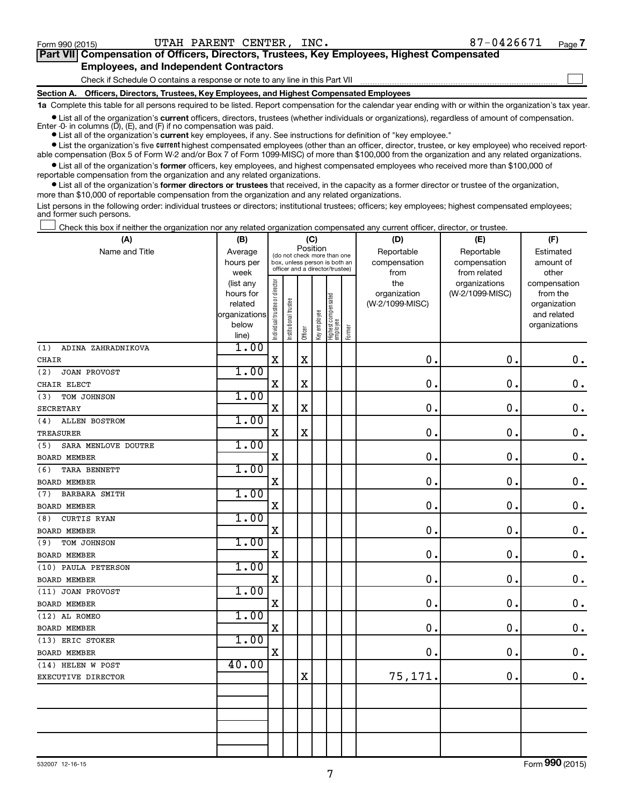$\Box$ 

| Part VII Compensation of Officers, Directors, Trustees, Key Employees, Highest Compensated |  |  |
|--------------------------------------------------------------------------------------------|--|--|
| <b>Employees, and Independent Contractors</b>                                              |  |  |

Check if Schedule O contains a response or note to any line in this Part VII

**Section A. Officers, Directors, Trustees, Key Employees, and Highest Compensated Employees**

**1a**  Complete this table for all persons required to be listed. Report compensation for the calendar year ending with or within the organization's tax year.

 $\bullet$  List all of the organization's current officers, directors, trustees (whether individuals or organizations), regardless of amount of compensation. Enter  $-0$ - in columns  $(D)$ ,  $(E)$ , and  $(F)$  if no compensation was paid.

**•** List all of the organization's **current** key employees, if any. See instructions for definition of "key employee."

**•** List the organization's five current highest compensated employees (other than an officer, director, trustee, or key employee) who received reportable compensation (Box 5 of Form W-2 and/or Box 7 of Form 1099-MISC) of more than \$100,000 from the organization and any related organizations.

**•** List all of the organization's former officers, key employees, and highest compensated employees who received more than \$100,000 of reportable compensation from the organization and any related organizations.

**•** List all of the organization's former directors or trustees that received, in the capacity as a former director or trustee of the organization, more than \$10,000 of reportable compensation from the organization and any related organizations.

List persons in the following order: individual trustees or directors; institutional trustees; officers; key employees; highest compensated employees; and former such persons.

Check this box if neither the organization nor any related organization compensated any current officer, director, or trustee.  $\Box$ 

| (A)                         | (B)                    | (C)                                                                                                         |                       |             |              |                                 |        | (D)             | (E)             | (F)                          |
|-----------------------------|------------------------|-------------------------------------------------------------------------------------------------------------|-----------------------|-------------|--------------|---------------------------------|--------|-----------------|-----------------|------------------------------|
| Name and Title              | Average                | Position<br>(do not check more than one<br>box, unless person is both an<br>officer and a director/trustee) |                       |             |              |                                 |        | Reportable      | Reportable      | Estimated                    |
|                             | hours per              |                                                                                                             |                       |             |              |                                 |        | compensation    | compensation    | amount of                    |
|                             | week                   |                                                                                                             |                       |             |              |                                 |        | from            | from related    | other                        |
|                             | (list any              |                                                                                                             |                       |             |              |                                 |        | the             | organizations   | compensation                 |
|                             | hours for              |                                                                                                             |                       |             |              |                                 |        | organization    | (W-2/1099-MISC) | from the                     |
|                             | related                |                                                                                                             |                       |             |              |                                 |        | (W-2/1099-MISC) |                 | organization                 |
|                             | organizations<br>below |                                                                                                             |                       |             |              |                                 |        |                 |                 | and related<br>organizations |
|                             | line)                  | Individual trustee or director                                                                              | Institutional trustee | Officer     | Key employee | Highest compensated<br>employee | Former |                 |                 |                              |
| ADINA ZAHRADNIKOVA<br>(1)   | 1.00                   |                                                                                                             |                       |             |              |                                 |        |                 |                 |                              |
| <b>CHAIR</b>                |                        | $\mathbf X$                                                                                                 |                       | $\mathbf X$ |              |                                 |        | 0.              | 0.              | $\mathbf 0$ .                |
| JOAN PROVOST<br>(2)         | 1.00                   |                                                                                                             |                       |             |              |                                 |        |                 |                 |                              |
| CHAIR ELECT                 |                        | X                                                                                                           |                       | $\mathbf X$ |              |                                 |        | 0.              | $\mathbf 0$ .   | $\mathbf 0$ .                |
| TOM JOHNSON<br>(3)          | 1.00                   |                                                                                                             |                       |             |              |                                 |        |                 |                 |                              |
| SECRETARY                   |                        | X                                                                                                           |                       | $\mathbf x$ |              |                                 |        | $\mathbf{0}$ .  | $\mathbf 0$ .   | $\mathbf 0$ .                |
| <b>ALLEN BOSTROM</b><br>(4) | 1.00                   |                                                                                                             |                       |             |              |                                 |        |                 |                 |                              |
| <b>TREASURER</b>            |                        | X                                                                                                           |                       | X           |              |                                 |        | 0.              | $\mathbf 0$ .   | $\mathbf 0$ .                |
| SARA MENLOVE DOUTRE<br>(5)  | 1.00                   |                                                                                                             |                       |             |              |                                 |        |                 |                 |                              |
| <b>BOARD MEMBER</b>         |                        | $\mathbf X$                                                                                                 |                       |             |              |                                 |        | 0.              | $\mathbf 0$ .   | $\mathbf 0$ .                |
| TARA BENNETT<br>(6)         | 1.00                   |                                                                                                             |                       |             |              |                                 |        |                 |                 |                              |
| BOARD MEMBER                |                        | X                                                                                                           |                       |             |              |                                 |        | $\mathbf 0$ .   | $\mathbf 0$ .   | $\mathbf 0$ .                |
| BARBARA SMITH<br>(7)        | 1.00                   |                                                                                                             |                       |             |              |                                 |        |                 |                 |                              |
| BOARD MEMBER                |                        | X                                                                                                           |                       |             |              |                                 |        | $\mathbf 0$ .   | $\mathbf 0$ .   | $\mathbf 0$ .                |
| CURTIS RYAN<br>(8)          | 1.00                   |                                                                                                             |                       |             |              |                                 |        |                 |                 |                              |
| <b>BOARD MEMBER</b>         |                        | X                                                                                                           |                       |             |              |                                 |        | 0.              | $\mathbf 0$ .   | $\mathbf 0$ .                |
| TOM JOHNSON<br>(9)          | 1.00                   |                                                                                                             |                       |             |              |                                 |        |                 |                 |                              |
| <b>BOARD MEMBER</b>         |                        | X                                                                                                           |                       |             |              |                                 |        | 0.              | $\mathbf 0$ .   | $\mathbf 0$ .                |
| (10) PAULA PETERSON         | 1.00                   |                                                                                                             |                       |             |              |                                 |        |                 |                 |                              |
| BOARD MEMBER                |                        | X                                                                                                           |                       |             |              |                                 |        | $\mathbf 0$ .   | $\mathbf 0$ .   | $\mathbf 0$ .                |
| (11) JOAN PROVOST           | 1.00                   |                                                                                                             |                       |             |              |                                 |        |                 |                 |                              |
| <b>BOARD MEMBER</b>         |                        | X                                                                                                           |                       |             |              |                                 |        | $\mathbf 0$ .   | $\mathbf 0$ .   | 0.                           |
| (12) AL ROMEO               | 1.00                   |                                                                                                             |                       |             |              |                                 |        |                 |                 |                              |
| <b>BOARD MEMBER</b>         |                        | X                                                                                                           |                       |             |              |                                 |        | $\mathbf 0$ .   | $\mathbf 0$ .   | 0.                           |
| (13) ERIC STOKER            | 1.00                   |                                                                                                             |                       |             |              |                                 |        |                 |                 |                              |
| BOARD MEMBER                |                        | $\mathbf X$                                                                                                 |                       |             |              |                                 |        | 0.              | $\mathbf 0$ .   | $\mathbf 0$ .                |
| (14) HELEN W POST           | 40.00                  |                                                                                                             |                       |             |              |                                 |        |                 |                 |                              |
| EXECUTIVE DIRECTOR          |                        |                                                                                                             |                       | $\mathbf X$ |              |                                 |        | 75,171.         | $\mathbf 0$ .   | 0.                           |
|                             |                        |                                                                                                             |                       |             |              |                                 |        |                 |                 |                              |
|                             |                        |                                                                                                             |                       |             |              |                                 |        |                 |                 |                              |
|                             |                        |                                                                                                             |                       |             |              |                                 |        |                 |                 |                              |
|                             |                        |                                                                                                             |                       |             |              |                                 |        |                 |                 |                              |
|                             |                        |                                                                                                             |                       |             |              |                                 |        |                 |                 |                              |
|                             |                        |                                                                                                             |                       |             |              |                                 |        |                 |                 |                              |

Form (2015) **990**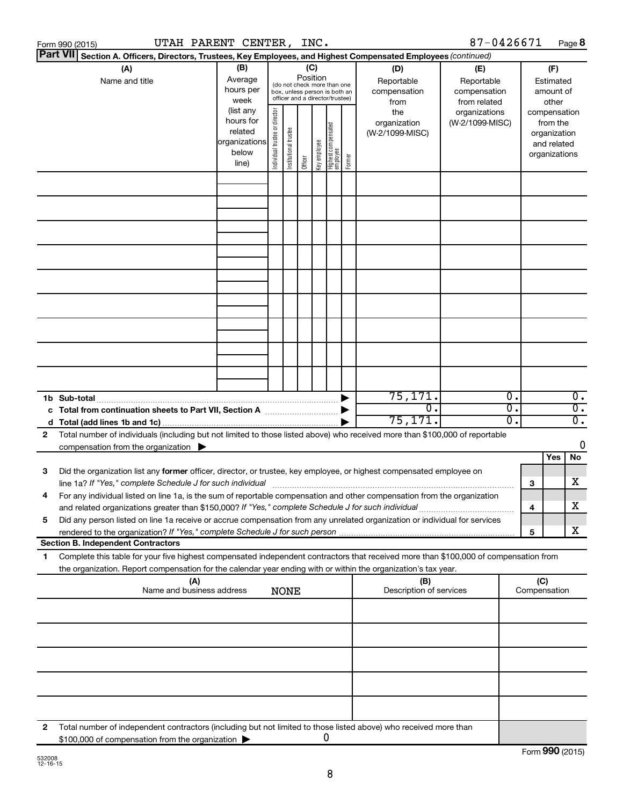|    | UTAH PARENT CENTER, INC.<br>Form 990 (2015)                                                                                                                                                                                                            |                                                                              |                                                                                 |                       |         |              |                                                                        |        |                                                | 87-0426671                                       |              |                                                                                   | Page 8                               |
|----|--------------------------------------------------------------------------------------------------------------------------------------------------------------------------------------------------------------------------------------------------------|------------------------------------------------------------------------------|---------------------------------------------------------------------------------|-----------------------|---------|--------------|------------------------------------------------------------------------|--------|------------------------------------------------|--------------------------------------------------|--------------|-----------------------------------------------------------------------------------|--------------------------------------|
|    | <b>Part VII</b><br>Section A. Officers, Directors, Trustees, Key Employees, and Highest Compensated Employees (continued)                                                                                                                              |                                                                              |                                                                                 |                       |         |              |                                                                        |        |                                                |                                                  |              |                                                                                   |                                      |
|    | (A)<br>Name and title                                                                                                                                                                                                                                  | (B)<br>Average<br>hours per                                                  | (C)<br>Position<br>(do not check more than one<br>box, unless person is both an |                       |         |              |                                                                        |        | (D)<br>Reportable<br>compensation              | (E)<br>Reportable<br>compensation                |              | (F)<br>Estimated<br>amount of                                                     |                                      |
|    |                                                                                                                                                                                                                                                        | week<br>(list any<br>hours for<br>related<br>organizations<br>below<br>line) | Individual trustee or director                                                  | Institutional trustee | Officer | Key employee | officer and a director/trustee)<br>  Highest compensated<br>  employee | Former | from<br>the<br>organization<br>(W-2/1099-MISC) | from related<br>organizations<br>(W-2/1099-MISC) |              | other<br>compensation<br>from the<br>organization<br>and related<br>organizations |                                      |
|    |                                                                                                                                                                                                                                                        |                                                                              |                                                                                 |                       |         |              |                                                                        |        |                                                |                                                  |              |                                                                                   |                                      |
|    |                                                                                                                                                                                                                                                        |                                                                              |                                                                                 |                       |         |              |                                                                        |        |                                                |                                                  |              |                                                                                   |                                      |
|    |                                                                                                                                                                                                                                                        |                                                                              |                                                                                 |                       |         |              |                                                                        |        |                                                |                                                  |              |                                                                                   |                                      |
|    |                                                                                                                                                                                                                                                        |                                                                              |                                                                                 |                       |         |              |                                                                        |        |                                                |                                                  |              |                                                                                   |                                      |
|    |                                                                                                                                                                                                                                                        |                                                                              |                                                                                 |                       |         |              |                                                                        |        |                                                |                                                  |              |                                                                                   |                                      |
|    |                                                                                                                                                                                                                                                        |                                                                              |                                                                                 |                       |         |              |                                                                        |        |                                                |                                                  |              |                                                                                   |                                      |
|    |                                                                                                                                                                                                                                                        |                                                                              |                                                                                 |                       |         |              |                                                                        |        |                                                |                                                  |              |                                                                                   |                                      |
|    |                                                                                                                                                                                                                                                        |                                                                              |                                                                                 |                       |         |              |                                                                        |        |                                                |                                                  |              |                                                                                   |                                      |
|    |                                                                                                                                                                                                                                                        |                                                                              |                                                                                 |                       |         |              |                                                                        |        | 75, 171.                                       | $\overline{0}$ .                                 |              |                                                                                   | $\overline{0}$ .                     |
|    |                                                                                                                                                                                                                                                        |                                                                              |                                                                                 |                       |         |              |                                                                        |        | 0.<br>75, 171.                                 | о.<br>0.                                         |              |                                                                                   | $\overline{0}$ .<br>$\overline{0}$ . |
| 2  | Total number of individuals (including but not limited to those listed above) who received more than \$100,000 of reportable                                                                                                                           |                                                                              |                                                                                 |                       |         |              |                                                                        |        |                                                |                                                  |              |                                                                                   |                                      |
|    | compensation from the organization $\blacktriangleright$                                                                                                                                                                                               |                                                                              |                                                                                 |                       |         |              |                                                                        |        |                                                |                                                  |              |                                                                                   | 0                                    |
|    |                                                                                                                                                                                                                                                        |                                                                              |                                                                                 |                       |         |              |                                                                        |        |                                                |                                                  |              | Yes                                                                               | <b>No</b>                            |
| 3  | Did the organization list any former officer, director, or trustee, key employee, or highest compensated employee on<br>line 1a? If "Yes," complete Schedule J for such individual [11] manufacture manufacture in the set of the set o                |                                                                              |                                                                                 |                       |         |              |                                                                        |        |                                                |                                                  | 3            |                                                                                   | х                                    |
|    | For any individual listed on line 1a, is the sum of reportable compensation and other compensation from the organization<br>and related organizations greater than \$150,000? If "Yes," complete Schedule J for such individual                        |                                                                              |                                                                                 |                       |         |              |                                                                        |        |                                                |                                                  | 4            |                                                                                   | х                                    |
| 5  | Did any person listed on line 1a receive or accrue compensation from any unrelated organization or individual for services<br>rendered to the organization? If "Yes," complete Schedule J for such person manufacture content content content          |                                                                              |                                                                                 |                       |         |              |                                                                        |        |                                                |                                                  | 5            |                                                                                   | х                                    |
|    | <b>Section B. Independent Contractors</b>                                                                                                                                                                                                              |                                                                              |                                                                                 |                       |         |              |                                                                        |        |                                                |                                                  |              |                                                                                   |                                      |
| 1. | Complete this table for your five highest compensated independent contractors that received more than \$100,000 of compensation from<br>the organization. Report compensation for the calendar year ending with or within the organization's tax year. |                                                                              |                                                                                 |                       |         |              |                                                                        |        |                                                |                                                  |              |                                                                                   |                                      |
|    | (A)<br>Name and business address                                                                                                                                                                                                                       |                                                                              |                                                                                 | NONE                  |         |              |                                                                        |        | (B)<br>Description of services                 |                                                  | Compensation | (C)                                                                               |                                      |
|    |                                                                                                                                                                                                                                                        |                                                                              |                                                                                 |                       |         |              |                                                                        |        |                                                |                                                  |              |                                                                                   |                                      |
|    |                                                                                                                                                                                                                                                        |                                                                              |                                                                                 |                       |         |              |                                                                        |        |                                                |                                                  |              |                                                                                   |                                      |
|    |                                                                                                                                                                                                                                                        |                                                                              |                                                                                 |                       |         |              |                                                                        |        |                                                |                                                  |              |                                                                                   |                                      |
|    |                                                                                                                                                                                                                                                        |                                                                              |                                                                                 |                       |         |              |                                                                        |        |                                                |                                                  |              |                                                                                   |                                      |
| 2  | Total number of independent contractors (including but not limited to those listed above) who received more than<br>\$100,000 of compensation from the organization                                                                                    |                                                                              |                                                                                 |                       |         |              | 0                                                                      |        |                                                |                                                  |              |                                                                                   |                                      |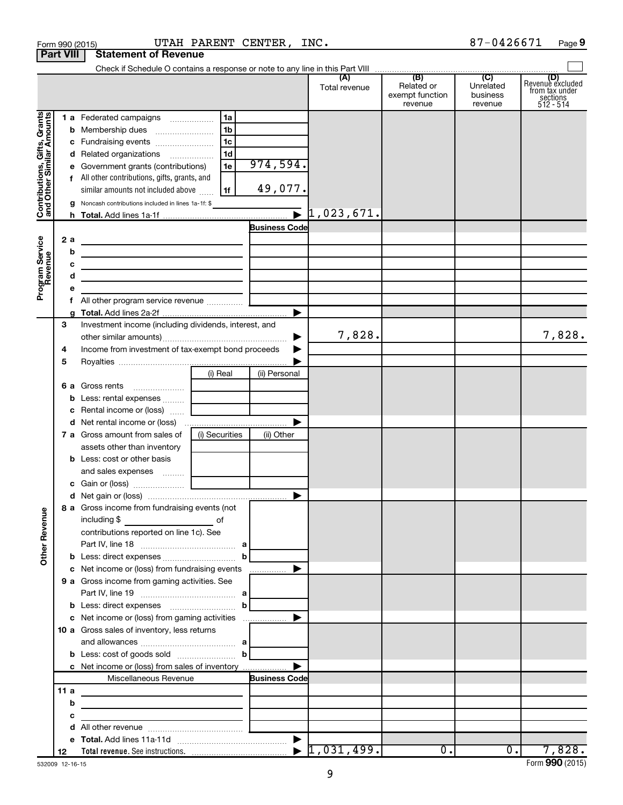|                                                           | UTAH PARENT CENTER, INC.<br>Form 990 (2015) |    |                                                                                                                       |                |                      |                             |                                                 | 87-0426671<br>Page 9                    |                                                               |  |
|-----------------------------------------------------------|---------------------------------------------|----|-----------------------------------------------------------------------------------------------------------------------|----------------|----------------------|-----------------------------|-------------------------------------------------|-----------------------------------------|---------------------------------------------------------------|--|
| <b>Part VIII</b><br><b>Statement of Revenue</b>           |                                             |    |                                                                                                                       |                |                      |                             |                                                 |                                         |                                                               |  |
|                                                           |                                             |    |                                                                                                                       |                |                      |                             |                                                 |                                         |                                                               |  |
|                                                           |                                             |    |                                                                                                                       |                |                      | (A)<br>Total revenue        | (B)<br>Related or<br>exempt function<br>revenue | (C)<br>Unrelated<br>business<br>revenue | Revenue excluded<br>from tax under<br>sections<br>$512 - 514$ |  |
|                                                           |                                             |    | 1 a Federated campaigns                                                                                               | 1a             |                      |                             |                                                 |                                         |                                                               |  |
|                                                           |                                             |    | <b>b</b> Membership dues                                                                                              | 1 <sub>b</sub> |                      |                             |                                                 |                                         |                                                               |  |
|                                                           |                                             |    | c Fundraising events                                                                                                  | 1c             |                      |                             |                                                 |                                         |                                                               |  |
|                                                           |                                             |    | d Related organizations                                                                                               | 1 <sub>d</sub> |                      |                             |                                                 |                                         |                                                               |  |
|                                                           |                                             |    | e Government grants (contributions)                                                                                   | 1e             | 974,594.             |                             |                                                 |                                         |                                                               |  |
|                                                           |                                             |    | f All other contributions, gifts, grants, and                                                                         |                |                      |                             |                                                 |                                         |                                                               |  |
| Contributions, Gifts, Grants<br>and Other Similar Amounts |                                             |    | similar amounts not included above                                                                                    | 1f             | 49,077.              |                             |                                                 |                                         |                                                               |  |
|                                                           |                                             |    | g Noncash contributions included in lines 1a-1f: \$                                                                   |                |                      |                             |                                                 |                                         |                                                               |  |
|                                                           |                                             |    |                                                                                                                       |                |                      | $\triangleright$ 1,023,671. |                                                 |                                         |                                                               |  |
|                                                           |                                             |    |                                                                                                                       |                | <b>Business Code</b> |                             |                                                 |                                         |                                                               |  |
| Program Service<br>Revenue                                | 2a                                          |    | <u> 1989 - Johann Barbara, martxa alemaniar arg</u>                                                                   |                |                      |                             |                                                 |                                         |                                                               |  |
|                                                           |                                             | b  | <u> 1989 - Johann Barbara, martin amerikan basar dan berasal dalam basar dalam basar dalam basar dalam basar dala</u> |                |                      |                             |                                                 |                                         |                                                               |  |
|                                                           |                                             | с  | <u> 1989 - Johann Barbara, martxa alemaniar arg</u>                                                                   |                |                      |                             |                                                 |                                         |                                                               |  |
|                                                           |                                             | d  | <u> 1989 - Johann Barbara, martxa alemaniar arg</u>                                                                   |                |                      |                             |                                                 |                                         |                                                               |  |
|                                                           |                                             | е  |                                                                                                                       |                |                      |                             |                                                 |                                         |                                                               |  |
|                                                           |                                             | 1. |                                                                                                                       |                | ▶                    |                             |                                                 |                                         |                                                               |  |
|                                                           | 3                                           |    | Investment income (including dividends, interest, and                                                                 |                |                      |                             |                                                 |                                         |                                                               |  |
|                                                           |                                             |    |                                                                                                                       |                | ▶                    | 7,828.                      |                                                 |                                         | 7,828.                                                        |  |
|                                                           | 4                                           |    | Income from investment of tax-exempt bond proceeds                                                                    |                | ▶                    |                             |                                                 |                                         |                                                               |  |
|                                                           | 5                                           |    |                                                                                                                       |                |                      |                             |                                                 |                                         |                                                               |  |
|                                                           |                                             |    |                                                                                                                       | (i) Real       | (ii) Personal        |                             |                                                 |                                         |                                                               |  |
|                                                           |                                             |    | 6 a Gross rents                                                                                                       |                |                      |                             |                                                 |                                         |                                                               |  |
|                                                           |                                             |    | <b>b</b> Less: rental expenses                                                                                        |                |                      |                             |                                                 |                                         |                                                               |  |
|                                                           |                                             |    | c Rental income or (loss)                                                                                             |                |                      |                             |                                                 |                                         |                                                               |  |
|                                                           |                                             |    | d Net rental income or (loss)                                                                                         |                |                      |                             |                                                 |                                         |                                                               |  |
|                                                           |                                             |    | 7 a Gross amount from sales of                                                                                        | (i) Securities | (ii) Other           |                             |                                                 |                                         |                                                               |  |
|                                                           |                                             |    | assets other than inventory                                                                                           |                |                      |                             |                                                 |                                         |                                                               |  |
|                                                           |                                             |    | <b>b</b> Less: cost or other basis                                                                                    |                |                      |                             |                                                 |                                         |                                                               |  |
|                                                           |                                             |    | and sales expenses                                                                                                    |                |                      |                             |                                                 |                                         |                                                               |  |
|                                                           |                                             |    | c Gain or (loss)                                                                                                      |                |                      |                             |                                                 |                                         |                                                               |  |
|                                                           |                                             |    |                                                                                                                       |                |                      |                             |                                                 |                                         |                                                               |  |
|                                                           |                                             |    | 8 a Gross income from fundraising events (not                                                                         |                |                      |                             |                                                 |                                         |                                                               |  |
| Other Revenue                                             |                                             |    | including \$                                                                                                          |                |                      |                             |                                                 |                                         |                                                               |  |
|                                                           |                                             |    | contributions reported on line 1c). See                                                                               |                |                      |                             |                                                 |                                         |                                                               |  |
|                                                           |                                             |    |                                                                                                                       | b              |                      |                             |                                                 |                                         |                                                               |  |
|                                                           |                                             |    | c Net income or (loss) from fundraising events                                                                        |                | ▶<br>.               |                             |                                                 |                                         |                                                               |  |
|                                                           |                                             |    | 9 a Gross income from gaming activities. See                                                                          |                |                      |                             |                                                 |                                         |                                                               |  |
|                                                           |                                             |    |                                                                                                                       |                |                      |                             |                                                 |                                         |                                                               |  |
|                                                           |                                             |    |                                                                                                                       | $\mathbf b$    |                      |                             |                                                 |                                         |                                                               |  |
|                                                           |                                             |    | c Net income or (loss) from gaming activities                                                                         |                | ▶                    |                             |                                                 |                                         |                                                               |  |
|                                                           |                                             |    | 10 a Gross sales of inventory, less returns                                                                           |                |                      |                             |                                                 |                                         |                                                               |  |
|                                                           |                                             |    |                                                                                                                       |                |                      |                             |                                                 |                                         |                                                               |  |
|                                                           |                                             |    |                                                                                                                       | $\mathbf{b}$   |                      |                             |                                                 |                                         |                                                               |  |
|                                                           |                                             |    | c Net income or (loss) from sales of inventory                                                                        |                |                      |                             |                                                 |                                         |                                                               |  |
|                                                           |                                             |    | Miscellaneous Revenue                                                                                                 |                | <b>Business Code</b> |                             |                                                 |                                         |                                                               |  |
|                                                           | 11 $a$                                      |    | <u> 1989 - Johann Barbara, martin amerikan basar dan basar dalam basar dalam basar dalam basar dalam basar dalam</u>  |                |                      |                             |                                                 |                                         |                                                               |  |
|                                                           |                                             | b  | <u> 1989 - Johann Barbara, martxa alemaniar arg</u>                                                                   |                |                      |                             |                                                 |                                         |                                                               |  |
|                                                           |                                             | с  | <u> 1989 - John Harry Harry Harry Harry Harry Harry Harry Harry Harry Harry Harry Harry Harry Harry Harry Harry H</u> |                |                      |                             |                                                 |                                         |                                                               |  |
|                                                           |                                             | d  |                                                                                                                       |                |                      |                             |                                                 |                                         |                                                               |  |
|                                                           |                                             |    |                                                                                                                       |                |                      |                             | $\overline{0}$ .                                | $\overline{0}$ .                        | 7,828.                                                        |  |
|                                                           | 12                                          |    |                                                                                                                       |                |                      |                             |                                                 |                                         |                                                               |  |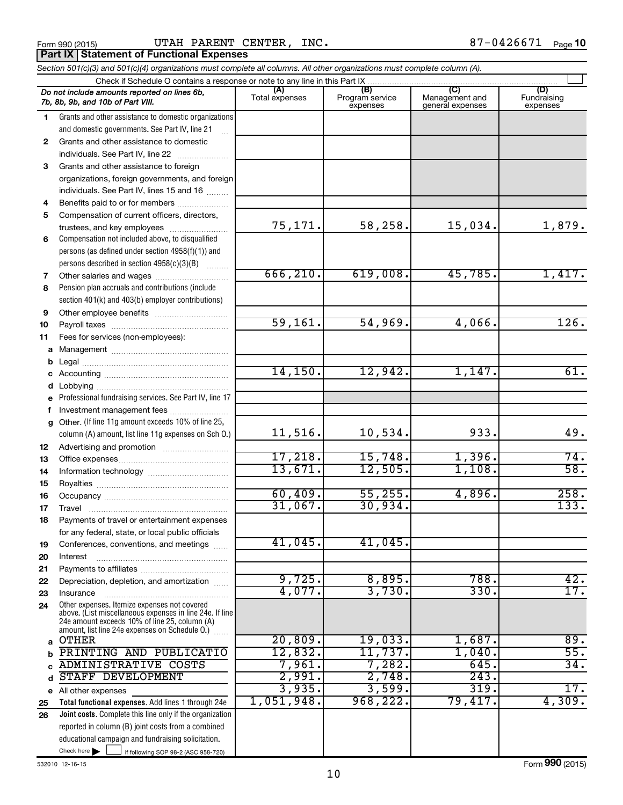**Part IX Statement of Functional Expenses** 

| Section 501(c)(3) and 501(c)(4) organizations must complete all columns. All other organizations must complete column (A). |                                                                                                                                                                                                             |                       |                                    |                                           |                                |  |  |  |  |  |
|----------------------------------------------------------------------------------------------------------------------------|-------------------------------------------------------------------------------------------------------------------------------------------------------------------------------------------------------------|-----------------------|------------------------------------|-------------------------------------------|--------------------------------|--|--|--|--|--|
| Check if Schedule O contains a response or note to any line in this Part IX                                                |                                                                                                                                                                                                             |                       |                                    |                                           |                                |  |  |  |  |  |
|                                                                                                                            | Do not include amounts reported on lines 6b,<br>7b, 8b, 9b, and 10b of Part VIII.                                                                                                                           | (A)<br>Total expenses | (B)<br>Program service<br>expenses | (C)<br>Management and<br>general expenses | (D)<br>Fundraising<br>expenses |  |  |  |  |  |
| 1.                                                                                                                         | Grants and other assistance to domestic organizations                                                                                                                                                       |                       |                                    |                                           |                                |  |  |  |  |  |
|                                                                                                                            | and domestic governments. See Part IV, line 21                                                                                                                                                              |                       |                                    |                                           |                                |  |  |  |  |  |
| 2                                                                                                                          | Grants and other assistance to domestic                                                                                                                                                                     |                       |                                    |                                           |                                |  |  |  |  |  |
|                                                                                                                            | individuals. See Part IV, line 22                                                                                                                                                                           |                       |                                    |                                           |                                |  |  |  |  |  |
| 3                                                                                                                          | Grants and other assistance to foreign                                                                                                                                                                      |                       |                                    |                                           |                                |  |  |  |  |  |
|                                                                                                                            | organizations, foreign governments, and foreign                                                                                                                                                             |                       |                                    |                                           |                                |  |  |  |  |  |
|                                                                                                                            | individuals. See Part IV, lines 15 and 16                                                                                                                                                                   |                       |                                    |                                           |                                |  |  |  |  |  |
| 4                                                                                                                          | Benefits paid to or for members                                                                                                                                                                             |                       |                                    |                                           |                                |  |  |  |  |  |
| 5                                                                                                                          | Compensation of current officers, directors,                                                                                                                                                                |                       |                                    |                                           |                                |  |  |  |  |  |
|                                                                                                                            | trustees, and key employees                                                                                                                                                                                 | 75,171.               | 58,258.                            | 15,034.                                   | 1,879.                         |  |  |  |  |  |
| 6                                                                                                                          | Compensation not included above, to disqualified                                                                                                                                                            |                       |                                    |                                           |                                |  |  |  |  |  |
|                                                                                                                            | persons (as defined under section 4958(f)(1)) and                                                                                                                                                           |                       |                                    |                                           |                                |  |  |  |  |  |
|                                                                                                                            | persons described in section 4958(c)(3)(B)                                                                                                                                                                  |                       |                                    |                                           |                                |  |  |  |  |  |
| 7                                                                                                                          | Other salaries and wages                                                                                                                                                                                    | 666, 210.             | 619,008.                           | 45,785.                                   | 1,417.                         |  |  |  |  |  |
| 8                                                                                                                          | Pension plan accruals and contributions (include                                                                                                                                                            |                       |                                    |                                           |                                |  |  |  |  |  |
|                                                                                                                            | section 401(k) and 403(b) employer contributions)                                                                                                                                                           |                       |                                    |                                           |                                |  |  |  |  |  |
| 9                                                                                                                          |                                                                                                                                                                                                             | 59,161.               |                                    |                                           | 126.                           |  |  |  |  |  |
| 10                                                                                                                         |                                                                                                                                                                                                             |                       | 54,969.                            | 4,066.                                    |                                |  |  |  |  |  |
| 11                                                                                                                         | Fees for services (non-employees):                                                                                                                                                                          |                       |                                    |                                           |                                |  |  |  |  |  |
| a                                                                                                                          |                                                                                                                                                                                                             |                       |                                    |                                           |                                |  |  |  |  |  |
| b                                                                                                                          |                                                                                                                                                                                                             | 14, 150.              | 12,942.                            | 1,147.                                    | 61.                            |  |  |  |  |  |
|                                                                                                                            |                                                                                                                                                                                                             |                       |                                    |                                           |                                |  |  |  |  |  |
| d                                                                                                                          |                                                                                                                                                                                                             |                       |                                    |                                           |                                |  |  |  |  |  |
| e                                                                                                                          | Professional fundraising services. See Part IV, line 17                                                                                                                                                     |                       |                                    |                                           |                                |  |  |  |  |  |
| f<br>g                                                                                                                     | Investment management fees<br>Other. (If line 11g amount exceeds 10% of line 25,                                                                                                                            |                       |                                    |                                           |                                |  |  |  |  |  |
|                                                                                                                            | column (A) amount, list line 11g expenses on Sch O.)                                                                                                                                                        | 11,516.               | 10,534.                            | 933.                                      | 49.                            |  |  |  |  |  |
| 12                                                                                                                         |                                                                                                                                                                                                             |                       |                                    |                                           |                                |  |  |  |  |  |
| 13                                                                                                                         |                                                                                                                                                                                                             | 17,218.               | 15,748.                            | 1,396.                                    | 74.                            |  |  |  |  |  |
| 14                                                                                                                         |                                                                                                                                                                                                             | 13,671.               | 12,505.                            | 1,108.                                    | $\overline{58}$ .              |  |  |  |  |  |
| 15                                                                                                                         |                                                                                                                                                                                                             |                       |                                    |                                           |                                |  |  |  |  |  |
| 16                                                                                                                         |                                                                                                                                                                                                             | 60,409.               | 55,255.                            | 4,896.                                    | 258.                           |  |  |  |  |  |
| 17                                                                                                                         |                                                                                                                                                                                                             | 31,067.               | 30,934.                            |                                           | 133.                           |  |  |  |  |  |
| 18                                                                                                                         | Payments of travel or entertainment expenses                                                                                                                                                                |                       |                                    |                                           |                                |  |  |  |  |  |
|                                                                                                                            | for any federal, state, or local public officials                                                                                                                                                           |                       |                                    |                                           |                                |  |  |  |  |  |
| 19                                                                                                                         | Conferences, conventions, and meetings                                                                                                                                                                      | 41,045.               | 41,045                             |                                           |                                |  |  |  |  |  |
| 20                                                                                                                         | Interest                                                                                                                                                                                                    |                       |                                    |                                           |                                |  |  |  |  |  |
| 21                                                                                                                         |                                                                                                                                                                                                             |                       |                                    |                                           |                                |  |  |  |  |  |
| 22                                                                                                                         | Depreciation, depletion, and amortization                                                                                                                                                                   | 9,725.                | 8,895.                             | 788.                                      | 42.                            |  |  |  |  |  |
| 23                                                                                                                         | Insurance                                                                                                                                                                                                   | 4,077.                | 3,730.                             | 330.                                      | 17.                            |  |  |  |  |  |
| 24                                                                                                                         | Other expenses. Itemize expenses not covered<br>above. (List miscellaneous expenses in line 24e. If line<br>24e amount exceeds 10% of line 25, column (A)<br>amount, list line 24e expenses on Schedule O.) |                       |                                    |                                           |                                |  |  |  |  |  |
| a                                                                                                                          | <b>OTHER</b>                                                                                                                                                                                                | 20,809.               | 19,033.                            | 1,687.                                    | 89.                            |  |  |  |  |  |
| b                                                                                                                          | PRINTING AND PUBLICATIO                                                                                                                                                                                     | 12,832.               | 11,737.                            | 1,040.                                    | 55.                            |  |  |  |  |  |
| C                                                                                                                          | <b>ADMINISTRATIVE COSTS</b>                                                                                                                                                                                 | 7,961.                | 7,282.                             | 645.                                      | 34.                            |  |  |  |  |  |
| d                                                                                                                          | <b>STAFF DEVELOPMENT</b>                                                                                                                                                                                    | 2,991.                | 2,748.                             | 243.                                      |                                |  |  |  |  |  |
| е                                                                                                                          | All other expenses                                                                                                                                                                                          | 3,935.                | 3,599.                             | 319.                                      | 17.                            |  |  |  |  |  |
| 25                                                                                                                         | Total functional expenses. Add lines 1 through 24e                                                                                                                                                          | 1,051,948.            | 968, 222.                          | 79,417.                                   | 4,309.                         |  |  |  |  |  |
| 26                                                                                                                         | Joint costs. Complete this line only if the organization                                                                                                                                                    |                       |                                    |                                           |                                |  |  |  |  |  |
|                                                                                                                            | reported in column (B) joint costs from a combined                                                                                                                                                          |                       |                                    |                                           |                                |  |  |  |  |  |
|                                                                                                                            | educational campaign and fundraising solicitation.                                                                                                                                                          |                       |                                    |                                           |                                |  |  |  |  |  |
|                                                                                                                            | Check here $\blacktriangleright$<br>if following SOP 98-2 (ASC 958-720)                                                                                                                                     |                       |                                    |                                           |                                |  |  |  |  |  |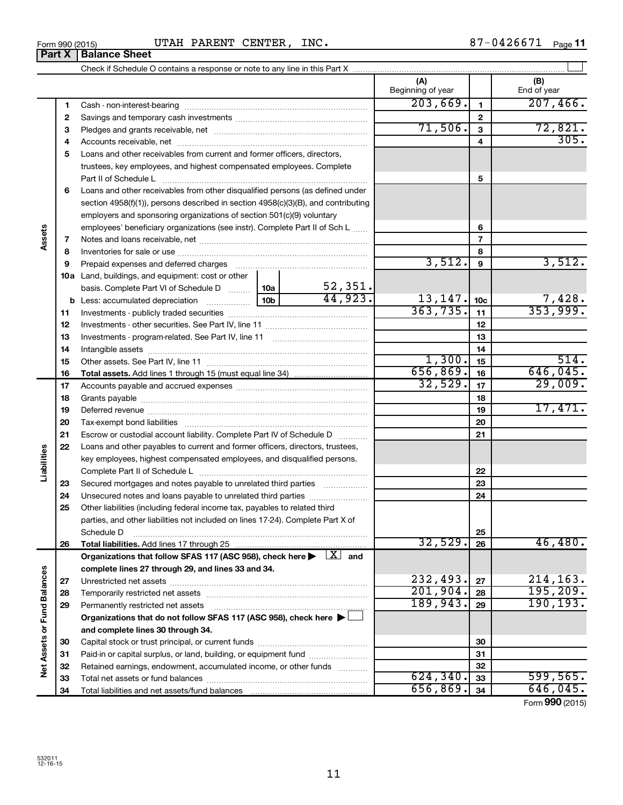|                   | Form 990 (2015) | UTAH PARENT CENTER, INC.                                                                                                                                                                                                       |          |              |                          |                 | 87-0426671 Page 11 |
|-------------------|-----------------|--------------------------------------------------------------------------------------------------------------------------------------------------------------------------------------------------------------------------------|----------|--------------|--------------------------|-----------------|--------------------|
|                   | Part X          | <b>Balance Sheet</b>                                                                                                                                                                                                           |          |              |                          |                 |                    |
|                   |                 |                                                                                                                                                                                                                                |          |              |                          |                 |                    |
|                   |                 |                                                                                                                                                                                                                                |          |              | (A)<br>Beginning of year |                 | (B)                |
|                   |                 |                                                                                                                                                                                                                                |          |              |                          |                 | End of year        |
|                   | 1               |                                                                                                                                                                                                                                | 203,669. | 1            | 207,466.                 |                 |                    |
|                   | 2               |                                                                                                                                                                                                                                |          | $\mathbf{2}$ |                          |                 |                    |
|                   | з               |                                                                                                                                                                                                                                | 71,506.  | 3            | 72,821.<br>305.          |                 |                    |
|                   | 4               |                                                                                                                                                                                                                                |          |              |                          | 4               |                    |
|                   | 5               | Loans and other receivables from current and former officers, directors,                                                                                                                                                       |          |              |                          |                 |                    |
|                   |                 | trustees, key employees, and highest compensated employees. Complete                                                                                                                                                           |          |              |                          |                 |                    |
|                   |                 | Part II of Schedule L                                                                                                                                                                                                          |          |              |                          | 5               |                    |
|                   | 6               | Loans and other receivables from other disqualified persons (as defined under                                                                                                                                                  |          |              |                          |                 |                    |
|                   |                 | section 4958(f)(1)), persons described in section 4958(c)(3)(B), and contributing                                                                                                                                              |          |              |                          |                 |                    |
|                   |                 | employers and sponsoring organizations of section 501(c)(9) voluntary                                                                                                                                                          |          |              |                          |                 |                    |
|                   |                 | employees' beneficiary organizations (see instr). Complete Part II of Sch L                                                                                                                                                    |          |              |                          | 6               |                    |
| Assets            | 7               |                                                                                                                                                                                                                                |          |              |                          | $\overline{7}$  |                    |
|                   | 8               |                                                                                                                                                                                                                                |          |              |                          | 8               |                    |
|                   | 9               | Prepaid expenses and deferred charges [11] matter continuum matter and referred charges [11] matter continuum matter continuum matter and continuum matter continuum matter continuum matter continuum matter continuum matter |          |              | 3,512.                   | 9               | 3,512.             |
|                   |                 | 10a Land, buildings, and equipment: cost or other                                                                                                                                                                              |          |              |                          |                 |                    |
|                   |                 | basis. Complete Part VI of Schedule D    10a   52, 351.                                                                                                                                                                        |          |              |                          |                 |                    |
|                   |                 |                                                                                                                                                                                                                                |          | 44,923.      | 13,147.                  | 10 <sub>c</sub> | 7,428.             |
|                   | 11              |                                                                                                                                                                                                                                |          |              | 363,735.                 | 11              | 353,999.           |
|                   | 12              |                                                                                                                                                                                                                                |          | 12           |                          |                 |                    |
|                   | 13              |                                                                                                                                                                                                                                |          | 13           |                          |                 |                    |
|                   | 14              |                                                                                                                                                                                                                                |          | 14           |                          |                 |                    |
|                   | 15              |                                                                                                                                                                                                                                |          |              | 1,300.                   | 15              | 514.               |
|                   | 16              |                                                                                                                                                                                                                                |          | 656,869.     | 16                       | 646,045.        |                    |
|                   | 17              |                                                                                                                                                                                                                                |          |              | 32,529.                  | 17              | 29,009.            |
|                   | 18              |                                                                                                                                                                                                                                |          |              |                          | 18              |                    |
|                   | 19              |                                                                                                                                                                                                                                |          |              |                          | 19              | 17,471.            |
|                   | 20              |                                                                                                                                                                                                                                |          |              |                          | 20              |                    |
|                   | 21              | Escrow or custodial account liability. Complete Part IV of Schedule D                                                                                                                                                          |          |              |                          | 21              |                    |
|                   | 22              | Loans and other payables to current and former officers, directors, trustees,                                                                                                                                                  |          |              |                          |                 |                    |
|                   |                 | key employees, highest compensated employees, and disqualified persons.                                                                                                                                                        |          |              |                          |                 |                    |
| Liabilities       |                 |                                                                                                                                                                                                                                |          |              |                          | 22              |                    |
|                   | 23              | Secured mortgages and notes payable to unrelated third parties                                                                                                                                                                 |          |              |                          | 23              |                    |
|                   | 24              | Unsecured notes and loans payable to unrelated third parties                                                                                                                                                                   |          |              |                          | 24              |                    |
|                   | 25              | Other liabilities (including federal income tax, payables to related third                                                                                                                                                     |          |              |                          |                 |                    |
|                   |                 | parties, and other liabilities not included on lines 17-24). Complete Part X of                                                                                                                                                |          |              |                          |                 |                    |
|                   |                 | Schedule D                                                                                                                                                                                                                     |          |              |                          | 25              |                    |
|                   | 26              |                                                                                                                                                                                                                                |          |              | 32,529.                  | 26              | 46,480.            |
|                   |                 | Organizations that follow SFAS 117 (ASC 958), check here $\blacktriangleright \begin{array}{c} \boxed{X} \\ \end{array}$ and                                                                                                   |          |              |                          |                 |                    |
|                   |                 | complete lines 27 through 29, and lines 33 and 34.                                                                                                                                                                             |          |              |                          |                 |                    |
|                   | 27              |                                                                                                                                                                                                                                |          |              | 232,493.                 | 27              | 214, 163.          |
|                   | 28              |                                                                                                                                                                                                                                |          | 201,904.     | 28                       | 195, 209.       |                    |
|                   | 29              | Permanently restricted net assets                                                                                                                                                                                              |          |              | 189,943.                 | 29              | 190, 193.          |
| or Fund Balances  |                 | Organizations that do not follow SFAS 117 (ASC 958), check here ▶ □                                                                                                                                                            |          |              |                          |                 |                    |
|                   |                 | and complete lines 30 through 34.                                                                                                                                                                                              |          |              |                          |                 |                    |
|                   | 30              |                                                                                                                                                                                                                                |          |              |                          | 30              |                    |
| <b>Net Assets</b> | 31              | Paid-in or capital surplus, or land, building, or equipment fund                                                                                                                                                               |          |              |                          | 31              |                    |
|                   | 32              | Retained earnings, endowment, accumulated income, or other funds                                                                                                                                                               |          |              |                          | 32              |                    |
|                   |                 | Total not geegte or fund balancos                                                                                                                                                                                              |          |              | 624 340                  | າາ              | 599 565            |

11

Capital stock or trust principal, or current funds ~~~~~~~~~~~~~~~ Paid-in or capital surplus, or land, building, or equipment fund ....................... Retained earnings, endowment, accumulated income, or other funds ............ Total net assets or fund balances ~~~~~~~~~~~~~~~~~~~~~~

Total liabilities and net assets/fund balances

 $\begin{array}{|c|c|c|c|c|}\n\hline\n624,340. & 33 & 599,565. \\
\hline\n656,869. & 34 & 646,045.\n\end{array}$  $646,045.$ 

Form (2015) **990**

|  | Form 990 (2015) |
|--|-----------------|
|  |                 |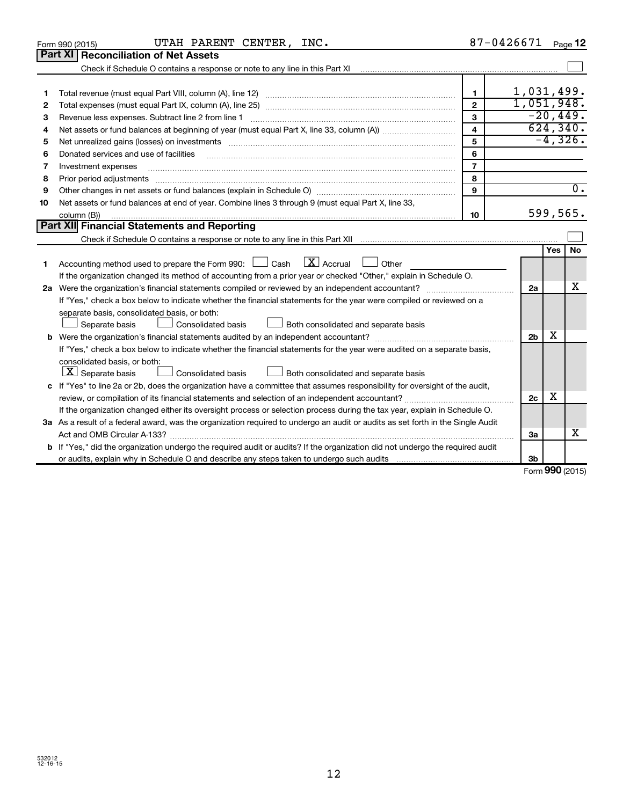|                                                                                                                             | UTAH PARENT CENTER, INC.<br>Form 990 (2015)                                                                                                                                                                                    |                         | 87-0426671     |            | Page 12          |
|-----------------------------------------------------------------------------------------------------------------------------|--------------------------------------------------------------------------------------------------------------------------------------------------------------------------------------------------------------------------------|-------------------------|----------------|------------|------------------|
|                                                                                                                             | <b>Part XI</b><br><b>Reconciliation of Net Assets</b>                                                                                                                                                                          |                         |                |            |                  |
|                                                                                                                             |                                                                                                                                                                                                                                |                         |                |            |                  |
|                                                                                                                             |                                                                                                                                                                                                                                |                         |                |            |                  |
| 1                                                                                                                           |                                                                                                                                                                                                                                | $\mathbf{1}$            | 1,031,499.     |            |                  |
| 2                                                                                                                           |                                                                                                                                                                                                                                | $\mathbf{2}$            | 1,051,948.     |            |                  |
| З                                                                                                                           | Revenue less expenses. Subtract line 2 from line 1                                                                                                                                                                             | 3                       |                |            | $-20,449.$       |
| 4                                                                                                                           |                                                                                                                                                                                                                                | $\overline{\mathbf{4}}$ |                |            | 624, 340.        |
| 5                                                                                                                           | Net unrealized gains (losses) on investments [11] matter contracts and the state of the state of the state of the state of the state of the state of the state of the state of the state of the state of the state of the stat | 5                       |                |            | $-4,326.$        |
| 6                                                                                                                           | Donated services and use of facilities                                                                                                                                                                                         | 6                       |                |            |                  |
| 7                                                                                                                           | Investment expenses                                                                                                                                                                                                            | $\overline{7}$          |                |            |                  |
| 8                                                                                                                           | Prior period adjustments                                                                                                                                                                                                       | 8                       |                |            |                  |
| 9                                                                                                                           |                                                                                                                                                                                                                                | 9                       |                |            | $\overline{0}$ . |
| 10                                                                                                                          | Net assets or fund balances at end of year. Combine lines 3 through 9 (must equal Part X, line 33,                                                                                                                             |                         |                |            |                  |
|                                                                                                                             | column (B))                                                                                                                                                                                                                    | 10                      |                |            | 599,565.         |
|                                                                                                                             | <b>Part XII Financial Statements and Reporting</b>                                                                                                                                                                             |                         |                |            |                  |
|                                                                                                                             |                                                                                                                                                                                                                                |                         |                |            |                  |
|                                                                                                                             |                                                                                                                                                                                                                                |                         |                | <b>Yes</b> | <b>No</b>        |
| 1                                                                                                                           | Accounting method used to prepare the Form 990: $\Box$ Cash $\Box X$ Accrual<br>Other<br>$\Box$                                                                                                                                |                         |                |            |                  |
|                                                                                                                             | If the organization changed its method of accounting from a prior year or checked "Other," explain in Schedule O.                                                                                                              |                         |                |            |                  |
|                                                                                                                             |                                                                                                                                                                                                                                |                         | 2a             |            | х                |
|                                                                                                                             | If "Yes," check a box below to indicate whether the financial statements for the year were compiled or reviewed on a                                                                                                           |                         |                |            |                  |
|                                                                                                                             | separate basis, consolidated basis, or both:                                                                                                                                                                                   |                         |                |            |                  |
|                                                                                                                             | Both consolidated and separate basis<br>Separate basis<br>Consolidated basis                                                                                                                                                   |                         |                |            |                  |
| b                                                                                                                           |                                                                                                                                                                                                                                |                         | 2 <sub>b</sub> | х          |                  |
|                                                                                                                             | If "Yes," check a box below to indicate whether the financial statements for the year were audited on a separate basis,                                                                                                        |                         |                |            |                  |
|                                                                                                                             | consolidated basis, or both:                                                                                                                                                                                                   |                         |                |            |                  |
|                                                                                                                             | $ \mathbf{X} $ Separate basis<br><b>Consolidated basis</b><br>Both consolidated and separate basis                                                                                                                             |                         |                |            |                  |
| c If "Yes" to line 2a or 2b, does the organization have a committee that assumes responsibility for oversight of the audit, |                                                                                                                                                                                                                                |                         |                |            |                  |
|                                                                                                                             |                                                                                                                                                                                                                                |                         | 2c             | х          |                  |
|                                                                                                                             | If the organization changed either its oversight process or selection process during the tax year, explain in Schedule O.                                                                                                      |                         |                |            |                  |
|                                                                                                                             | 3a As a result of a federal award, was the organization required to undergo an audit or audits as set forth in the Single Audit                                                                                                |                         |                |            |                  |
|                                                                                                                             |                                                                                                                                                                                                                                |                         | 3a             |            | х                |
|                                                                                                                             | <b>b</b> If "Yes," did the organization undergo the required audit or audits? If the organization did not undergo the required audit                                                                                           |                         |                |            |                  |
|                                                                                                                             |                                                                                                                                                                                                                                |                         | 3 <sub>b</sub> |            |                  |

Form (2015) **990**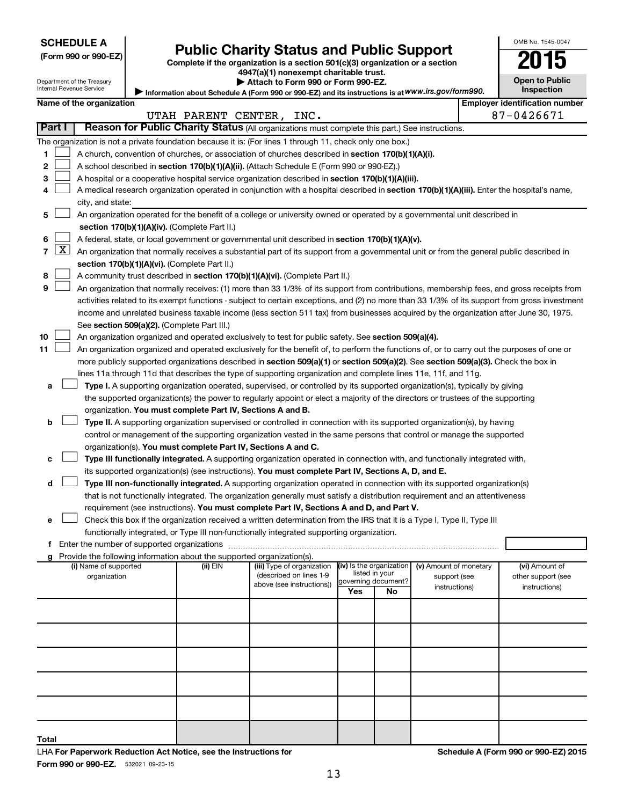| <b>SCHEDULE A</b> |  |
|-------------------|--|
|-------------------|--|

| (Form 990 or 990-EZ) |  |  |  |  |
|----------------------|--|--|--|--|
|----------------------|--|--|--|--|

# Public Charity Status and Public Support<br>
omplete if the organization is a section 501(c)(3) organization or a section<br>
2015

**(Form 990 or 990-EZ) Complete if the organization is a section 501(c)(3) organization or a section**

**4947(a)(1) nonexempt charitable trust.**

| ► Attach to Form 990 or Form 990-EZ. |                                                                                               |
|--------------------------------------|-----------------------------------------------------------------------------------------------|
|                                      | $\sim$ 4.15 $\mu$ 0.00 $\mu$ 0.00 $\mu$ 7) and its instructions is student in a new form 0.00 |

| <b>Open to Public</b><br><b>Inspection</b> |
|--------------------------------------------|
| نفسست المتفسس                              |

OMB No. 1545-0047

Department of the Treasury Internal Revenue Service

|    | internal Revenue Service<br>Information about Schedule A (Form 990 or 990-EZ) and its instructions is at WWW.irs.gov/form990.<br><b>Inspection</b>  |                                                                                                                                               |                          |                            |  |                          |                        |  |                                       |
|----|-----------------------------------------------------------------------------------------------------------------------------------------------------|-----------------------------------------------------------------------------------------------------------------------------------------------|--------------------------|----------------------------|--|--------------------------|------------------------|--|---------------------------------------|
|    |                                                                                                                                                     | Name of the organization                                                                                                                      |                          |                            |  |                          |                        |  | <b>Employer identification number</b> |
|    |                                                                                                                                                     |                                                                                                                                               | UTAH PARENT CENTER, INC. |                            |  |                          |                        |  | 87-0426671                            |
|    | Part I                                                                                                                                              | Reason for Public Charity Status (All organizations must complete this part.) See instructions.                                               |                          |                            |  |                          |                        |  |                                       |
|    |                                                                                                                                                     | The organization is not a private foundation because it is: (For lines 1 through 11, check only one box.)                                     |                          |                            |  |                          |                        |  |                                       |
| 1  |                                                                                                                                                     | A church, convention of churches, or association of churches described in section 170(b)(1)(A)(i).                                            |                          |                            |  |                          |                        |  |                                       |
| 2  |                                                                                                                                                     | A school described in section 170(b)(1)(A)(ii). (Attach Schedule E (Form 990 or 990-EZ).)                                                     |                          |                            |  |                          |                        |  |                                       |
| З  |                                                                                                                                                     | A hospital or a cooperative hospital service organization described in section 170(b)(1)(A)(iii).                                             |                          |                            |  |                          |                        |  |                                       |
| 4  |                                                                                                                                                     | A medical research organization operated in conjunction with a hospital described in section 170(b)(1)(A)(iii). Enter the hospital's name,    |                          |                            |  |                          |                        |  |                                       |
|    |                                                                                                                                                     | city, and state:                                                                                                                              |                          |                            |  |                          |                        |  |                                       |
| 5  |                                                                                                                                                     | An organization operated for the benefit of a college or university owned or operated by a governmental unit described in                     |                          |                            |  |                          |                        |  |                                       |
|    |                                                                                                                                                     | section 170(b)(1)(A)(iv). (Complete Part II.)                                                                                                 |                          |                            |  |                          |                        |  |                                       |
| 6  |                                                                                                                                                     | A federal, state, or local government or governmental unit described in section 170(b)(1)(A)(v).                                              |                          |                            |  |                          |                        |  |                                       |
| 7  | $\mathbf{X}$                                                                                                                                        | An organization that normally receives a substantial part of its support from a governmental unit or from the general public described in     |                          |                            |  |                          |                        |  |                                       |
|    |                                                                                                                                                     | section 170(b)(1)(A)(vi). (Complete Part II.)                                                                                                 |                          |                            |  |                          |                        |  |                                       |
| 8  |                                                                                                                                                     | A community trust described in section 170(b)(1)(A)(vi). (Complete Part II.)                                                                  |                          |                            |  |                          |                        |  |                                       |
| 9  |                                                                                                                                                     | An organization that normally receives: (1) more than 33 1/3% of its support from contributions, membership fees, and gross receipts from     |                          |                            |  |                          |                        |  |                                       |
|    |                                                                                                                                                     |                                                                                                                                               |                          |                            |  |                          |                        |  |                                       |
|    |                                                                                                                                                     | activities related to its exempt functions - subject to certain exceptions, and (2) no more than 33 1/3% of its support from gross investment |                          |                            |  |                          |                        |  |                                       |
|    |                                                                                                                                                     | income and unrelated business taxable income (less section 511 tax) from businesses acquired by the organization after June 30, 1975.         |                          |                            |  |                          |                        |  |                                       |
|    |                                                                                                                                                     | See section 509(a)(2). (Complete Part III.)                                                                                                   |                          |                            |  |                          |                        |  |                                       |
| 10 |                                                                                                                                                     | An organization organized and operated exclusively to test for public safety. See section 509(a)(4).                                          |                          |                            |  |                          |                        |  |                                       |
| 11 |                                                                                                                                                     | An organization organized and operated exclusively for the benefit of, to perform the functions of, or to carry out the purposes of one or    |                          |                            |  |                          |                        |  |                                       |
|    |                                                                                                                                                     | more publicly supported organizations described in section 509(a)(1) or section 509(a)(2). See section 509(a)(3). Check the box in            |                          |                            |  |                          |                        |  |                                       |
|    |                                                                                                                                                     | lines 11a through 11d that describes the type of supporting organization and complete lines 11e, 11f, and 11g.                                |                          |                            |  |                          |                        |  |                                       |
| а  |                                                                                                                                                     | Type I. A supporting organization operated, supervised, or controlled by its supported organization(s), typically by giving                   |                          |                            |  |                          |                        |  |                                       |
|    |                                                                                                                                                     | the supported organization(s) the power to regularly appoint or elect a majority of the directors or trustees of the supporting               |                          |                            |  |                          |                        |  |                                       |
|    |                                                                                                                                                     | organization. You must complete Part IV, Sections A and B.                                                                                    |                          |                            |  |                          |                        |  |                                       |
| b  |                                                                                                                                                     | Type II. A supporting organization supervised or controlled in connection with its supported organization(s), by having                       |                          |                            |  |                          |                        |  |                                       |
|    |                                                                                                                                                     | control or management of the supporting organization vested in the same persons that control or manage the supported                          |                          |                            |  |                          |                        |  |                                       |
|    |                                                                                                                                                     | organization(s). You must complete Part IV, Sections A and C.                                                                                 |                          |                            |  |                          |                        |  |                                       |
| c  |                                                                                                                                                     | Type III functionally integrated. A supporting organization operated in connection with, and functionally integrated with,                    |                          |                            |  |                          |                        |  |                                       |
|    |                                                                                                                                                     | its supported organization(s) (see instructions). You must complete Part IV, Sections A, D, and E.                                            |                          |                            |  |                          |                        |  |                                       |
| d  |                                                                                                                                                     | Type III non-functionally integrated. A supporting organization operated in connection with its supported organization(s)                     |                          |                            |  |                          |                        |  |                                       |
|    |                                                                                                                                                     | that is not functionally integrated. The organization generally must satisfy a distribution requirement and an attentiveness                  |                          |                            |  |                          |                        |  |                                       |
|    |                                                                                                                                                     | requirement (see instructions). You must complete Part IV, Sections A and D, and Part V.                                                      |                          |                            |  |                          |                        |  |                                       |
| е  |                                                                                                                                                     | Check this box if the organization received a written determination from the IRS that it is a Type I, Type II, Type III                       |                          |                            |  |                          |                        |  |                                       |
|    |                                                                                                                                                     | functionally integrated, or Type III non-functionally integrated supporting organization.                                                     |                          |                            |  |                          |                        |  |                                       |
|    |                                                                                                                                                     | Enter the number of supported organizations                                                                                                   |                          |                            |  |                          |                        |  |                                       |
|    |                                                                                                                                                     | g Provide the following information about the supported organization(s).                                                                      |                          |                            |  |                          |                        |  |                                       |
|    |                                                                                                                                                     | (i) Name of supported                                                                                                                         | (ii) EIN                 | (iii) Type of organization |  | (iv) Is the organization | (v) Amount of monetary |  | (vi) Amount of                        |
|    | listed in your<br>(described on lines 1-9<br>organization<br>support (see<br>other support (see<br>governing document?<br>above (see instructions)) |                                                                                                                                               |                          |                            |  |                          |                        |  |                                       |
|    | instructions)<br>instructions)<br>Yes<br>No                                                                                                         |                                                                                                                                               |                          |                            |  |                          |                        |  |                                       |
|    |                                                                                                                                                     |                                                                                                                                               |                          |                            |  |                          |                        |  |                                       |
|    |                                                                                                                                                     |                                                                                                                                               |                          |                            |  |                          |                        |  |                                       |
|    |                                                                                                                                                     |                                                                                                                                               |                          |                            |  |                          |                        |  |                                       |
|    |                                                                                                                                                     |                                                                                                                                               |                          |                            |  |                          |                        |  |                                       |
|    |                                                                                                                                                     |                                                                                                                                               |                          |                            |  |                          |                        |  |                                       |
|    |                                                                                                                                                     |                                                                                                                                               |                          |                            |  |                          |                        |  |                                       |

**Schedule A (Form 990 or 990-EZ) 2015**

**Total**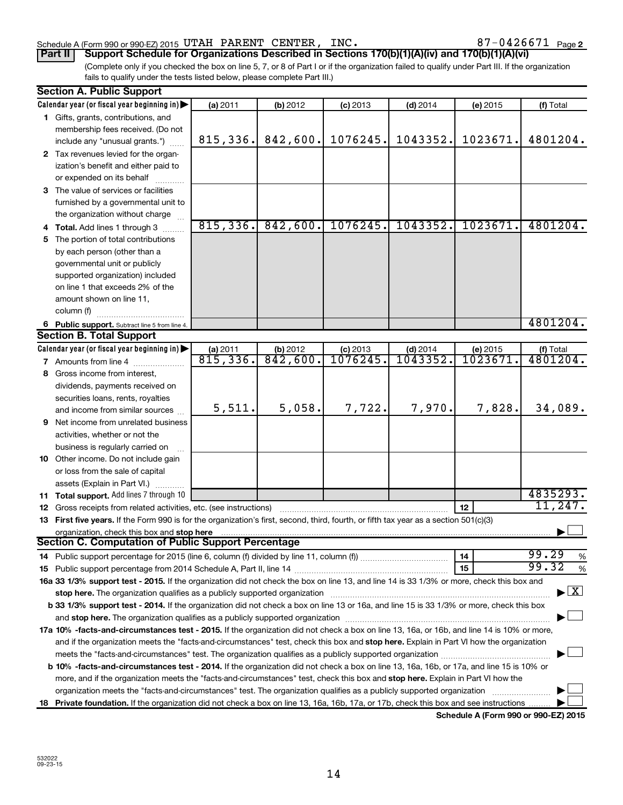#### Schedule A (Form 990 or 990-EZ) 2015 UTAH PARENT CENTER, INC.  $87-0426671$  Page

(Complete only if you checked the box on line 5, 7, or 8 of Part I or if the organization failed to qualify under Part III. If the organization fails to qualify under the tests listed below, please complete Part III.) **Part II Support Schedule for Organizations Described in Sections 170(b)(1)(A)(iv) and 170(b)(1)(A)(vi)**

|    | <b>Section A. Public Support</b>                                                                                                                                                                                               |                      |                      |                        |                       |                     |                                    |
|----|--------------------------------------------------------------------------------------------------------------------------------------------------------------------------------------------------------------------------------|----------------------|----------------------|------------------------|-----------------------|---------------------|------------------------------------|
|    | Calendar year (or fiscal year beginning in)                                                                                                                                                                                    | (a) 2011             | (b) 2012             | $(c)$ 2013             | $(d)$ 2014            | (e) 2015            | (f) Total                          |
|    | 1 Gifts, grants, contributions, and                                                                                                                                                                                            |                      |                      |                        |                       |                     |                                    |
|    | membership fees received. (Do not                                                                                                                                                                                              |                      |                      |                        |                       |                     |                                    |
|    | include any "unusual grants.")                                                                                                                                                                                                 | 815,336.             | 842,600.             | 1076245.               | 1043352.              | 1023671.            | 4801204.                           |
|    | 2 Tax revenues levied for the organ-                                                                                                                                                                                           |                      |                      |                        |                       |                     |                                    |
|    | ization's benefit and either paid to                                                                                                                                                                                           |                      |                      |                        |                       |                     |                                    |
|    | or expended on its behalf                                                                                                                                                                                                      |                      |                      |                        |                       |                     |                                    |
|    | 3 The value of services or facilities                                                                                                                                                                                          |                      |                      |                        |                       |                     |                                    |
|    | furnished by a governmental unit to                                                                                                                                                                                            |                      |                      |                        |                       |                     |                                    |
|    | the organization without charge                                                                                                                                                                                                |                      |                      |                        |                       |                     |                                    |
|    | 4 Total. Add lines 1 through 3                                                                                                                                                                                                 | 815,336.             | 842,600.             | 1076245.               | 1043352.              | 1023671             | 4801204.                           |
|    | 5 The portion of total contributions                                                                                                                                                                                           |                      |                      |                        |                       |                     |                                    |
|    | by each person (other than a                                                                                                                                                                                                   |                      |                      |                        |                       |                     |                                    |
|    | governmental unit or publicly                                                                                                                                                                                                  |                      |                      |                        |                       |                     |                                    |
|    | supported organization) included                                                                                                                                                                                               |                      |                      |                        |                       |                     |                                    |
|    | on line 1 that exceeds 2% of the                                                                                                                                                                                               |                      |                      |                        |                       |                     |                                    |
|    | amount shown on line 11,                                                                                                                                                                                                       |                      |                      |                        |                       |                     |                                    |
|    | column (f)                                                                                                                                                                                                                     |                      |                      |                        |                       |                     |                                    |
|    |                                                                                                                                                                                                                                |                      |                      |                        |                       |                     | 4801204.                           |
|    | 6 Public support. Subtract line 5 from line 4.<br><b>Section B. Total Support</b>                                                                                                                                              |                      |                      |                        |                       |                     |                                    |
|    |                                                                                                                                                                                                                                |                      |                      |                        |                       |                     |                                    |
|    | Calendar year (or fiscal year beginning in)                                                                                                                                                                                    | (a) 2011<br>815,336. | (b) 2012<br>842,600. | $(c)$ 2013<br>1076245. | $(d)$ 2014<br>1043352 | (e) 2015<br>1023671 | (f) Total<br>4801204.              |
|    | 7 Amounts from line 4                                                                                                                                                                                                          |                      |                      |                        |                       |                     |                                    |
|    | 8 Gross income from interest,                                                                                                                                                                                                  |                      |                      |                        |                       |                     |                                    |
|    | dividends, payments received on                                                                                                                                                                                                |                      |                      |                        |                       |                     |                                    |
|    | securities loans, rents, royalties                                                                                                                                                                                             |                      |                      |                        |                       |                     |                                    |
|    | and income from similar sources                                                                                                                                                                                                | 5,511.               | 5,058.               | 7,722.                 | 7,970.                | 7,828.              | 34,089.                            |
|    | <b>9</b> Net income from unrelated business                                                                                                                                                                                    |                      |                      |                        |                       |                     |                                    |
|    | activities, whether or not the                                                                                                                                                                                                 |                      |                      |                        |                       |                     |                                    |
|    | business is regularly carried on                                                                                                                                                                                               |                      |                      |                        |                       |                     |                                    |
|    | 10 Other income. Do not include gain                                                                                                                                                                                           |                      |                      |                        |                       |                     |                                    |
|    | or loss from the sale of capital                                                                                                                                                                                               |                      |                      |                        |                       |                     |                                    |
|    | assets (Explain in Part VI.)                                                                                                                                                                                                   |                      |                      |                        |                       |                     |                                    |
|    | 11 Total support. Add lines 7 through 10                                                                                                                                                                                       |                      |                      |                        |                       |                     | 4835293.                           |
|    | <b>12</b> Gross receipts from related activities, etc. (see instructions)                                                                                                                                                      |                      |                      |                        |                       | 12                  | 11,247.                            |
|    | 13 First five years. If the Form 990 is for the organization's first, second, third, fourth, or fifth tax year as a section 501(c)(3)                                                                                          |                      |                      |                        |                       |                     |                                    |
|    | organization, check this box and stop here                                                                                                                                                                                     |                      |                      |                        |                       |                     |                                    |
|    | <b>Section C. Computation of Public Support Percentage</b>                                                                                                                                                                     |                      |                      |                        |                       |                     |                                    |
|    |                                                                                                                                                                                                                                |                      |                      |                        |                       | 14                  | 99.29<br>%                         |
|    |                                                                                                                                                                                                                                |                      |                      |                        |                       | 15                  | 99.32<br>%                         |
|    | 16a 33 1/3% support test - 2015. If the organization did not check the box on line 13, and line 14 is 33 1/3% or more, check this box and                                                                                      |                      |                      |                        |                       |                     |                                    |
|    | stop here. The organization qualifies as a publicly supported organization manufactured content and the organization of the state of the state of the state of the state of the state of the state of the state of the state o |                      |                      |                        |                       |                     | $\blacktriangleright$ $\mathbf{X}$ |
|    | b 33 1/3% support test - 2014. If the organization did not check a box on line 13 or 16a, and line 15 is 33 1/3% or more, check this box                                                                                       |                      |                      |                        |                       |                     |                                    |
|    |                                                                                                                                                                                                                                |                      |                      |                        |                       |                     |                                    |
|    | 17a 10% -facts-and-circumstances test - 2015. If the organization did not check a box on line 13, 16a, or 16b, and line 14 is 10% or more,                                                                                     |                      |                      |                        |                       |                     |                                    |
|    | and if the organization meets the "facts-and-circumstances" test, check this box and stop here. Explain in Part VI how the organization                                                                                        |                      |                      |                        |                       |                     |                                    |
|    |                                                                                                                                                                                                                                |                      |                      |                        |                       |                     |                                    |
|    | <b>b 10%</b> -facts-and-circumstances test - 2014. If the organization did not check a box on line 13, 16a, 16b, or 17a, and line 15 is 10% or                                                                                 |                      |                      |                        |                       |                     |                                    |
|    | more, and if the organization meets the "facts-and-circumstances" test, check this box and stop here. Explain in Part VI how the                                                                                               |                      |                      |                        |                       |                     |                                    |
|    | organization meets the "facts-and-circumstances" test. The organization qualifies as a publicly supported organization                                                                                                         |                      |                      |                        |                       |                     |                                    |
| 18 | Private foundation. If the organization did not check a box on line 13, 16a, 16b, 17a, or 17b, check this box and see instructions                                                                                             |                      |                      |                        |                       |                     |                                    |
|    |                                                                                                                                                                                                                                |                      |                      |                        |                       |                     |                                    |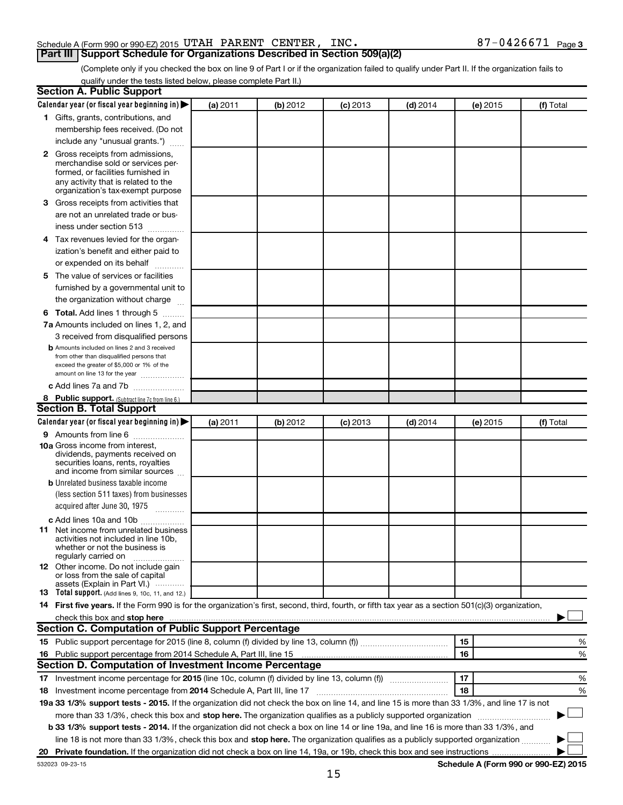#### Schedule A (Form 990 or 990-EZ) 2015 UTAH PARENT CENTER, INC.  $87-0426671$  Page **Part III Support Schedule for Organizations Described in Section 509(a)(2)**

(Complete only if you checked the box on line 9 of Part I or if the organization failed to qualify under Part II. If the organization fails to qualify under the tests listed below, please complete Part II.)

| <b>Section A. Public Support</b>                                                                                                                                                                                               |          |          |            |            |          |                                      |
|--------------------------------------------------------------------------------------------------------------------------------------------------------------------------------------------------------------------------------|----------|----------|------------|------------|----------|--------------------------------------|
| Calendar year (or fiscal year beginning in)                                                                                                                                                                                    | (a) 2011 | (b) 2012 | $(c)$ 2013 | $(d)$ 2014 | (e) 2015 | (f) Total                            |
| 1 Gifts, grants, contributions, and                                                                                                                                                                                            |          |          |            |            |          |                                      |
| membership fees received. (Do not                                                                                                                                                                                              |          |          |            |            |          |                                      |
| include any "unusual grants.")                                                                                                                                                                                                 |          |          |            |            |          |                                      |
| 2 Gross receipts from admissions,<br>merchandise sold or services per-<br>formed, or facilities furnished in<br>any activity that is related to the<br>organization's tax-exempt purpose                                       |          |          |            |            |          |                                      |
| 3 Gross receipts from activities that                                                                                                                                                                                          |          |          |            |            |          |                                      |
| are not an unrelated trade or bus-<br>iness under section 513                                                                                                                                                                  |          |          |            |            |          |                                      |
| 4 Tax revenues levied for the organ-                                                                                                                                                                                           |          |          |            |            |          |                                      |
| ization's benefit and either paid to<br>or expended on its behalf                                                                                                                                                              |          |          |            |            |          |                                      |
| 5 The value of services or facilities                                                                                                                                                                                          |          |          |            |            |          |                                      |
| furnished by a governmental unit to<br>the organization without charge                                                                                                                                                         |          |          |            |            |          |                                      |
| <b>6 Total.</b> Add lines 1 through 5                                                                                                                                                                                          |          |          |            |            |          |                                      |
| 7a Amounts included on lines 1, 2, and                                                                                                                                                                                         |          |          |            |            |          |                                      |
| 3 received from disqualified persons                                                                                                                                                                                           |          |          |            |            |          |                                      |
| <b>b</b> Amounts included on lines 2 and 3 received<br>from other than disqualified persons that<br>exceed the greater of \$5,000 or 1% of the<br>amount on line 13 for the year                                               |          |          |            |            |          |                                      |
| c Add lines 7a and 7b                                                                                                                                                                                                          |          |          |            |            |          |                                      |
| 8 Public support. (Subtract line 7c from line 6.)                                                                                                                                                                              |          |          |            |            |          |                                      |
| <b>Section B. Total Support</b>                                                                                                                                                                                                |          |          |            |            |          |                                      |
| Calendar year (or fiscal year beginning in)                                                                                                                                                                                    | (a) 2011 | (b) 2012 | $(c)$ 2013 | $(d)$ 2014 | (e) 2015 | (f) Total                            |
| <b>9</b> Amounts from line 6                                                                                                                                                                                                   |          |          |            |            |          |                                      |
| <b>10a</b> Gross income from interest,<br>dividends, payments received on<br>securities loans, rents, royalties<br>and income from similar sources                                                                             |          |          |            |            |          |                                      |
| <b>b</b> Unrelated business taxable income                                                                                                                                                                                     |          |          |            |            |          |                                      |
| (less section 511 taxes) from businesses<br>acquired after June 30, 1975<br>$\mathcal{L}$ . The contract of $\mathcal{L}$                                                                                                      |          |          |            |            |          |                                      |
| c Add lines 10a and 10b                                                                                                                                                                                                        |          |          |            |            |          |                                      |
| <b>11</b> Net income from unrelated business<br>activities not included in line 10b.<br>whether or not the business is<br>regularly carried on                                                                                 |          |          |            |            |          |                                      |
| 12 Other income. Do not include gain<br>or loss from the sale of capital<br>assets (Explain in Part VI.)                                                                                                                       |          |          |            |            |          |                                      |
| <b>13</b> Total support. (Add lines 9, 10c, 11, and 12.)                                                                                                                                                                       |          |          |            |            |          |                                      |
| 14 First five years. If the Form 990 is for the organization's first, second, third, fourth, or fifth tax year as a section 501(c)(3) organization,                                                                            |          |          |            |            |          |                                      |
| check this box and stop here Mathematical Communication and stop here Mathematical Communication and stop here Mathematical Communication and Stop here Mathematical Communication and Stop here Mathematical Communication an |          |          |            |            |          |                                      |
| <b>Section C. Computation of Public Support Percentage</b>                                                                                                                                                                     |          |          |            |            |          |                                      |
|                                                                                                                                                                                                                                |          |          |            |            | 15       | %                                    |
| 16 Public support percentage from 2014 Schedule A, Part III, line 15                                                                                                                                                           |          |          |            |            | 16       | %                                    |
| Section D. Computation of Investment Income Percentage                                                                                                                                                                         |          |          |            |            |          |                                      |
|                                                                                                                                                                                                                                |          |          |            |            | 17       | %                                    |
| 18 Investment income percentage from 2014 Schedule A, Part III, line 17                                                                                                                                                        |          |          |            |            | 18       | %                                    |
| 19a 33 1/3% support tests - 2015. If the organization did not check the box on line 14, and line 15 is more than 33 1/3%, and line 17 is not                                                                                   |          |          |            |            |          |                                      |
| more than 33 1/3%, check this box and stop here. The organization qualifies as a publicly supported organization                                                                                                               |          |          |            |            |          |                                      |
| <b>b 33 1/3% support tests - 2014.</b> If the organization did not check a box on line 14 or line 19a, and line 16 is more than 33 1/3%, and                                                                                   |          |          |            |            |          |                                      |
| line 18 is not more than 33 1/3%, check this box and stop here. The organization qualifies as a publicly supported organization                                                                                                |          |          |            |            |          |                                      |
|                                                                                                                                                                                                                                |          |          |            |            |          |                                      |
| 532023 09-23-15                                                                                                                                                                                                                |          |          |            |            |          | Schedule A (Form 990 or 990-EZ) 2015 |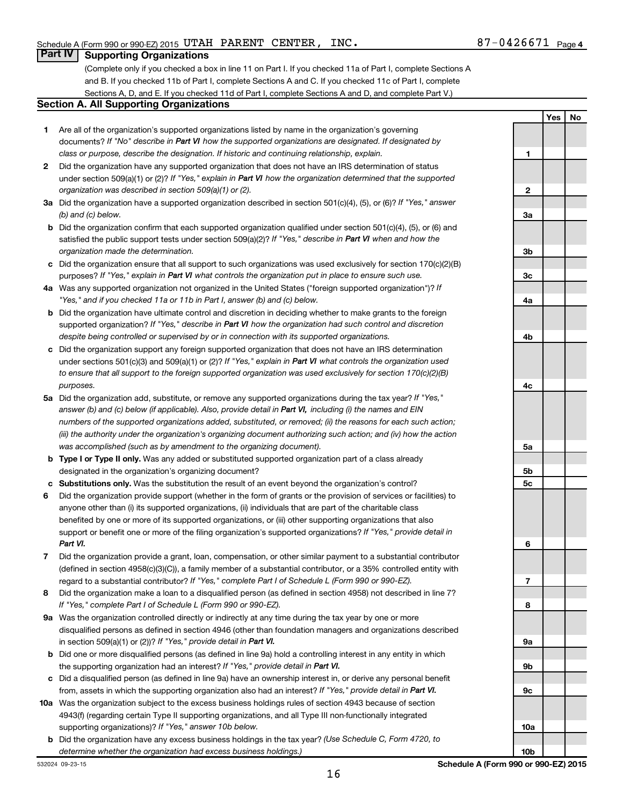**Yes No**

### **Part IV Supporting Organizations**

(Complete only if you checked a box in line 11 on Part I. If you checked 11a of Part I, complete Sections A and B. If you checked 11b of Part I, complete Sections A and C. If you checked 11c of Part I, complete Sections A, D, and E. If you checked 11d of Part I, complete Sections A and D, and complete Part V.)

#### **Section A. All Supporting Organizations**

- **1** Are all of the organization's supported organizations listed by name in the organization's governing documents? If "No" describe in Part VI how the supported organizations are designated. If designated by *class or purpose, describe the designation. If historic and continuing relationship, explain.*
- **2** Did the organization have any supported organization that does not have an IRS determination of status under section 509(a)(1) or (2)? If "Yes," explain in Part VI how the organization determined that the supported *organization was described in section 509(a)(1) or (2).*
- **3a** Did the organization have a supported organization described in section 501(c)(4), (5), or (6)? If "Yes," answer *(b) and (c) below.*
- **b** Did the organization confirm that each supported organization qualified under section 501(c)(4), (5), or (6) and satisfied the public support tests under section 509(a)(2)? If "Yes," describe in Part VI when and how the *organization made the determination.*
- **c** Did the organization ensure that all support to such organizations was used exclusively for section 170(c)(2)(B) purposes? If "Yes," explain in Part VI what controls the organization put in place to ensure such use.
- **4 a** *If* Was any supported organization not organized in the United States ("foreign supported organization")? *"Yes," and if you checked 11a or 11b in Part I, answer (b) and (c) below.*
- **b** Did the organization have ultimate control and discretion in deciding whether to make grants to the foreign supported organization? If "Yes," describe in Part VI how the organization had such control and discretion *despite being controlled or supervised by or in connection with its supported organizations.*
- **c** Did the organization support any foreign supported organization that does not have an IRS determination under sections 501(c)(3) and 509(a)(1) or (2)? If "Yes," explain in Part VI what controls the organization used *to ensure that all support to the foreign supported organization was used exclusively for section 170(c)(2)(B) purposes.*
- **5a** Did the organization add, substitute, or remove any supported organizations during the tax year? If "Yes," answer (b) and (c) below (if applicable). Also, provide detail in Part VI, including (i) the names and EIN *numbers of the supported organizations added, substituted, or removed; (ii) the reasons for each such action; (iii) the authority under the organization's organizing document authorizing such action; and (iv) how the action was accomplished (such as by amendment to the organizing document).*
- **b Type I or Type II only.** Was any added or substituted supported organization part of a class already designated in the organization's organizing document?
- **c Substitutions only.**  Was the substitution the result of an event beyond the organization's control?
- **6** Did the organization provide support (whether in the form of grants or the provision of services or facilities) to support or benefit one or more of the filing organization's supported organizations? If "Yes," provide detail in anyone other than (i) its supported organizations, (ii) individuals that are part of the charitable class benefited by one or more of its supported organizations, or (iii) other supporting organizations that also *Part VI.*
- **7** Did the organization provide a grant, loan, compensation, or other similar payment to a substantial contributor regard to a substantial contributor? If "Yes," complete Part I of Schedule L (Form 990 or 990-EZ). (defined in section 4958(c)(3)(C)), a family member of a substantial contributor, or a 35% controlled entity with
- **8** Did the organization make a loan to a disqualified person (as defined in section 4958) not described in line 7? *If "Yes," complete Part I of Schedule L (Form 990 or 990-EZ).*
- **9 a** Was the organization controlled directly or indirectly at any time during the tax year by one or more in section 509(a)(1) or (2))? If "Yes," provide detail in Part VI. disqualified persons as defined in section 4946 (other than foundation managers and organizations described
- **b** Did one or more disqualified persons (as defined in line 9a) hold a controlling interest in any entity in which the supporting organization had an interest? If "Yes," provide detail in Part VI.
- **c** Did a disqualified person (as defined in line 9a) have an ownership interest in, or derive any personal benefit from, assets in which the supporting organization also had an interest? If "Yes," provide detail in Part VI.
- **10 a** Was the organization subject to the excess business holdings rules of section 4943 because of section supporting organizations)? If "Yes," answer 10b below. 4943(f) (regarding certain Type II supporting organizations, and all Type III non-functionally integrated
- **b** Did the organization have any excess business holdings in the tax year? (Use Schedule C, Form 4720, to *determine whether the organization had excess business holdings.)*

**1 2 3a 3b 3c 4a 4b 4c 5a 5b 5c 6 7 8 9a 9b 9c**

532024 09-23-15

**10a**

**10b**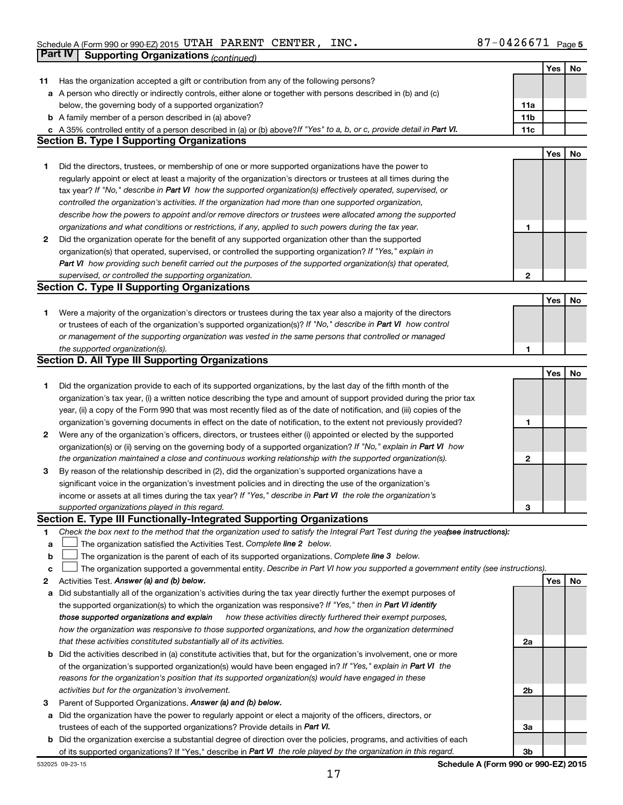|    |                                                                                                                                 |                 | <b>Yes</b> | No |
|----|---------------------------------------------------------------------------------------------------------------------------------|-----------------|------------|----|
| 11 | Has the organization accepted a gift or contribution from any of the following persons?                                         |                 |            |    |
|    | a A person who directly or indirectly controls, either alone or together with persons described in (b) and (c)                  |                 |            |    |
|    | below, the governing body of a supported organization?                                                                          | 11a             |            |    |
|    | <b>b</b> A family member of a person described in (a) above?                                                                    | 11 <sub>b</sub> |            |    |
|    | c A 35% controlled entity of a person described in (a) or (b) above? If "Yes" to a, b, or c, provide detail in Part VI.         | 11c             |            |    |
|    | <b>Section B. Type I Supporting Organizations</b>                                                                               |                 |            |    |
|    |                                                                                                                                 |                 | Yes        | No |
| 1  | Did the directors, trustees, or membership of one or more supported organizations have the power to                             |                 |            |    |
|    | regularly appoint or elect at least a majority of the organization's directors or trustees at all times during the              |                 |            |    |
|    | tax year? If "No," describe in Part VI how the supported organization(s) effectively operated, supervised, or                   |                 |            |    |
|    | controlled the organization's activities. If the organization had more than one supported organization,                         |                 |            |    |
|    | describe how the powers to appoint and/or remove directors or trustees were allocated among the supported                       |                 |            |    |
|    | organizations and what conditions or restrictions, if any, applied to such powers during the tax year.                          | 1               |            |    |
| 2  | Did the organization operate for the benefit of any supported organization other than the supported                             |                 |            |    |
|    | organization(s) that operated, supervised, or controlled the supporting organization? If "Yes," explain in                      |                 |            |    |
|    | Part VI how providing such benefit carried out the purposes of the supported organization(s) that operated,                     |                 |            |    |
|    | supervised, or controlled the supporting organization.                                                                          | $\overline{2}$  |            |    |
|    | <b>Section C. Type II Supporting Organizations</b>                                                                              |                 |            |    |
|    |                                                                                                                                 |                 | Yes        | No |
|    | Were a majority of the organization's directors or trustees during the tax year also a majority of the directors                |                 |            |    |
| 1  | or trustees of each of the organization's supported organization(s)? If "No," describe in Part VI how control                   |                 |            |    |
|    | or management of the supporting organization was vested in the same persons that controlled or managed                          |                 |            |    |
|    |                                                                                                                                 |                 |            |    |
|    | the supported organization(s).<br><b>Section D. All Type III Supporting Organizations</b>                                       |                 |            |    |
|    |                                                                                                                                 |                 |            |    |
|    |                                                                                                                                 |                 | Yes        | No |
| 1  | Did the organization provide to each of its supported organizations, by the last day of the fifth month of the                  |                 |            |    |
|    | organization's tax year, (i) a written notice describing the type and amount of support provided during the prior tax           |                 |            |    |
|    | year, (ii) a copy of the Form 990 that was most recently filed as of the date of notification, and (iii) copies of the          |                 |            |    |
|    | organization's governing documents in effect on the date of notification, to the extent not previously provided?                | 1               |            |    |
| 2  | Were any of the organization's officers, directors, or trustees either (i) appointed or elected by the supported                |                 |            |    |
|    | organization(s) or (ii) serving on the governing body of a supported organization? If "No," explain in Part VI how              |                 |            |    |
|    | the organization maintained a close and continuous working relationship with the supported organization(s).                     | 2               |            |    |
| 3  | By reason of the relationship described in (2), did the organization's supported organizations have a                           |                 |            |    |
|    | significant voice in the organization's investment policies and in directing the use of the organization's                      |                 |            |    |
|    | income or assets at all times during the tax year? If "Yes," describe in Part VI the role the organization's                    |                 |            |    |
|    | supported organizations played in this regard.                                                                                  | З               |            |    |
|    | Section E. Type III Functionally-Integrated Supporting Organizations                                                            |                 |            |    |
| 1  | Check the box next to the method that the organization used to satisfy the Integral Part Test during the yealsee instructions): |                 |            |    |
| a  | The organization satisfied the Activities Test. Complete line 2 below.                                                          |                 |            |    |
| b  | The organization is the parent of each of its supported organizations. Complete line 3 below.                                   |                 |            |    |
| c  | The organization supported a governmental entity. Describe in Part VI how you supported a government entity (see instructions). |                 |            |    |
| 2  | Activities Test. Answer (a) and (b) below.                                                                                      |                 | Yes        | No |
| a  | Did substantially all of the organization's activities during the tax year directly further the exempt purposes of              |                 |            |    |
|    | the supported organization(s) to which the organization was responsive? If "Yes," then in Part VI identify                      |                 |            |    |
|    | how these activities directly furthered their exempt purposes,<br>those supported organizations and explain                     |                 |            |    |
|    | how the organization was responsive to those supported organizations, and how the organization determined                       |                 |            |    |
|    | that these activities constituted substantially all of its activities.                                                          | 2a              |            |    |
|    | <b>b</b> Did the activities described in (a) constitute activities that, but for the organization's involvement, one or more    |                 |            |    |
|    | of the organization's supported organization(s) would have been engaged in? If "Yes," explain in Part VI the                    |                 |            |    |
|    | reasons for the organization's position that its supported organization(s) would have engaged in these                          |                 |            |    |
|    | activities but for the organization's involvement.                                                                              | 2b              |            |    |
| 3  | Parent of Supported Organizations. Answer (a) and (b) below.                                                                    |                 |            |    |
| a  | Did the organization have the power to regularly appoint or elect a majority of the officers, directors, or                     |                 |            |    |
|    | trustees of each of the supported organizations? Provide details in Part VI.                                                    | За              |            |    |
|    | <b>b</b> Did the organization exercise a substantial degree of direction over the policies, programs, and activities of each    |                 |            |    |
|    | of its supported organizations? If "Yes," describe in Part VI the role played by the organization in this regard.               | 3b              |            |    |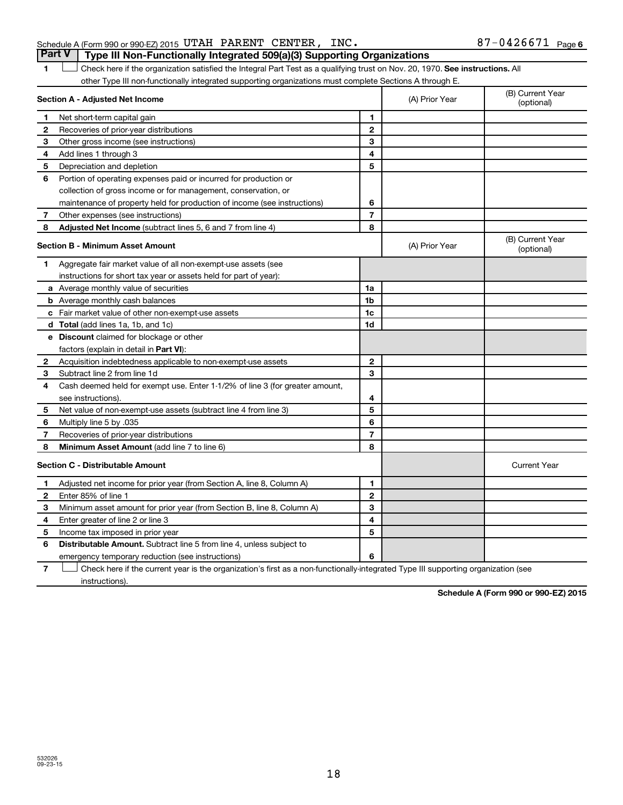1  $\Box$  Check here if the organization satisfied the Integral Part Test as a qualifying trust on Nov. 20, 1970. See instructions. All other Type III non-functionally integrated supporting organizations must complete Sections A through E.  $\Box$ 

|              | Section A - Adjusted Net Income                                              | (A) Prior Year | (B) Current Year<br>(optional) |                                |
|--------------|------------------------------------------------------------------------------|----------------|--------------------------------|--------------------------------|
| 1            | Net short-term capital gain                                                  | 1              |                                |                                |
| 2            | Recoveries of prior-year distributions                                       | $\mathbf{2}$   |                                |                                |
| 3            | Other gross income (see instructions)                                        | 3              |                                |                                |
| 4            | Add lines 1 through 3                                                        | 4              |                                |                                |
| 5            | Depreciation and depletion                                                   | 5              |                                |                                |
| 6            | Portion of operating expenses paid or incurred for production or             |                |                                |                                |
|              | collection of gross income or for management, conservation, or               |                |                                |                                |
|              | maintenance of property held for production of income (see instructions)     | 6              |                                |                                |
| 7            | Other expenses (see instructions)                                            | $\overline{7}$ |                                |                                |
| 8            | Adjusted Net Income (subtract lines 5, 6 and 7 from line 4)                  | 8              |                                |                                |
|              | <b>Section B - Minimum Asset Amount</b>                                      |                | (A) Prior Year                 | (B) Current Year<br>(optional) |
| 1            | Aggregate fair market value of all non-exempt-use assets (see                |                |                                |                                |
|              | instructions for short tax year or assets held for part of year):            |                |                                |                                |
|              | a Average monthly value of securities                                        | 1a             |                                |                                |
|              | <b>b</b> Average monthly cash balances                                       | 1 <sub>b</sub> |                                |                                |
|              | c Fair market value of other non-exempt-use assets                           | 1c             |                                |                                |
|              | <b>d</b> Total (add lines 1a, 1b, and 1c)                                    | 1d             |                                |                                |
|              | e Discount claimed for blockage or other                                     |                |                                |                                |
|              | factors (explain in detail in Part VI):                                      |                |                                |                                |
| 2            | Acquisition indebtedness applicable to non-exempt-use assets                 | $\mathbf{2}$   |                                |                                |
| З            | Subtract line 2 from line 1d                                                 | 3              |                                |                                |
| 4            | Cash deemed held for exempt use. Enter 1-1/2% of line 3 (for greater amount, |                |                                |                                |
|              | see instructions).                                                           | 4              |                                |                                |
| 5            | Net value of non-exempt-use assets (subtract line 4 from line 3)             | 5              |                                |                                |
| 6            | Multiply line 5 by .035                                                      | 6              |                                |                                |
| 7            | Recoveries of prior-year distributions                                       | $\overline{7}$ |                                |                                |
| 8            | Minimum Asset Amount (add line 7 to line 6)                                  | 8              |                                |                                |
|              | <b>Section C - Distributable Amount</b>                                      |                |                                | <b>Current Year</b>            |
| 1            | Adjusted net income for prior year (from Section A, line 8, Column A)        | 1              |                                |                                |
| $\mathbf{2}$ | Enter 85% of line 1                                                          | $\mathbf{2}$   |                                |                                |
| З            | Minimum asset amount for prior year (from Section B, line 8, Column A)       | 3              |                                |                                |
| 4            | Enter greater of line 2 or line 3                                            | 4              |                                |                                |
| 5            | Income tax imposed in prior year                                             | 5              |                                |                                |
| 6            | Distributable Amount. Subtract line 5 from line 4, unless subject to         |                |                                |                                |
|              | emergency temporary reduction (see instructions)                             | 6              |                                |                                |
|              |                                                                              |                |                                |                                |

**7** Check here if the current year is the organization's first as a non-functionally-integrated Type III supporting organization (see † instructions).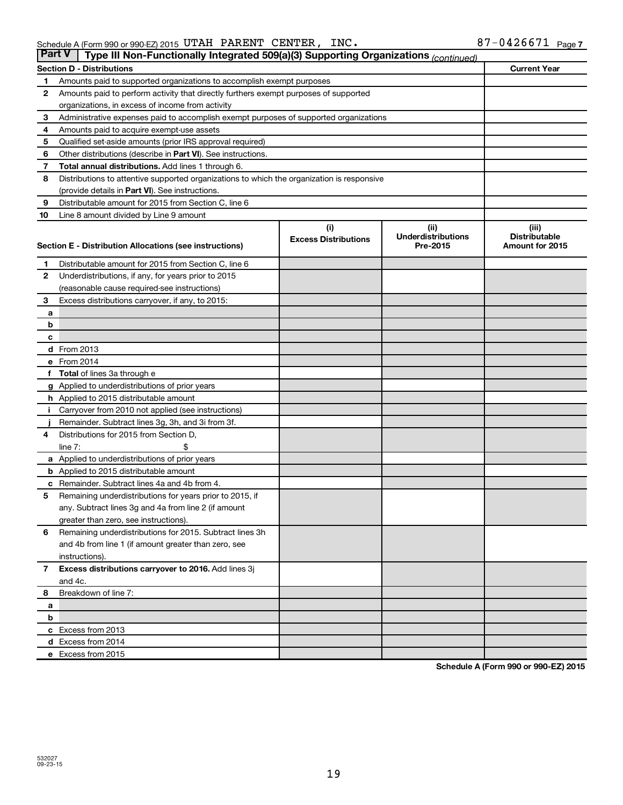| <b>Part V</b><br>Type III Non-Functionally Integrated 509(a)(3) Supporting Organizations (continued) |                                                                                                        |                             |                                       |                                         |  |  |
|------------------------------------------------------------------------------------------------------|--------------------------------------------------------------------------------------------------------|-----------------------------|---------------------------------------|-----------------------------------------|--|--|
|                                                                                                      | <b>Current Year</b><br><b>Section D - Distributions</b>                                                |                             |                                       |                                         |  |  |
| 1                                                                                                    | Amounts paid to supported organizations to accomplish exempt purposes                                  |                             |                                       |                                         |  |  |
| 2                                                                                                    | Amounts paid to perform activity that directly furthers exempt purposes of supported                   |                             |                                       |                                         |  |  |
|                                                                                                      | organizations, in excess of income from activity                                                       |                             |                                       |                                         |  |  |
| 3                                                                                                    | Administrative expenses paid to accomplish exempt purposes of supported organizations                  |                             |                                       |                                         |  |  |
| 4                                                                                                    | Amounts paid to acquire exempt-use assets                                                              |                             |                                       |                                         |  |  |
| 5                                                                                                    | Qualified set-aside amounts (prior IRS approval required)                                              |                             |                                       |                                         |  |  |
| 6                                                                                                    | Other distributions (describe in Part VI). See instructions.                                           |                             |                                       |                                         |  |  |
| 7                                                                                                    | <b>Total annual distributions.</b> Add lines 1 through 6.                                              |                             |                                       |                                         |  |  |
| 8                                                                                                    | Distributions to attentive supported organizations to which the organization is responsive             |                             |                                       |                                         |  |  |
|                                                                                                      | (provide details in Part VI). See instructions.                                                        |                             |                                       |                                         |  |  |
| 9                                                                                                    | Distributable amount for 2015 from Section C, line 6                                                   |                             |                                       |                                         |  |  |
| 10                                                                                                   | Line 8 amount divided by Line 9 amount                                                                 |                             |                                       |                                         |  |  |
|                                                                                                      |                                                                                                        | (i)                         | (ii)                                  | (iii)                                   |  |  |
|                                                                                                      | Section E - Distribution Allocations (see instructions)                                                | <b>Excess Distributions</b> | <b>Underdistributions</b><br>Pre-2015 | <b>Distributable</b><br>Amount for 2015 |  |  |
|                                                                                                      |                                                                                                        |                             |                                       |                                         |  |  |
| 1                                                                                                    | Distributable amount for 2015 from Section C, line 6                                                   |                             |                                       |                                         |  |  |
| $\mathbf{2}$                                                                                         | Underdistributions, if any, for years prior to 2015                                                    |                             |                                       |                                         |  |  |
|                                                                                                      | (reasonable cause required-see instructions)                                                           |                             |                                       |                                         |  |  |
| 3                                                                                                    | Excess distributions carryover, if any, to 2015:                                                       |                             |                                       |                                         |  |  |
| a                                                                                                    |                                                                                                        |                             |                                       |                                         |  |  |
| b                                                                                                    |                                                                                                        |                             |                                       |                                         |  |  |
| с                                                                                                    |                                                                                                        |                             |                                       |                                         |  |  |
|                                                                                                      | d From 2013<br>e From 2014                                                                             |                             |                                       |                                         |  |  |
|                                                                                                      |                                                                                                        |                             |                                       |                                         |  |  |
|                                                                                                      | <b>Total</b> of lines 3a through e                                                                     |                             |                                       |                                         |  |  |
|                                                                                                      | <b>g</b> Applied to underdistributions of prior years<br><b>h</b> Applied to 2015 distributable amount |                             |                                       |                                         |  |  |
|                                                                                                      | Carryover from 2010 not applied (see instructions)                                                     |                             |                                       |                                         |  |  |
|                                                                                                      | Remainder. Subtract lines 3g, 3h, and 3i from 3f.                                                      |                             |                                       |                                         |  |  |
| 4                                                                                                    | Distributions for 2015 from Section D,                                                                 |                             |                                       |                                         |  |  |
|                                                                                                      | $line 7$ :                                                                                             |                             |                                       |                                         |  |  |
|                                                                                                      | a Applied to underdistributions of prior years                                                         |                             |                                       |                                         |  |  |
|                                                                                                      | <b>b</b> Applied to 2015 distributable amount                                                          |                             |                                       |                                         |  |  |
| с                                                                                                    | Remainder. Subtract lines 4a and 4b from 4.                                                            |                             |                                       |                                         |  |  |
| 5                                                                                                    | Remaining underdistributions for years prior to 2015, if                                               |                             |                                       |                                         |  |  |
|                                                                                                      | any. Subtract lines 3g and 4a from line 2 (if amount                                                   |                             |                                       |                                         |  |  |
|                                                                                                      | greater than zero, see instructions).                                                                  |                             |                                       |                                         |  |  |
| 6                                                                                                    | Remaining underdistributions for 2015. Subtract lines 3h                                               |                             |                                       |                                         |  |  |
|                                                                                                      | and 4b from line 1 (if amount greater than zero, see                                                   |                             |                                       |                                         |  |  |
|                                                                                                      | instructions).                                                                                         |                             |                                       |                                         |  |  |
| $\overline{7}$                                                                                       | Excess distributions carryover to 2016. Add lines 3j                                                   |                             |                                       |                                         |  |  |
|                                                                                                      | and 4c.                                                                                                |                             |                                       |                                         |  |  |
| 8                                                                                                    | Breakdown of line 7:                                                                                   |                             |                                       |                                         |  |  |
| a                                                                                                    |                                                                                                        |                             |                                       |                                         |  |  |
| b                                                                                                    |                                                                                                        |                             |                                       |                                         |  |  |
|                                                                                                      | c Excess from 2013                                                                                     |                             |                                       |                                         |  |  |
|                                                                                                      | d Excess from 2014                                                                                     |                             |                                       |                                         |  |  |
|                                                                                                      | e Excess from 2015                                                                                     |                             |                                       |                                         |  |  |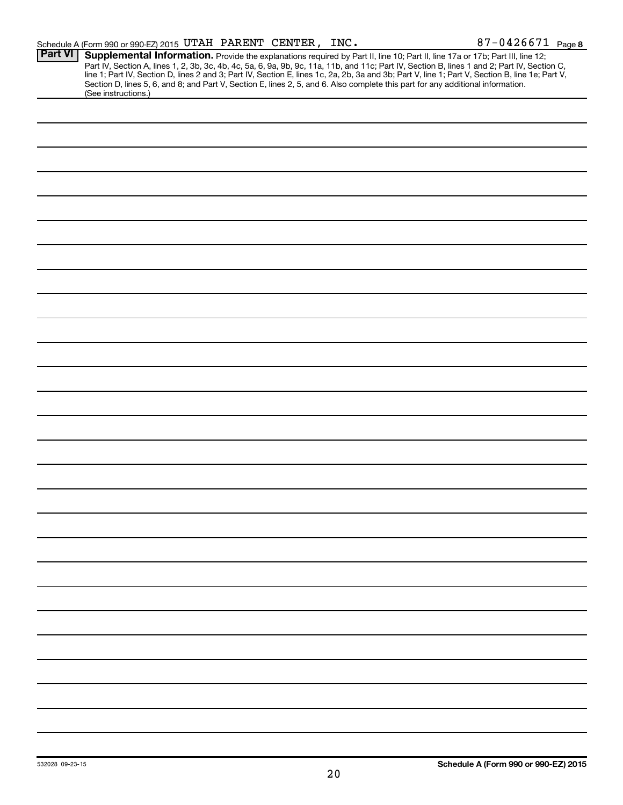|                | Schedule A (Form 990 or 990-EZ) 2015 UTAH PARENT CENTER, INC.                                                                                                                                                                                                                                                                                                                                                                                                                                        |  |  | 87-0426671 Page 8 |  |
|----------------|------------------------------------------------------------------------------------------------------------------------------------------------------------------------------------------------------------------------------------------------------------------------------------------------------------------------------------------------------------------------------------------------------------------------------------------------------------------------------------------------------|--|--|-------------------|--|
| <b>Part VI</b> | Supplemental Information. Provide the explanations required by Part II, line 10; Part II, line 17a or 17b; Part III, line 12;<br>Part IV, Section A, lines 1, 2, 3b, 3c, 4b, 4c, 5a, 6, 9a, 9b, 9c, 11a, 11b, and 11c; Part IV, Section B, lines 1 and 2; Part IV, Section C,<br>line 1; Part IV, Section D, lines 2 and 3; Part IV, Section E, lines 1c, 2a, 2b,<br>Section D, lines 5, 6, and 8; and Part V, Section E, lines 2, 5, and 6. Also complete this part for any additional information. |  |  |                   |  |
|                | (See instructions.)                                                                                                                                                                                                                                                                                                                                                                                                                                                                                  |  |  |                   |  |
|                |                                                                                                                                                                                                                                                                                                                                                                                                                                                                                                      |  |  |                   |  |
|                |                                                                                                                                                                                                                                                                                                                                                                                                                                                                                                      |  |  |                   |  |
|                |                                                                                                                                                                                                                                                                                                                                                                                                                                                                                                      |  |  |                   |  |
|                |                                                                                                                                                                                                                                                                                                                                                                                                                                                                                                      |  |  |                   |  |
|                |                                                                                                                                                                                                                                                                                                                                                                                                                                                                                                      |  |  |                   |  |
|                |                                                                                                                                                                                                                                                                                                                                                                                                                                                                                                      |  |  |                   |  |
|                |                                                                                                                                                                                                                                                                                                                                                                                                                                                                                                      |  |  |                   |  |
|                |                                                                                                                                                                                                                                                                                                                                                                                                                                                                                                      |  |  |                   |  |
|                |                                                                                                                                                                                                                                                                                                                                                                                                                                                                                                      |  |  |                   |  |
|                |                                                                                                                                                                                                                                                                                                                                                                                                                                                                                                      |  |  |                   |  |
|                |                                                                                                                                                                                                                                                                                                                                                                                                                                                                                                      |  |  |                   |  |
|                |                                                                                                                                                                                                                                                                                                                                                                                                                                                                                                      |  |  |                   |  |
|                |                                                                                                                                                                                                                                                                                                                                                                                                                                                                                                      |  |  |                   |  |
|                |                                                                                                                                                                                                                                                                                                                                                                                                                                                                                                      |  |  |                   |  |
|                |                                                                                                                                                                                                                                                                                                                                                                                                                                                                                                      |  |  |                   |  |
|                |                                                                                                                                                                                                                                                                                                                                                                                                                                                                                                      |  |  |                   |  |
|                |                                                                                                                                                                                                                                                                                                                                                                                                                                                                                                      |  |  |                   |  |
|                |                                                                                                                                                                                                                                                                                                                                                                                                                                                                                                      |  |  |                   |  |
|                |                                                                                                                                                                                                                                                                                                                                                                                                                                                                                                      |  |  |                   |  |
|                |                                                                                                                                                                                                                                                                                                                                                                                                                                                                                                      |  |  |                   |  |
|                |                                                                                                                                                                                                                                                                                                                                                                                                                                                                                                      |  |  |                   |  |
|                |                                                                                                                                                                                                                                                                                                                                                                                                                                                                                                      |  |  |                   |  |
|                |                                                                                                                                                                                                                                                                                                                                                                                                                                                                                                      |  |  |                   |  |
|                |                                                                                                                                                                                                                                                                                                                                                                                                                                                                                                      |  |  |                   |  |
|                |                                                                                                                                                                                                                                                                                                                                                                                                                                                                                                      |  |  |                   |  |
|                |                                                                                                                                                                                                                                                                                                                                                                                                                                                                                                      |  |  |                   |  |
|                |                                                                                                                                                                                                                                                                                                                                                                                                                                                                                                      |  |  |                   |  |
|                |                                                                                                                                                                                                                                                                                                                                                                                                                                                                                                      |  |  |                   |  |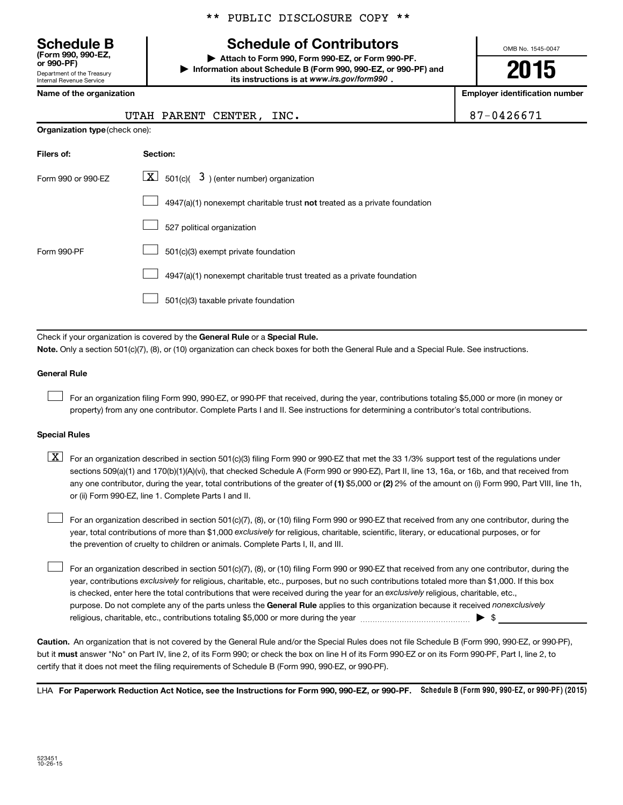\*\* PUBLIC DISCLOSURE COPY \*\*

# **Schedule of Contributors**

**or 990-PF) | Attach to Form 990, Form 990-EZ, or Form 990-PF. | Information about Schedule B (Form 990, 990-EZ, or 990-PF) and** its instructions is at www.irs.gov/form990.

OMB No. 1545-0047

**2015**

**Name of the organization Employer identification number**

| $7 - 0426671$ |  |  |  |  |  |
|---------------|--|--|--|--|--|
|---------------|--|--|--|--|--|

| <b>Schedule B</b><br>(Form 990, 990-EZ,<br>or 990-PF)         |
|---------------------------------------------------------------|
| Department of the Treasury<br><b>Internal Revenue Service</b> |

**Organization type** (check one):

## UTAH PARENT CENTER, INC. 87-1267

| Filers of:         | Section:                                                                  |
|--------------------|---------------------------------------------------------------------------|
| Form 990 or 990-FZ | $\lfloor \underline{X} \rfloor$ 501(c)( 3) (enter number) organization    |
|                    | 4947(a)(1) nonexempt charitable trust not treated as a private foundation |
|                    | 527 political organization                                                |
| Form 990-PF        | 501(c)(3) exempt private foundation                                       |
|                    | 4947(a)(1) nonexempt charitable trust treated as a private foundation     |
|                    | 501(c)(3) taxable private foundation                                      |

Check if your organization is covered by the General Rule or a Special Rule.

**Note.**  Only a section 501(c)(7), (8), or (10) organization can check boxes for both the General Rule and a Special Rule. See instructions.

#### **General Rule**

 $\Box$ 

For an organization filing Form 990, 990-EZ, or 990-PF that received, during the year, contributions totaling \$5,000 or more (in money or property) from any one contributor. Complete Parts I and II. See instructions for determining a contributor's total contributions.

#### **Special Rules**

any one contributor, during the year, total contributions of the greater of **(1)** \$5,000 or **(2)** 2% of the amount on (i) Form 990, Part VIII, line 1h,  $\boxed{\text{X}}$  For an organization described in section 501(c)(3) filing Form 990 or 990-EZ that met the 33 1/3% support test of the regulations under sections 509(a)(1) and 170(b)(1)(A)(vi), that checked Schedule A (Form 990 or 990-EZ), Part II, line 13, 16a, or 16b, and that received from or (ii) Form 990-EZ, line 1. Complete Parts I and II.

year, total contributions of more than \$1,000 *exclusively* for religious, charitable, scientific, literary, or educational purposes, or for For an organization described in section 501(c)(7), (8), or (10) filing Form 990 or 990-EZ that received from any one contributor, during the the prevention of cruelty to children or animals. Complete Parts I, II, and III.  $\Box$ 

purpose. Do not complete any of the parts unless the General Rule applies to this organization because it received nonexclusively year, contributions exclusively for religious, charitable, etc., purposes, but no such contributions totaled more than \$1,000. If this box is checked, enter here the total contributions that were received during the year for an exclusively religious, charitable, etc., For an organization described in section 501(c)(7), (8), or (10) filing Form 990 or 990-EZ that received from any one contributor, during the religious, charitable, etc., contributions totaling \$5,000 or more during the year  $\ldots$  $\ldots$  $\ldots$  $\ldots$  $\ldots$  $\ldots$  $\Box$ 

**Caution.** An organization that is not covered by the General Rule and/or the Special Rules does not file Schedule B (Form 990, 990-EZ, or 990-PF),  **must** but it answer "No" on Part IV, line 2, of its Form 990; or check the box on line H of its Form 990-EZ or on its Form 990-PF, Part I, line 2, to certify that it does not meet the filing requirements of Schedule B (Form 990, 990-EZ, or 990-PF).

LHA For Paperwork Reduction Act Notice, see the Instructions for Form 990, 990-EZ, or 990-PF. Schedule B (Form 990, 990-EZ, or 990-PF) (2015)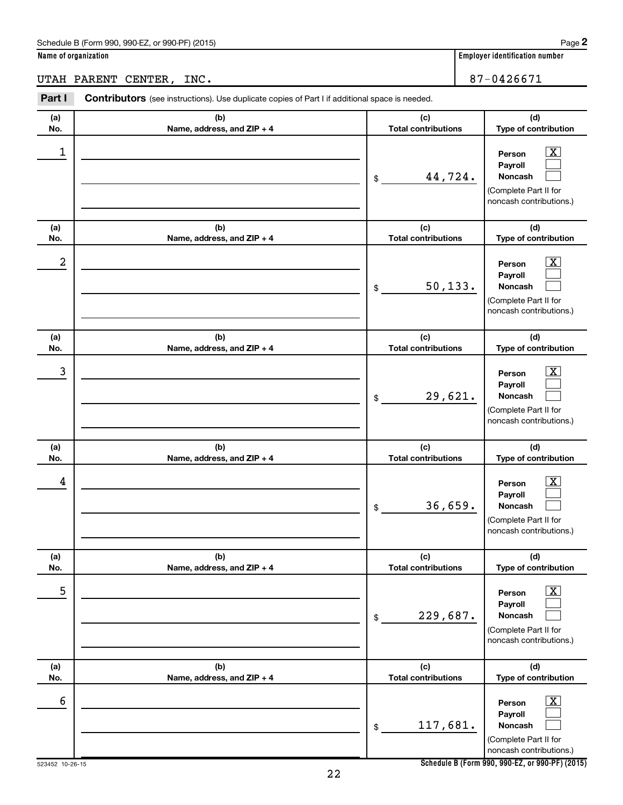**Name of organization Employer identification number**

UTAH PARENT CENTER, INC. 87-0426671

| Part I     | <b>Contributors</b> (see instructions). Use duplicate copies of Part I if additional space is needed. |                                              |                                                                                                                                     |
|------------|-------------------------------------------------------------------------------------------------------|----------------------------------------------|-------------------------------------------------------------------------------------------------------------------------------------|
| (a)<br>No. | (b)<br>Name, address, and ZIP + 4                                                                     | (c)<br><b>Total contributions</b>            | (d)<br>Type of contribution                                                                                                         |
| 1          |                                                                                                       | 44,724.<br>\$                                | $\mathbf{X}$<br>Person<br>Payroll<br>Noncash<br>(Complete Part II for<br>noncash contributions.)                                    |
| (a)        | (b)                                                                                                   | (c)                                          | (d)                                                                                                                                 |
| No.<br>2   | Name, address, and ZIP + 4                                                                            | <b>Total contributions</b><br>50, 133.<br>\$ | Type of contribution<br>$\overline{\mathbf{X}}$<br>Person<br>Payroll<br>Noncash<br>(Complete Part II for<br>noncash contributions.) |
| (a)<br>No. | (b)<br>Name, address, and ZIP + 4                                                                     | (c)<br><b>Total contributions</b>            | (d)<br>Type of contribution                                                                                                         |
| 3          |                                                                                                       | 29,621.<br>\$                                | $\overline{\mathbf{X}}$<br>Person<br>Payroll<br>Noncash<br>(Complete Part II for<br>noncash contributions.)                         |
| (a)        | (b)                                                                                                   | (c)<br><b>Total contributions</b>            | (d)                                                                                                                                 |
| No.<br>4   | Name, address, and ZIP + 4                                                                            | 36,659.<br>\$                                | Type of contribution<br>$\overline{\mathbf{X}}$<br>Person<br>Payroll<br>Noncash<br>(Complete Part II for<br>noncash contributions.) |
| (a)<br>No. | (b)<br>Name, address, and ZIP + 4                                                                     | (c)<br><b>Total contributions</b>            | (d)<br>Type of contribution                                                                                                         |
| 5          |                                                                                                       | 229,687.<br>\$                               | $\boxed{\text{X}}$<br>Person<br>Payroll<br>Noncash<br>(Complete Part II for<br>noncash contributions.)                              |
| (a)<br>No. | (b)<br>Name, address, and ZIP + 4                                                                     | (c)<br><b>Total contributions</b>            | (d)<br>Type of contribution                                                                                                         |
| 6          |                                                                                                       | 117,681.<br>\$                               | $\boxed{\textbf{X}}$<br>Person<br>Payroll<br>Noncash<br>(Complete Part II for<br>noncash contributions.)                            |

**Schedule B (Form 990, 990-EZ, or 990-PF) (2015)**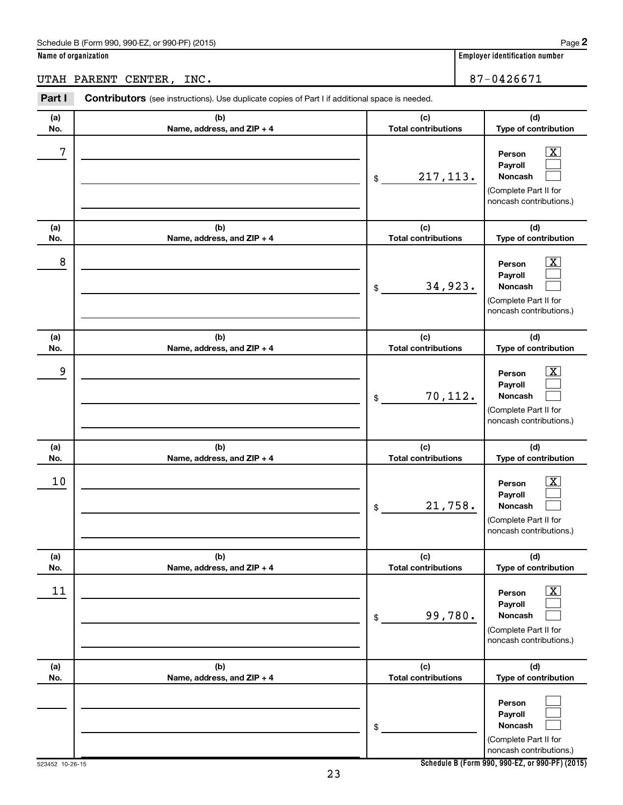**Name of organization Employer identification number**

UTAH PARENT CENTER, INC. 87-0426671

| Part I          | <b>Contributors</b> (see instructions). Use duplicate copies of Part I if additional space is needed. |                                   |                                                                                                                                     |
|-----------------|-------------------------------------------------------------------------------------------------------|-----------------------------------|-------------------------------------------------------------------------------------------------------------------------------------|
| (a)<br>No.      | (b)<br>Name, address, and ZIP + 4                                                                     | (c)<br><b>Total contributions</b> | (d)<br>Type of contribution                                                                                                         |
| 7               |                                                                                                       | 217, 113.<br>\$                   | $\overline{\mathbf{X}}$<br>Person<br>Payroll<br>Noncash<br>(Complete Part II for<br>noncash contributions.)                         |
| (a)<br>No.      | (b)<br>Name, address, and ZIP + 4                                                                     | (c)<br><b>Total contributions</b> | (d)<br>Type of contribution                                                                                                         |
| 8               |                                                                                                       | 34,923.<br>\$                     | $\overline{\mathbf{X}}$<br>Person<br>Payroll<br>Noncash<br>(Complete Part II for<br>noncash contributions.)                         |
| (a)<br>No.      | (b)<br>Name, address, and ZIP + 4                                                                     | (c)<br><b>Total contributions</b> | (d)<br>Type of contribution                                                                                                         |
| 9               |                                                                                                       | 70,112.<br>\$                     | $\overline{\mathbf{X}}$<br>Person<br>Payroll<br>Noncash<br>(Complete Part II for<br>noncash contributions.)                         |
| (a)<br>No.      | (b)<br>Name, address, and ZIP + 4                                                                     | (c)<br><b>Total contributions</b> | (d)<br>Type of contribution                                                                                                         |
| 10              |                                                                                                       | 21,758.<br>\$                     | $\overline{\mathbf{X}}$<br>Person<br>Payroll<br>Noncash<br>(Complete Part II for<br>noncash contributions.)                         |
| (a)<br>No.      | (b)<br>Name, address, and ZIP + 4                                                                     | (c)<br><b>Total contributions</b> | (d)<br>Type of contribution                                                                                                         |
| 11              |                                                                                                       | 99,780.<br>\$                     | $\overline{\mathbf{X}}$<br>Person<br>Payroll<br>Noncash<br>(Complete Part II for<br>noncash contributions.)                         |
| (a)<br>No.      | (b)<br>Name, address, and ZIP + 4                                                                     | (c)<br><b>Total contributions</b> | (d)<br>Type of contribution                                                                                                         |
| 523452 10-26-15 |                                                                                                       | \$                                | Person<br>Payroll<br>Noncash<br>(Complete Part II for<br>noncash contributions.)<br>Schedule B (Form 990, 990-EZ, or 990-PF) (2015) |

**Schedule B (Form 990, 990-EZ, or 990-PF) (2015)**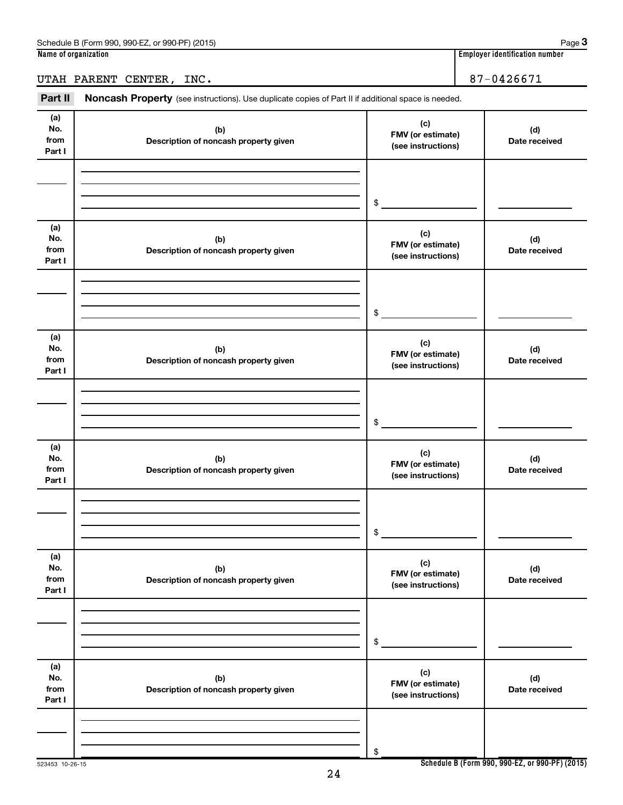523453 10-26-15

# Part II Noncash Property (see instructions). Use duplicate copies of Part II if additional space is needed.

| (a)<br>No.<br>from<br>Part I | (b)<br>Description of noncash property given | (c)<br>FMV (or estimate)<br>(see instructions) | (d)<br>Date received |
|------------------------------|----------------------------------------------|------------------------------------------------|----------------------|
|                              |                                              | \$                                             |                      |
| (a)<br>No.<br>from<br>Part I | (b)<br>Description of noncash property given | (c)<br>FMV (or estimate)<br>(see instructions) | (d)<br>Date received |
|                              |                                              | \$                                             |                      |
| (a)<br>No.<br>from<br>Part I | (b)<br>Description of noncash property given | (c)<br>FMV (or estimate)<br>(see instructions) | (d)<br>Date received |
|                              |                                              | \$                                             |                      |
| (a)<br>No.<br>from<br>Part I | (b)<br>Description of noncash property given | (c)<br>FMV (or estimate)<br>(see instructions) | (d)<br>Date received |
|                              |                                              | \$                                             |                      |
| (a)<br>No.<br>from<br>Part I | (b)<br>Description of noncash property given | (c)<br>FMV (or estimate)<br>(see instructions) | (d)<br>Date received |
|                              |                                              | \$                                             |                      |
| (a)<br>No.<br>from<br>Part I | (b)<br>Description of noncash property given | (c)<br>FMV (or estimate)<br>(see instructions) | (d)<br>Date received |
|                              |                                              | \$                                             |                      |

UTAH PARENT CENTER, INC. 2008 2012 12:30 12:30 12:30 12:30 13:30 14:30 14:30 14:30 14:30 14:30 14:30 14:30 14:30 14:30 14:30 14:30 14:30 14:30 14:30 14:30 14:30 14:30 14:30 14:30 14:30 14:30 14:30 14:30 14:30 14:30 14:30 1

**3**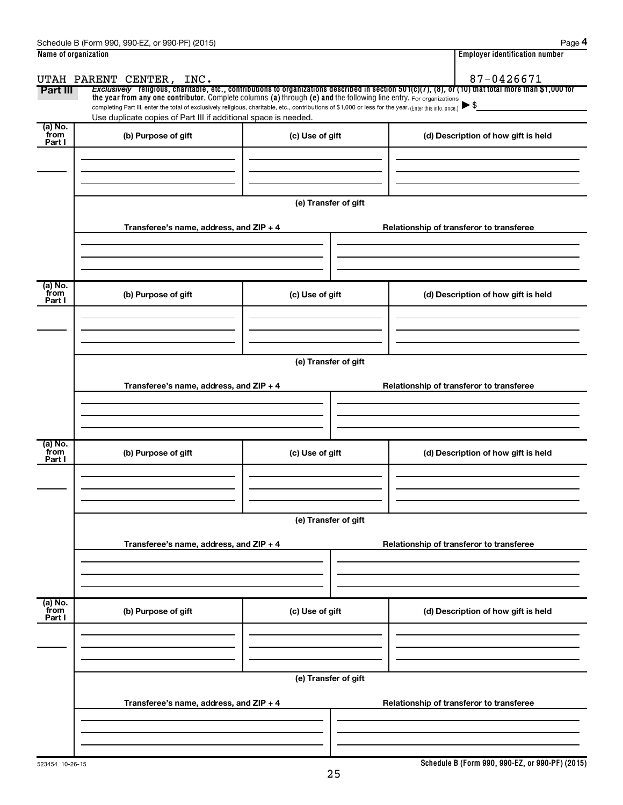| Name of organization |                                                                                                                                                          |                      | <b>Employer identification number</b>                                                                                                                 |
|----------------------|----------------------------------------------------------------------------------------------------------------------------------------------------------|----------------------|-------------------------------------------------------------------------------------------------------------------------------------------------------|
|                      | UTAH PARENT CENTER, INC.                                                                                                                                 |                      | 87-0426671                                                                                                                                            |
| Part III             | the year from any one contributor. Complete columns (a) through (e) and the following line entry. For organizations                                      |                      | Exclusively religious, charitable, etc., contributions to organizations described in section 501(c)(7), (8), or (10) that total more than \$1,000 for |
|                      | completing Part III, enter the total of exclusively religious, charitable, etc., contributions of \$1,000 or less for the year. (Enter this info. once.) |                      |                                                                                                                                                       |
| (a) No.              | Use duplicate copies of Part III if additional space is needed.                                                                                          |                      |                                                                                                                                                       |
| from<br>Part I       | (b) Purpose of gift                                                                                                                                      | (c) Use of gift      | (d) Description of how gift is held                                                                                                                   |
|                      |                                                                                                                                                          |                      |                                                                                                                                                       |
|                      |                                                                                                                                                          |                      |                                                                                                                                                       |
|                      |                                                                                                                                                          |                      |                                                                                                                                                       |
|                      |                                                                                                                                                          | (e) Transfer of gift |                                                                                                                                                       |
|                      |                                                                                                                                                          |                      |                                                                                                                                                       |
|                      | Transferee's name, address, and $ZIP + 4$                                                                                                                |                      | Relationship of transferor to transferee                                                                                                              |
|                      |                                                                                                                                                          |                      |                                                                                                                                                       |
|                      |                                                                                                                                                          |                      |                                                                                                                                                       |
|                      |                                                                                                                                                          |                      |                                                                                                                                                       |
| (a) No.<br>from      | (b) Purpose of gift                                                                                                                                      | (c) Use of gift      | (d) Description of how gift is held                                                                                                                   |
| Part I               |                                                                                                                                                          |                      |                                                                                                                                                       |
|                      |                                                                                                                                                          |                      |                                                                                                                                                       |
|                      |                                                                                                                                                          |                      |                                                                                                                                                       |
|                      |                                                                                                                                                          |                      |                                                                                                                                                       |
|                      |                                                                                                                                                          | (e) Transfer of gift |                                                                                                                                                       |
|                      | Transferee's name, address, and ZIP + 4                                                                                                                  |                      | Relationship of transferor to transferee                                                                                                              |
|                      |                                                                                                                                                          |                      |                                                                                                                                                       |
|                      |                                                                                                                                                          |                      |                                                                                                                                                       |
|                      |                                                                                                                                                          |                      |                                                                                                                                                       |
| (a) No.<br>from      | (b) Purpose of gift                                                                                                                                      | (c) Use of gift      | (d) Description of how gift is held                                                                                                                   |
| Part I               |                                                                                                                                                          |                      |                                                                                                                                                       |
|                      |                                                                                                                                                          |                      |                                                                                                                                                       |
|                      |                                                                                                                                                          |                      |                                                                                                                                                       |
|                      |                                                                                                                                                          |                      |                                                                                                                                                       |
|                      |                                                                                                                                                          | (e) Transfer of gift |                                                                                                                                                       |
|                      | Transferee's name, address, and ZIP + 4                                                                                                                  |                      | Relationship of transferor to transferee                                                                                                              |
|                      |                                                                                                                                                          |                      |                                                                                                                                                       |
|                      |                                                                                                                                                          |                      |                                                                                                                                                       |
|                      |                                                                                                                                                          |                      |                                                                                                                                                       |
| (a) No.<br>from      |                                                                                                                                                          |                      |                                                                                                                                                       |
| Part I               | (b) Purpose of gift                                                                                                                                      | (c) Use of gift      | (d) Description of how gift is held                                                                                                                   |
|                      |                                                                                                                                                          |                      |                                                                                                                                                       |
|                      |                                                                                                                                                          |                      |                                                                                                                                                       |
|                      |                                                                                                                                                          |                      |                                                                                                                                                       |
|                      |                                                                                                                                                          | (e) Transfer of gift |                                                                                                                                                       |
|                      |                                                                                                                                                          |                      |                                                                                                                                                       |
|                      | Transferee's name, address, and ZIP + 4                                                                                                                  |                      | Relationship of transferor to transferee                                                                                                              |
|                      |                                                                                                                                                          |                      |                                                                                                                                                       |
|                      |                                                                                                                                                          |                      |                                                                                                                                                       |
|                      |                                                                                                                                                          |                      |                                                                                                                                                       |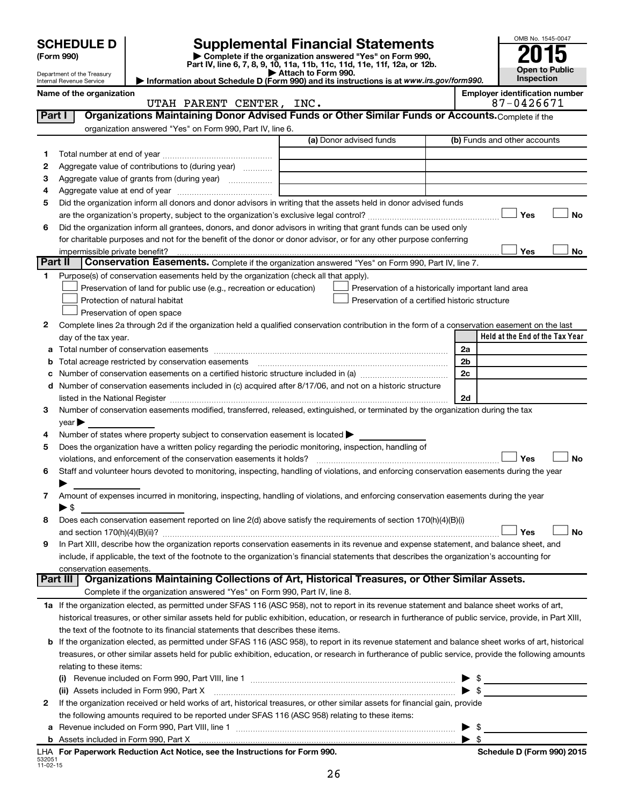|                                                        |                                                                                                                                         |                                                                                                                                                              |                                                                                                                                                           |                          | OMB No. 1545-0047               |  |  |
|--------------------------------------------------------|-----------------------------------------------------------------------------------------------------------------------------------------|--------------------------------------------------------------------------------------------------------------------------------------------------------------|-----------------------------------------------------------------------------------------------------------------------------------------------------------|--------------------------|---------------------------------|--|--|
|                                                        | <b>Supplemental Financial Statements</b><br><b>SCHEDULE D</b><br>Complete if the organization answered "Yes" on Form 990,<br>(Form 990) |                                                                                                                                                              |                                                                                                                                                           |                          |                                 |  |  |
|                                                        | <b>Open to Public</b>                                                                                                                   |                                                                                                                                                              |                                                                                                                                                           |                          |                                 |  |  |
| Department of the Treasury<br>Internal Revenue Service | Inspection                                                                                                                              |                                                                                                                                                              |                                                                                                                                                           |                          |                                 |  |  |
| Name of the organization                               | <b>Employer identification number</b><br>87-0426671                                                                                     |                                                                                                                                                              |                                                                                                                                                           |                          |                                 |  |  |
| Part I                                                 |                                                                                                                                         | UTAH PARENT CENTER, INC.                                                                                                                                     | Organizations Maintaining Donor Advised Funds or Other Similar Funds or Accounts. Complete if the                                                         |                          |                                 |  |  |
|                                                        |                                                                                                                                         | organization answered "Yes" on Form 990, Part IV, line 6.                                                                                                    |                                                                                                                                                           |                          |                                 |  |  |
|                                                        |                                                                                                                                         |                                                                                                                                                              | (a) Donor advised funds                                                                                                                                   |                          | (b) Funds and other accounts    |  |  |
| 1                                                      |                                                                                                                                         |                                                                                                                                                              |                                                                                                                                                           |                          |                                 |  |  |
| 2                                                      |                                                                                                                                         | Aggregate value of contributions to (during year)                                                                                                            |                                                                                                                                                           |                          |                                 |  |  |
| з                                                      |                                                                                                                                         |                                                                                                                                                              |                                                                                                                                                           |                          |                                 |  |  |
| 4                                                      |                                                                                                                                         |                                                                                                                                                              |                                                                                                                                                           |                          |                                 |  |  |
| 5                                                      |                                                                                                                                         |                                                                                                                                                              | Did the organization inform all donors and donor advisors in writing that the assets held in donor advised funds                                          |                          |                                 |  |  |
|                                                        |                                                                                                                                         |                                                                                                                                                              |                                                                                                                                                           |                          | Yes<br>No                       |  |  |
| 6                                                      |                                                                                                                                         |                                                                                                                                                              | Did the organization inform all grantees, donors, and donor advisors in writing that grant funds can be used only                                         |                          |                                 |  |  |
|                                                        |                                                                                                                                         |                                                                                                                                                              | for charitable purposes and not for the benefit of the donor or donor advisor, or for any other purpose conferring                                        |                          |                                 |  |  |
|                                                        | impermissible private benefit?<br>Part II                                                                                               |                                                                                                                                                              | <b>Conservation Easements.</b> Complete if the organization answered "Yes" on Form 990, Part IV, line 7.                                                  |                          | Yes<br>No                       |  |  |
|                                                        |                                                                                                                                         |                                                                                                                                                              |                                                                                                                                                           |                          |                                 |  |  |
| 1.                                                     |                                                                                                                                         | Purpose(s) of conservation easements held by the organization (check all that apply).<br>Preservation of land for public use (e.g., recreation or education) | Preservation of a historically important land area                                                                                                        |                          |                                 |  |  |
|                                                        |                                                                                                                                         | Protection of natural habitat                                                                                                                                | Preservation of a certified historic structure                                                                                                            |                          |                                 |  |  |
|                                                        |                                                                                                                                         | Preservation of open space                                                                                                                                   |                                                                                                                                                           |                          |                                 |  |  |
| 2                                                      |                                                                                                                                         |                                                                                                                                                              | Complete lines 2a through 2d if the organization held a qualified conservation contribution in the form of a conservation easement on the last            |                          |                                 |  |  |
|                                                        | day of the tax year.                                                                                                                    |                                                                                                                                                              |                                                                                                                                                           |                          | Held at the End of the Tax Year |  |  |
|                                                        |                                                                                                                                         |                                                                                                                                                              |                                                                                                                                                           | 2a                       |                                 |  |  |
| b                                                      |                                                                                                                                         | Total acreage restricted by conservation easements                                                                                                           |                                                                                                                                                           | 2b                       |                                 |  |  |
|                                                        |                                                                                                                                         |                                                                                                                                                              | Number of conservation easements on a certified historic structure included in (a) manufacture included in (a)                                            | 2c                       |                                 |  |  |
|                                                        |                                                                                                                                         |                                                                                                                                                              | d Number of conservation easements included in (c) acquired after 8/17/06, and not on a historic structure                                                |                          |                                 |  |  |
|                                                        |                                                                                                                                         |                                                                                                                                                              |                                                                                                                                                           | 2d                       |                                 |  |  |
| 3                                                      |                                                                                                                                         |                                                                                                                                                              | Number of conservation easements modified, transferred, released, extinguished, or terminated by the organization during the tax                          |                          |                                 |  |  |
|                                                        | year                                                                                                                                    |                                                                                                                                                              |                                                                                                                                                           |                          |                                 |  |  |
| 4                                                      |                                                                                                                                         | Number of states where property subject to conservation easement is located >                                                                                |                                                                                                                                                           |                          |                                 |  |  |
| 5                                                      |                                                                                                                                         | Does the organization have a written policy regarding the periodic monitoring, inspection, handling of                                                       |                                                                                                                                                           |                          |                                 |  |  |
|                                                        |                                                                                                                                         | violations, and enforcement of the conservation easements it holds?                                                                                          |                                                                                                                                                           |                          | <b>No</b><br>Yes                |  |  |
| 6                                                      |                                                                                                                                         |                                                                                                                                                              | Staff and volunteer hours devoted to monitoring, inspecting, handling of violations, and enforcing conservation easements during the year                 |                          |                                 |  |  |
|                                                        |                                                                                                                                         |                                                                                                                                                              |                                                                                                                                                           |                          |                                 |  |  |
| 7                                                      |                                                                                                                                         |                                                                                                                                                              | Amount of expenses incurred in monitoring, inspecting, handling of violations, and enforcing conservation easements during the year                       |                          |                                 |  |  |
|                                                        | $\blacktriangleright$ \$                                                                                                                |                                                                                                                                                              |                                                                                                                                                           |                          |                                 |  |  |
| 8                                                      |                                                                                                                                         |                                                                                                                                                              | Does each conservation easement reported on line 2(d) above satisfy the requirements of section 170(h)(4)(B)(i)                                           |                          | Yes<br>No                       |  |  |
| 9                                                      |                                                                                                                                         |                                                                                                                                                              | In Part XIII, describe how the organization reports conservation easements in its revenue and expense statement, and balance sheet, and                   |                          |                                 |  |  |
|                                                        |                                                                                                                                         |                                                                                                                                                              | include, if applicable, the text of the footnote to the organization's financial statements that describes the organization's accounting for              |                          |                                 |  |  |
|                                                        | conservation easements.                                                                                                                 |                                                                                                                                                              |                                                                                                                                                           |                          |                                 |  |  |
|                                                        | Part III                                                                                                                                |                                                                                                                                                              | Organizations Maintaining Collections of Art, Historical Treasures, or Other Similar Assets.                                                              |                          |                                 |  |  |
|                                                        |                                                                                                                                         | Complete if the organization answered "Yes" on Form 990, Part IV, line 8.                                                                                    |                                                                                                                                                           |                          |                                 |  |  |
|                                                        |                                                                                                                                         |                                                                                                                                                              | 1a If the organization elected, as permitted under SFAS 116 (ASC 958), not to report in its revenue statement and balance sheet works of art,             |                          |                                 |  |  |
|                                                        |                                                                                                                                         |                                                                                                                                                              | historical treasures, or other similar assets held for public exhibition, education, or research in furtherance of public service, provide, in Part XIII, |                          |                                 |  |  |
|                                                        |                                                                                                                                         | the text of the footnote to its financial statements that describes these items.                                                                             |                                                                                                                                                           |                          |                                 |  |  |
|                                                        |                                                                                                                                         |                                                                                                                                                              | b If the organization elected, as permitted under SFAS 116 (ASC 958), to report in its revenue statement and balance sheet works of art, historical       |                          |                                 |  |  |
|                                                        |                                                                                                                                         |                                                                                                                                                              | treasures, or other similar assets held for public exhibition, education, or research in furtherance of public service, provide the following amounts     |                          |                                 |  |  |
|                                                        | relating to these items:                                                                                                                |                                                                                                                                                              |                                                                                                                                                           |                          |                                 |  |  |
|                                                        |                                                                                                                                         |                                                                                                                                                              |                                                                                                                                                           |                          |                                 |  |  |
|                                                        |                                                                                                                                         |                                                                                                                                                              | (ii) Assets included in Form 990, Part X [11] [2000] [2010] Assets included in Form 990, Part X [11] [11] [200                                            | $\blacktriangleright$ \$ |                                 |  |  |
| 2                                                      |                                                                                                                                         |                                                                                                                                                              | If the organization received or held works of art, historical treasures, or other similar assets for financial gain, provide                              |                          |                                 |  |  |
|                                                        |                                                                                                                                         | the following amounts required to be reported under SFAS 116 (ASC 958) relating to these items:                                                              |                                                                                                                                                           |                          |                                 |  |  |
|                                                        |                                                                                                                                         |                                                                                                                                                              |                                                                                                                                                           | - \$                     |                                 |  |  |
|                                                        |                                                                                                                                         |                                                                                                                                                              |                                                                                                                                                           | $\blacktriangleright$ \$ |                                 |  |  |

532051 11-02-15 **For Paperwork Reduction Act Notice, see the Instructions for Form 990. Schedule D (Form 990) 2015** LHA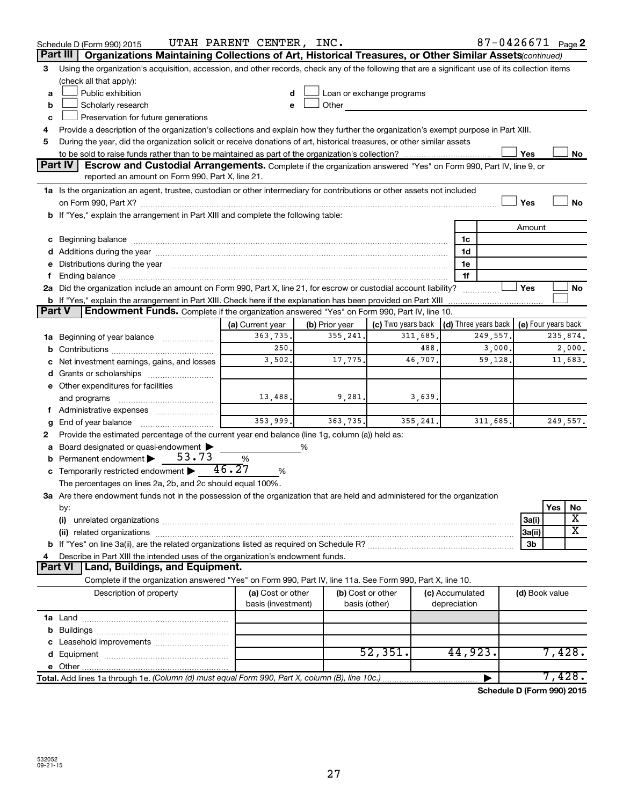|               | Schedule D (Form 990) 2015                                                                                                                                                                                                     | UTAH PARENT CENTER, INC.                |                |                                    |         |                                 | 87-0426671 Page 2    |                     |          |           |
|---------------|--------------------------------------------------------------------------------------------------------------------------------------------------------------------------------------------------------------------------------|-----------------------------------------|----------------|------------------------------------|---------|---------------------------------|----------------------|---------------------|----------|-----------|
|               | Organizations Maintaining Collections of Art, Historical Treasures, or Other Similar Assets (continued)<br>Part III I                                                                                                          |                                         |                |                                    |         |                                 |                      |                     |          |           |
| З.            | Using the organization's acquisition, accession, and other records, check any of the following that are a significant use of its collection items                                                                              |                                         |                |                                    |         |                                 |                      |                     |          |           |
|               | (check all that apply):                                                                                                                                                                                                        |                                         |                |                                    |         |                                 |                      |                     |          |           |
| a             | Public exhibition                                                                                                                                                                                                              |                                         |                | Loan or exchange programs          |         |                                 |                      |                     |          |           |
| b             | Scholarly research                                                                                                                                                                                                             | e                                       | Other          |                                    |         |                                 |                      |                     |          |           |
| c             | Preservation for future generations                                                                                                                                                                                            |                                         |                |                                    |         |                                 |                      |                     |          |           |
| 4             | Provide a description of the organization's collections and explain how they further the organization's exempt purpose in Part XIII.                                                                                           |                                         |                |                                    |         |                                 |                      |                     |          |           |
| 5             | During the year, did the organization solicit or receive donations of art, historical treasures, or other similar assets                                                                                                       |                                         |                |                                    |         |                                 |                      |                     |          |           |
|               |                                                                                                                                                                                                                                |                                         |                |                                    |         |                                 |                      | Yes                 |          | No        |
|               | Part IV<br><b>Escrow and Custodial Arrangements.</b> Complete if the organization answered "Yes" on Form 990, Part IV, line 9, or                                                                                              |                                         |                |                                    |         |                                 |                      |                     |          |           |
|               | reported an amount on Form 990, Part X, line 21.                                                                                                                                                                               |                                         |                |                                    |         |                                 |                      |                     |          |           |
|               | 1a Is the organization an agent, trustee, custodian or other intermediary for contributions or other assets not included                                                                                                       |                                         |                |                                    |         |                                 |                      |                     |          |           |
|               |                                                                                                                                                                                                                                |                                         |                |                                    |         |                                 |                      | Yes                 |          | <b>No</b> |
|               | <b>b</b> If "Yes," explain the arrangement in Part XIII and complete the following table:                                                                                                                                      |                                         |                |                                    |         |                                 |                      |                     |          |           |
|               |                                                                                                                                                                                                                                |                                         |                |                                    |         |                                 |                      | Amount              |          |           |
|               | c Beginning balance measurements and the contract of the contract of the contract of the contract of the contract of the contract of the contract of the contract of the contract of the contract of the contract of the contr |                                         |                |                                    |         | 1c                              |                      |                     |          |           |
|               | d Additions during the year manufactured and an account of the year manufactured and account of the year manufactured and account of the year manufactured and account of the year manufactured and account of the year manufa |                                         |                |                                    |         | 1d                              |                      |                     |          |           |
|               | e Distributions during the year manufactured and continuum and contact the year manufactured and contact the year manufactured and contact the year manufactured and contact the year manufactured and contact the year manufa |                                         |                |                                    |         | 1e<br>1f                        |                      |                     |          |           |
| f             | 2a Did the organization include an amount on Form 990, Part X, line 21, for escrow or custodial account liability?                                                                                                             |                                         |                |                                    |         |                                 |                      | Yes                 |          | No        |
|               | <b>b</b> If "Yes," explain the arrangement in Part XIII. Check here if the explanation has been provided on Part XIII                                                                                                          |                                         |                |                                    |         |                                 |                      |                     |          |           |
| <b>Part V</b> | <b>Endowment Funds.</b> Complete if the organization answered "Yes" on Form 990, Part IV, line 10.                                                                                                                             |                                         |                |                                    |         |                                 |                      |                     |          |           |
|               |                                                                                                                                                                                                                                | (a) Current year                        | (b) Prior year | (c) Two years back                 |         |                                 | (d) Three years back | (e) Four years back |          |           |
|               | 1a Beginning of year balance                                                                                                                                                                                                   | 363,735.                                | 355, 241.      | 311,685.                           |         |                                 | 249,557.             |                     | 235,874. |           |
| b             |                                                                                                                                                                                                                                | 250.                                    |                |                                    | 488.    |                                 | 3,000.               |                     |          | 2,000.    |
| c             | Net investment earnings, gains, and losses                                                                                                                                                                                     | 3,502.                                  | 17,775.        |                                    | 46,707. |                                 | 59,128.              |                     |          | 11,683.   |
|               |                                                                                                                                                                                                                                |                                         |                |                                    |         |                                 |                      |                     |          |           |
|               | e Other expenditures for facilities                                                                                                                                                                                            |                                         |                |                                    |         |                                 |                      |                     |          |           |
|               | and programs                                                                                                                                                                                                                   | 13,488.                                 | 9,281.         |                                    | 3,639.  |                                 |                      |                     |          |           |
|               | f Administrative expenses                                                                                                                                                                                                      |                                         |                |                                    |         |                                 |                      |                     |          |           |
| g             |                                                                                                                                                                                                                                | 353,999.                                | 363,735.       | 355, 241.                          |         |                                 | 311,685.             |                     | 249,557. |           |
| 2             | Provide the estimated percentage of the current year end balance (line 1g, column (a)) held as:                                                                                                                                |                                         |                |                                    |         |                                 |                      |                     |          |           |
| a             | Board designated or quasi-endowment                                                                                                                                                                                            |                                         | %              |                                    |         |                                 |                      |                     |          |           |
| b             | 53.73<br>Permanent endowment                                                                                                                                                                                                   | $\%$                                    |                |                                    |         |                                 |                      |                     |          |           |
| c             | Temporarily restricted endowment                                                                                                                                                                                               | 46.27<br>%                              |                |                                    |         |                                 |                      |                     |          |           |
|               | The percentages on lines 2a, 2b, and 2c should equal 100%.                                                                                                                                                                     |                                         |                |                                    |         |                                 |                      |                     |          |           |
|               | 3a Are there endowment funds not in the possession of the organization that are held and administered for the organization                                                                                                     |                                         |                |                                    |         |                                 |                      |                     |          |           |
|               | by:                                                                                                                                                                                                                            |                                         |                |                                    |         |                                 |                      |                     | Yes      | No        |
|               | (i)                                                                                                                                                                                                                            |                                         |                |                                    |         |                                 |                      | 3a(i)               |          | х         |
|               |                                                                                                                                                                                                                                |                                         |                |                                    |         |                                 |                      | 3a(ii)              |          | X         |
|               |                                                                                                                                                                                                                                |                                         |                |                                    |         |                                 |                      | 3b                  |          |           |
| 4             | Describe in Part XIII the intended uses of the organization's endowment funds.                                                                                                                                                 |                                         |                |                                    |         |                                 |                      |                     |          |           |
|               | Part VI   Land, Buildings, and Equipment.                                                                                                                                                                                      |                                         |                |                                    |         |                                 |                      |                     |          |           |
|               | Complete if the organization answered "Yes" on Form 990, Part IV, line 11a. See Form 990, Part X, line 10.                                                                                                                     |                                         |                |                                    |         |                                 |                      |                     |          |           |
|               | Description of property                                                                                                                                                                                                        | (a) Cost or other<br>basis (investment) |                | (b) Cost or other<br>basis (other) |         | (c) Accumulated<br>depreciation |                      | (d) Book value      |          |           |
|               |                                                                                                                                                                                                                                |                                         |                |                                    |         |                                 |                      |                     |          |           |
| b             |                                                                                                                                                                                                                                |                                         |                |                                    |         |                                 |                      |                     |          |           |
| с             |                                                                                                                                                                                                                                |                                         |                |                                    |         |                                 |                      |                     |          |           |
| d             |                                                                                                                                                                                                                                |                                         |                | 52, 351.                           |         | 44,923.                         |                      |                     | 7,428.   |           |
|               |                                                                                                                                                                                                                                |                                         |                |                                    |         |                                 |                      |                     |          |           |
|               | Total. Add lines 1a through 1e. (Column (d) must equal Form 990, Part X, column (B), line 10c.)                                                                                                                                |                                         |                |                                    |         |                                 |                      |                     | 7,428.   |           |

**Schedule D (Form 990) 2015**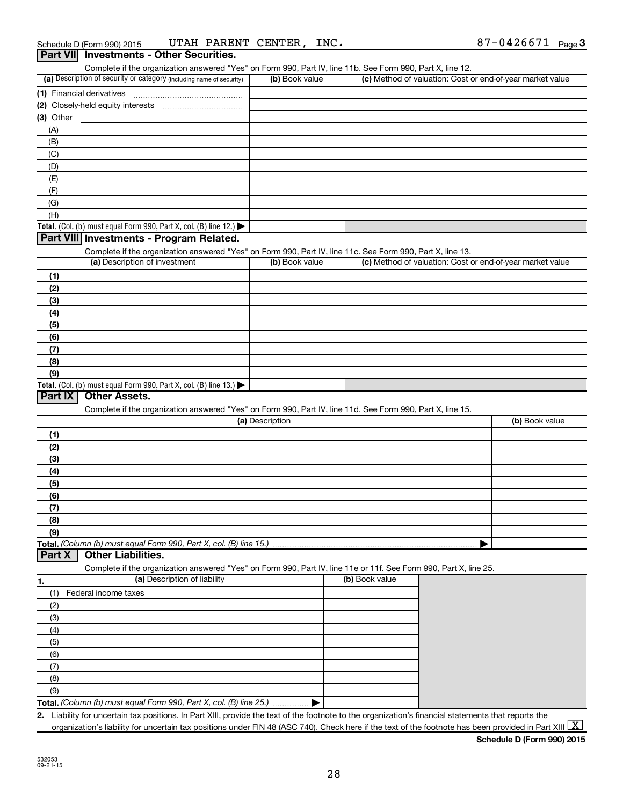| Schedule D (Form 990) 2015                      |  | UTAH PARENT CENTER, | INC. | $87 - 0426671$ Page 3 |  |
|-------------------------------------------------|--|---------------------|------|-----------------------|--|
| <b>Part VII</b> Investments - Other Securities. |  |                     |      |                       |  |

| (a) Description of security or category (including name of security)                                                                                                            | (b) Book value  |                | (c) Method of valuation: Cost or end-of-year market value |                |
|---------------------------------------------------------------------------------------------------------------------------------------------------------------------------------|-----------------|----------------|-----------------------------------------------------------|----------------|
|                                                                                                                                                                                 |                 |                |                                                           |                |
|                                                                                                                                                                                 |                 |                |                                                           |                |
| (3) Other                                                                                                                                                                       |                 |                |                                                           |                |
| (A)                                                                                                                                                                             |                 |                |                                                           |                |
| (B)                                                                                                                                                                             |                 |                |                                                           |                |
| (C)                                                                                                                                                                             |                 |                |                                                           |                |
| (D)                                                                                                                                                                             |                 |                |                                                           |                |
| (E)                                                                                                                                                                             |                 |                |                                                           |                |
| (F)                                                                                                                                                                             |                 |                |                                                           |                |
| (G)                                                                                                                                                                             |                 |                |                                                           |                |
| (H)                                                                                                                                                                             |                 |                |                                                           |                |
| Total. (Col. (b) must equal Form 990, Part X, col. (B) line 12.) $\blacktriangleright$                                                                                          |                 |                |                                                           |                |
| Part VIII Investments - Program Related.                                                                                                                                        |                 |                |                                                           |                |
| Complete if the organization answered "Yes" on Form 990, Part IV, line 11c. See Form 990, Part X, line 13.                                                                      |                 |                |                                                           |                |
| (a) Description of investment                                                                                                                                                   | (b) Book value  |                | (c) Method of valuation: Cost or end-of-year market value |                |
|                                                                                                                                                                                 |                 |                |                                                           |                |
| (1)                                                                                                                                                                             |                 |                |                                                           |                |
| (2)                                                                                                                                                                             |                 |                |                                                           |                |
| (3)                                                                                                                                                                             |                 |                |                                                           |                |
| (4)                                                                                                                                                                             |                 |                |                                                           |                |
| (5)                                                                                                                                                                             |                 |                |                                                           |                |
| (6)                                                                                                                                                                             |                 |                |                                                           |                |
| (7)                                                                                                                                                                             |                 |                |                                                           |                |
| (8)                                                                                                                                                                             |                 |                |                                                           |                |
|                                                                                                                                                                                 |                 |                |                                                           |                |
| (9)<br><b>Other Assets.</b>                                                                                                                                                     |                 |                |                                                           |                |
| Complete if the organization answered "Yes" on Form 990, Part IV, line 11d. See Form 990, Part X, line 15.                                                                      | (a) Description |                |                                                           |                |
| (1)                                                                                                                                                                             |                 |                |                                                           |                |
| (2)                                                                                                                                                                             |                 |                |                                                           |                |
| (3)                                                                                                                                                                             |                 |                |                                                           |                |
| (4)                                                                                                                                                                             |                 |                |                                                           |                |
| (5)                                                                                                                                                                             |                 |                |                                                           |                |
| (6)                                                                                                                                                                             |                 |                |                                                           |                |
| (7)                                                                                                                                                                             |                 |                |                                                           |                |
| (8)                                                                                                                                                                             |                 |                |                                                           |                |
| (9)                                                                                                                                                                             |                 |                |                                                           |                |
|                                                                                                                                                                                 |                 |                |                                                           |                |
| <b>Other Liabilities.</b>                                                                                                                                                       |                 |                |                                                           |                |
|                                                                                                                                                                                 |                 |                |                                                           |                |
| Complete if the organization answered "Yes" on Form 990, Part IV, line 11e or 11f. See Form 990, Part X, line 25.                                                               |                 |                |                                                           |                |
| (a) Description of liability                                                                                                                                                    |                 | (b) Book value |                                                           |                |
| (1)<br>Federal income taxes                                                                                                                                                     |                 |                |                                                           |                |
| (2)                                                                                                                                                                             |                 |                |                                                           |                |
| (3)                                                                                                                                                                             |                 |                |                                                           |                |
| (4)                                                                                                                                                                             |                 |                |                                                           |                |
| (5)                                                                                                                                                                             |                 |                |                                                           |                |
| (6)                                                                                                                                                                             |                 |                |                                                           |                |
| (7)                                                                                                                                                                             |                 |                |                                                           |                |
| Total. (Col. (b) must equal Form 990, Part X, col. (B) line 13.)<br>Part IX<br>Total. (Column (b) must equal Form 990, Part X, col. (B) line 15.)<br>Part X<br>1.<br>(8)<br>(9) |                 |                |                                                           | (b) Book value |

organization's liability for uncertain tax positions under FIN 48 (ASC 740). Check here if the text of the footnote has been provided in Part XIII  $\boxed{\text{X}}$ 

**Schedule D (Form 990) 2015**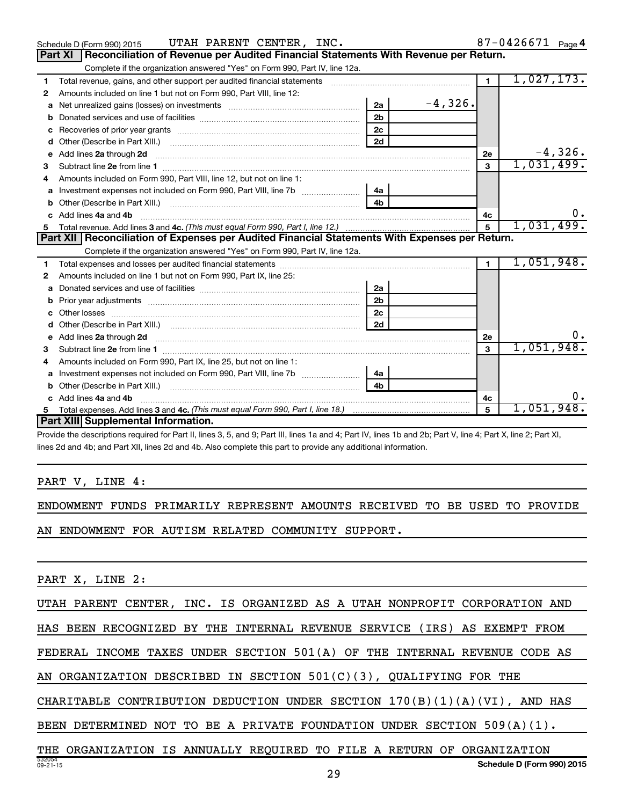|    | UTAH PARENT CENTER, INC.<br>Schedule D (Form 990) 2015                                                                                                                                                                                                       |                | 87-0426671 $_{Page 4}$ |
|----|--------------------------------------------------------------------------------------------------------------------------------------------------------------------------------------------------------------------------------------------------------------|----------------|------------------------|
|    | Reconciliation of Revenue per Audited Financial Statements With Revenue per Return.<br><b>Part XI</b>                                                                                                                                                        |                |                        |
|    | Complete if the organization answered "Yes" on Form 990, Part IV, line 12a.                                                                                                                                                                                  |                |                        |
| 1  | Total revenue, gains, and other support per audited financial statements [111] [11] Total revenue, gains, and other support per audited financial statements                                                                                                 | $\overline{1}$ | 1,027,173.             |
| 2  | Amounts included on line 1 but not on Form 990, Part VIII, line 12:                                                                                                                                                                                          |                |                        |
| a  | $-4,326.$<br>2a                                                                                                                                                                                                                                              |                |                        |
|    | 2 <sub>b</sub>                                                                                                                                                                                                                                               |                |                        |
| c  | 2c<br>Recoveries of prior year grants [11,111] [11] Recoveries of prior year grants [11] [11] Recoveries of prior year grants [11] [11] [11] $\frac{1}{2}$ [11] $\frac{1}{2}$ [11] $\frac{1}{2}$ [11] $\frac{1}{2}$ [11] $\frac{1}{2}$ [11] $\frac{1}{2}$ [1 |                |                        |
| d  | 2d                                                                                                                                                                                                                                                           |                |                        |
| е  | Add lines 2a through 2d                                                                                                                                                                                                                                      | 2e             | $-4,326.$              |
| з  |                                                                                                                                                                                                                                                              | 3              | 1,031,499.             |
| 4  | Amounts included on Form 990, Part VIII, line 12, but not on line 1:                                                                                                                                                                                         |                |                        |
|    |                                                                                                                                                                                                                                                              |                |                        |
| b  | 4 <sub>b</sub>                                                                                                                                                                                                                                               |                |                        |
| C. | Add lines 4a and 4b                                                                                                                                                                                                                                          | 4c             |                        |
|    |                                                                                                                                                                                                                                                              | 5              | 1,031,499.             |
|    | Part XII   Reconciliation of Expenses per Audited Financial Statements With Expenses per Return.                                                                                                                                                             |                |                        |
|    | Complete if the organization answered "Yes" on Form 990, Part IV, line 12a.                                                                                                                                                                                  |                |                        |
| 1  |                                                                                                                                                                                                                                                              | $\mathbf{1}$   | 1,051,948.             |
| 2  | Amounts included on line 1 but not on Form 990, Part IX, line 25:                                                                                                                                                                                            |                |                        |
| a  | 2a                                                                                                                                                                                                                                                           |                |                        |
| b  | 2 <sub>b</sub>                                                                                                                                                                                                                                               |                |                        |
| с  | 2 <sub>c</sub>                                                                                                                                                                                                                                               |                |                        |
| d  | 2d                                                                                                                                                                                                                                                           |                |                        |
|    | Add lines 2a through 2d <b>must be a constructed as the constant of the construction of the construction</b> and a construction of the construction of the construction of the construction of the construction of the construction                          | 2e             | 0.                     |
| 3  |                                                                                                                                                                                                                                                              | 3              | 1,051,948.             |
| 4  | Amounts included on Form 990, Part IX, line 25, but not on line 1:                                                                                                                                                                                           |                |                        |
| a  |                                                                                                                                                                                                                                                              |                |                        |
| b  | 4 <sub>b</sub>                                                                                                                                                                                                                                               |                |                        |
| C. | Add lines 4a and 4b                                                                                                                                                                                                                                          | 4с             | ο.                     |
|    |                                                                                                                                                                                                                                                              | 5              | 1,051,948.             |
|    | Part XIII Supplemental Information.                                                                                                                                                                                                                          |                |                        |

Provide the descriptions required for Part II, lines 3, 5, and 9; Part III, lines 1a and 4; Part IV, lines 1b and 2b; Part V, line 4; Part X, line 2; Part XI, lines 2d and 4b; and Part XII, lines 2d and 4b. Also complete this part to provide any additional information.

#### PART V, LINE 4:

ENDOWMENT FUNDS PRIMARILY REPRESENT AMOUNTS RECEIVED TO BE USED TO PROVIDE

AN ENDOWMENT FOR AUTISM RELATED COMMUNITY SUPPORT.

#### PART X, LINE 2:

UTAH PARENT CENTER, INC. IS ORGANIZED AS A UTAH NONPROFIT CORPORATION AND

HAS BEEN RECOGNIZED BY THE INTERNAL REVENUE SERVICE (IRS) AS EXEMPT FROM

FEDERAL INCOME TAXES UNDER SECTION 501(A) OF THE INTERNAL REVENUE CODE AS

AN ORGANIZATION DESCRIBED IN SECTION 501(C)(3), QUALIFYING FOR THE

CHARITABLE CONTRIBUTION DEDUCTION UNDER SECTION 170(B)(1)(A)(VI), AND HAS

BEEN DETERMINED NOT TO BE A PRIVATE FOUNDATION UNDER SECTION 509(A)(1).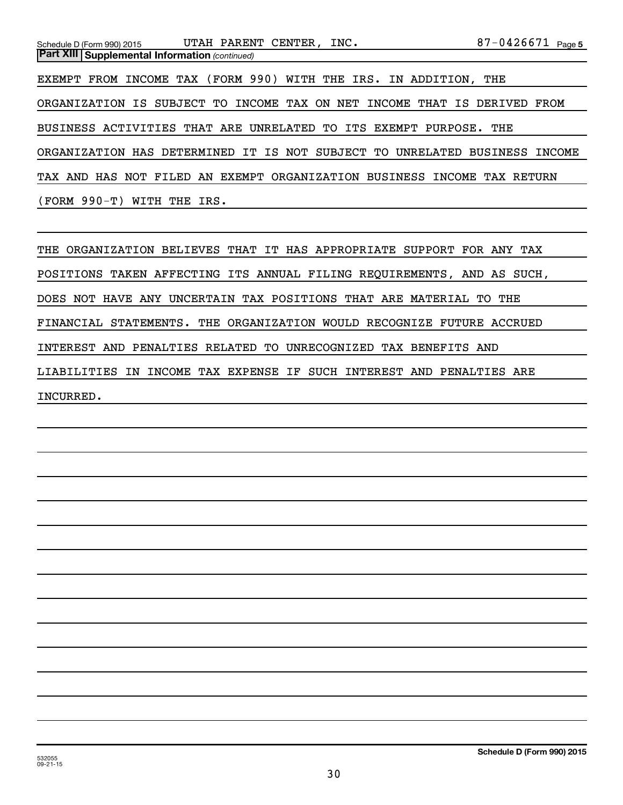| UTAH PARENT CENTER, INC.<br>Schedule D (Form 990) 2015            | $87 - 0426671$ Page 5                                                    |
|-------------------------------------------------------------------|--------------------------------------------------------------------------|
| <b>Part XIII Supplemental Information (continued)</b>             |                                                                          |
| EXEMPT FROM                                                       | INCOME TAX (FORM 990) WITH THE IRS. IN ADDITION,<br>THE                  |
|                                                                   | ORGANIZATION IS SUBJECT TO INCOME TAX ON NET INCOME THAT IS DERIVED FROM |
| BUSINESS ACTIVITIES THAT ARE UNRELATED TO ITS EXEMPT PURPOSE. THE |                                                                          |
| ORGANIZATION HAS DETERMINED IT IS NOT SUBJECT TO UNRELATED        | BUSINESS<br>INCOME                                                       |
|                                                                   | TAX AND HAS NOT FILED AN EXEMPT ORGANIZATION BUSINESS INCOME TAX RETURN  |
| (FORM 990-T) WITH THE IRS.                                        |                                                                          |

THE ORGANIZATION BELIEVES THAT IT HAS APPROPRIATE SUPPORT FOR ANY TAX POSITIONS TAKEN AFFECTING ITS ANNUAL FILING REQUIREMENTS, AND AS SUCH, DOES NOT HAVE ANY UNCERTAIN TAX POSITIONS THAT ARE MATERIAL TO THE FINANCIAL STATEMENTS. THE ORGANIZATION WOULD RECOGNIZE FUTURE ACCRUED INTEREST AND PENALTIES RELATED TO UNRECOGNIZED TAX BENEFITS AND LIABILITIES IN INCOME TAX EXPENSE IF SUCH INTEREST AND PENALTIES ARE INCURRED.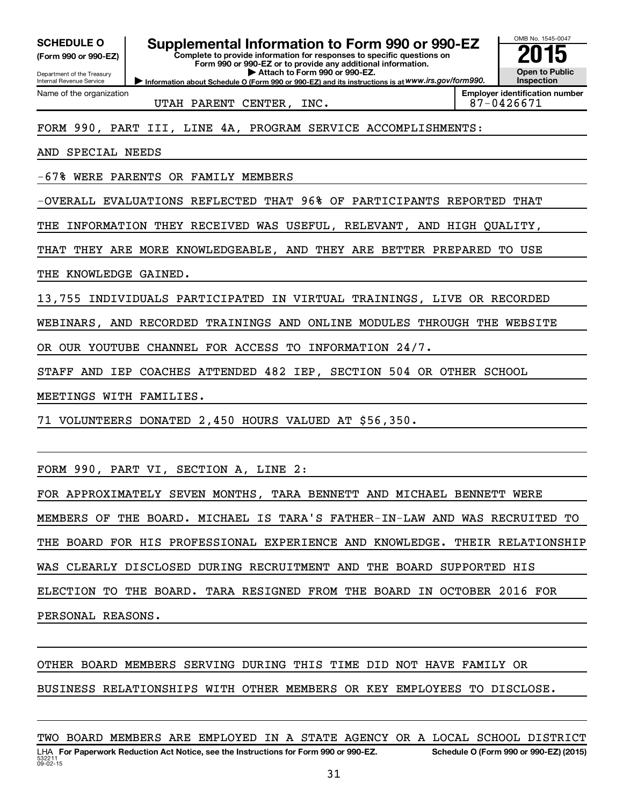**(Form 990 or 990-EZ)**

Department of the Treasury Internal Revenue Service Name of the organization

SCHEDULE O **Supplemental Information to Form 990 or 990-EZ** 2015<br>(Form 990 or 990-EZ) Complete to provide information for responses to specific questions on

**Complete to provide information for responses to specific questions on Form 990 or 990-EZ or to provide any additional information. | Attach to Form 990 or 990-EZ.**

**Information about Schedule O (Form 990 or 990-EZ) and its instructions is at WWW.irs.gov/form990.** 



**Employer identification number**

UTAH PARENT CENTER, INC.  $\vert$  87-0426671

FORM 990, PART III, LINE 4A, PROGRAM SERVICE ACCOMPLISHMENTS:

AND SPECIAL NEEDS

-67% WERE PARENTS OR FAMILY MEMBERS

-OVERALL EVALUATIONS REFLECTED THAT 96% OF PARTICIPANTS REPORTED THAT

THE INFORMATION THEY RECEIVED WAS USEFUL, RELEVANT, AND HIGH QUALITY,

THAT THEY ARE MORE KNOWLEDGEABLE, AND THEY ARE BETTER PREPARED TO USE

THE KNOWLEDGE GAINED.

13,755 INDIVIDUALS PARTICIPATED IN VIRTUAL TRAININGS, LIVE OR RECORDED

WEBINARS, AND RECORDED TRAININGS AND ONLINE MODULES THROUGH THE WEBSITE

OR OUR YOUTUBE CHANNEL FOR ACCESS TO INFORMATION 24/7.

STAFF AND IEP COACHES ATTENDED 482 IEP, SECTION 504 OR OTHER SCHOOL

MEETINGS WITH FAMILIES.

71 VOLUNTEERS DONATED 2,450 HOURS VALUED AT \$56,350.

FORM 990, PART VI, SECTION A, LINE 2:

FOR APPROXIMATELY SEVEN MONTHS, TARA BENNETT AND MICHAEL BENNETT WERE

MEMBERS OF THE BOARD. MICHAEL IS TARA'S FATHER-IN-LAW AND WAS RECRUITED TO

THE BOARD FOR HIS PROFESSIONAL EXPERIENCE AND KNOWLEDGE. THEIR RELATIONSHIP

WAS CLEARLY DISCLOSED DURING RECRUITMENT AND THE BOARD SUPPORTED HIS

ELECTION TO THE BOARD. TARA RESIGNED FROM THE BOARD IN OCTOBER 2016 FOR

PERSONAL REASONS.

OTHER BOARD MEMBERS SERVING DURING THIS TIME DID NOT HAVE FAMILY OR

BUSINESS RELATIONSHIPS WITH OTHER MEMBERS OR KEY EMPLOYEES TO DISCLOSE.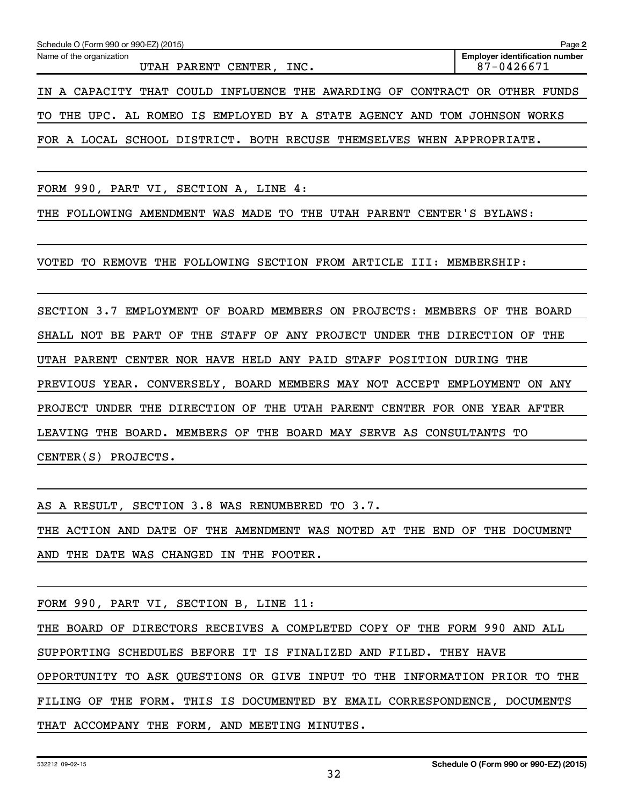FORM 990, PART VI, SECTION A, LINE 4:

THE FOLLOWING AMENDMENT WAS MADE TO THE UTAH PARENT CENTER'S BYLAWS:

VOTED TO REMOVE THE FOLLOWING SECTION FROM ARTICLE III: MEMBERSHIP:

SECTION 3.7 EMPLOYMENT OF BOARD MEMBERS ON PROJECTS: MEMBERS OF THE BOARD SHALL NOT BE PART OF THE STAFF OF ANY PROJECT UNDER THE DIRECTION OF THE UTAH PARENT CENTER NOR HAVE HELD ANY PAID STAFF POSITION DURING THE PREVIOUS YEAR. CONVERSELY, BOARD MEMBERS MAY NOT ACCEPT EMPLOYMENT ON ANY PROJECT UNDER THE DIRECTION OF THE UTAH PARENT CENTER FOR ONE YEAR AFTER LEAVING THE BOARD. MEMBERS OF THE BOARD MAY SERVE AS CONSULTANTS TO CENTER(S) PROJECTS.

AS A RESULT, SECTION 3.8 WAS RENUMBERED TO 3.7.

THE ACTION AND DATE OF THE AMENDMENT WAS NOTED AT THE END OF THE DOCUMENT AND THE DATE WAS CHANGED IN THE FOOTER.

FORM 990, PART VI, SECTION B, LINE 11:

THE BOARD OF DIRECTORS RECEIVES A COMPLETED COPY OF THE FORM 990 AND ALL SUPPORTING SCHEDULES BEFORE IT IS FINALIZED AND FILED. THEY HAVE OPPORTUNITY TO ASK QUESTIONS OR GIVE INPUT TO THE INFORMATION PRIOR TO THE FILING OF THE FORM. THIS IS DOCUMENTED BY EMAIL CORRESPONDENCE, DOCUMENTS THAT ACCOMPANY THE FORM, AND MEETING MINUTES.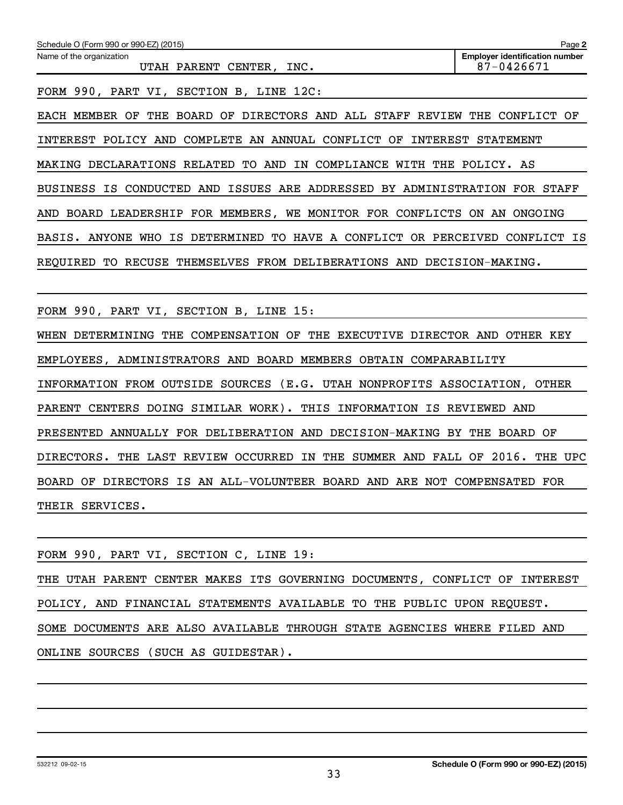| Schedule O (Form 990 or 990-EZ) (2015)                                      | Page 2                                              |
|-----------------------------------------------------------------------------|-----------------------------------------------------|
| Name of the organization<br>UTAH PARENT CENTER, INC.                        | <b>Employer identification number</b><br>87-0426671 |
| FORM 990, PART VI, SECTION B, LINE 12C:                                     |                                                     |
| EACH MEMBER OF THE BOARD OF DIRECTORS AND ALL STAFF REVIEW THE CONFLICT OF  |                                                     |
| INTEREST POLICY AND COMPLETE AN ANNUAL CONFLICT OF INTEREST STATEMENT       |                                                     |
| MAKING DECLARATIONS RELATED TO AND IN COMPLIANCE WITH THE POLICY. AS        |                                                     |
| BUSINESS IS CONDUCTED AND ISSUES ARE ADDRESSED BY ADMINISTRATION FOR STAFF  |                                                     |
| AND BOARD LEADERSHIP FOR MEMBERS, WE MONITOR FOR CONFLICTS ON AN ONGOING    |                                                     |
| BASIS. ANYONE WHO IS DETERMINED TO HAVE A CONFLICT OR PERCEIVED CONFLICT IS |                                                     |
| REOUIRED TO RECUSE THEMSELVES FROM DELIBERATIONS AND DECISION-MAKING.       |                                                     |
|                                                                             |                                                     |
| FORM 990, PART VI, SECTION B, LINE 15:                                      |                                                     |
| WHEN DETERMINING THE COMPENSATION OF THE EXECUTIVE DIRECTOR AND OTHER KEY   |                                                     |
| EMPLOYEES, ADMINISTRATORS AND BOARD MEMBERS OBTAIN COMPARABILITY            |                                                     |
| INFORMATION FROM OUTSIDE SOURCES (E.G. UTAH NONPROFITS ASSOCIATION, OTHER   |                                                     |
| PARENT CENTERS DOING SIMILAR WORK). THIS INFORMATION IS REVIEWED AND        |                                                     |
| PRESENTED ANNUALLY FOR DELIBERATION AND DECISION-MAKING BY THE BOARD OF     |                                                     |
| DIRECTORS. THE LAST REVIEW OCCURRED IN THE SUMMER AND FALL OF 2016. THE UPC |                                                     |
| BOARD OF DIRECTORS IS AN ALL-VOLUNTEER BOARD AND ARE NOT COMPENSATED FOR    |                                                     |
| THEIR SERVICES.                                                             |                                                     |

|  |  |  | FORM 990, PART VI, SECTION C, LINE 19: |                                                                            |  |  |  |  |
|--|--|--|----------------------------------------|----------------------------------------------------------------------------|--|--|--|--|
|  |  |  |                                        | THE UTAH PARENT CENTER MAKES ITS GOVERNING DOCUMENTS, CONFLICT OF INTEREST |  |  |  |  |
|  |  |  |                                        | POLICY, AND FINANCIAL STATEMENTS AVAILABLE TO THE PUBLIC UPON REQUEST.     |  |  |  |  |
|  |  |  |                                        | SOME DOCUMENTS ARE ALSO AVAILABLE THROUGH STATE AGENCIES WHERE FILED AND   |  |  |  |  |
|  |  |  | ONLINE SOURCES (SUCH AS GUIDESTAR).    |                                                                            |  |  |  |  |